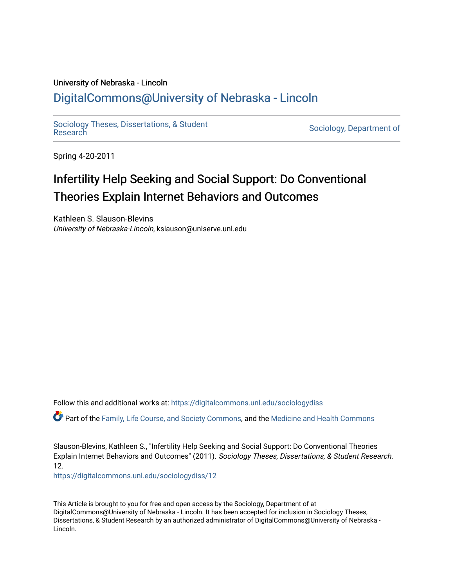# University of Nebraska - Lincoln [DigitalCommons@University of Nebraska - Lincoln](https://digitalcommons.unl.edu/)

[Sociology Theses, Dissertations, & Student](https://digitalcommons.unl.edu/sociologydiss)

Sociology, Department of

Spring 4-20-2011

# Infertility Help Seeking and Social Support: Do Conventional Theories Explain Internet Behaviors and Outcomes

Kathleen S. Slauson-Blevins University of Nebraska-Lincoln, kslauson@unlserve.unl.edu

Follow this and additional works at: [https://digitalcommons.unl.edu/sociologydiss](https://digitalcommons.unl.edu/sociologydiss?utm_source=digitalcommons.unl.edu%2Fsociologydiss%2F12&utm_medium=PDF&utm_campaign=PDFCoverPages) 

Part of the [Family, Life Course, and Society Commons,](http://network.bepress.com/hgg/discipline/419?utm_source=digitalcommons.unl.edu%2Fsociologydiss%2F12&utm_medium=PDF&utm_campaign=PDFCoverPages) and the [Medicine and Health Commons](http://network.bepress.com/hgg/discipline/422?utm_source=digitalcommons.unl.edu%2Fsociologydiss%2F12&utm_medium=PDF&utm_campaign=PDFCoverPages)

Slauson-Blevins, Kathleen S., "Infertility Help Seeking and Social Support: Do Conventional Theories Explain Internet Behaviors and Outcomes" (2011). Sociology Theses, Dissertations, & Student Research. 12.

[https://digitalcommons.unl.edu/sociologydiss/12](https://digitalcommons.unl.edu/sociologydiss/12?utm_source=digitalcommons.unl.edu%2Fsociologydiss%2F12&utm_medium=PDF&utm_campaign=PDFCoverPages)

This Article is brought to you for free and open access by the Sociology, Department of at DigitalCommons@University of Nebraska - Lincoln. It has been accepted for inclusion in Sociology Theses, Dissertations, & Student Research by an authorized administrator of DigitalCommons@University of Nebraska -Lincoln.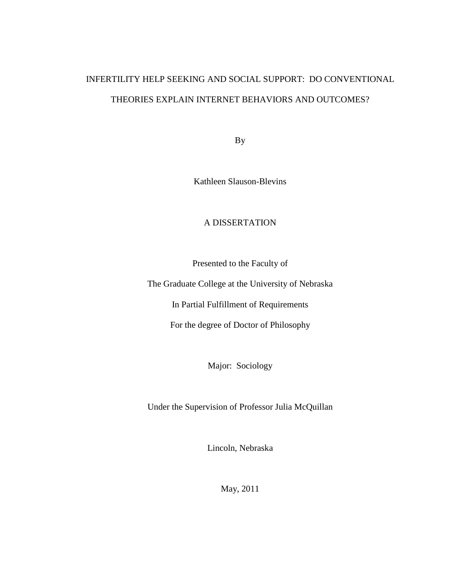# INFERTILITY HELP SEEKING AND SOCIAL SUPPORT: DO CONVENTIONAL THEORIES EXPLAIN INTERNET BEHAVIORS AND OUTCOMES?

By

Kathleen Slauson-Blevins

# A DISSERTATION

Presented to the Faculty of

The Graduate College at the University of Nebraska

In Partial Fulfillment of Requirements

For the degree of Doctor of Philosophy

Major: Sociology

Under the Supervision of Professor Julia McQuillan

Lincoln, Nebraska

May, 2011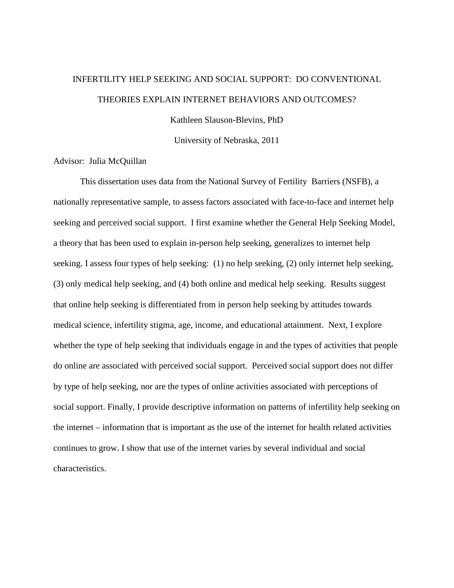# INFERTILITY HELP SEEKING AND SOCIAL SUPPORT: DO CONVENTIONAL THEORIES EXPLAIN INTERNET BEHAVIORS AND OUTCOMES?

Kathleen Slauson-Blevins, PhD

University of Nebraska, 2011

Advisor: Julia McQuillan

 This dissertation uses data from the National Survey of Fertility Barriers (NSFB), a nationally representative sample, to assess factors associated with face-to-face and internet help seeking and perceived social support. I first examine whether the General Help Seeking Model, a theory that has been used to explain in-person help seeking, generalizes to internet help seeking. I assess four types of help seeking: (1) no help seeking, (2) only internet help seeking, (3) only medical help seeking, and (4) both online and medical help seeking. Results suggest that online help seeking is differentiated from in person help seeking by attitudes towards medical science, infertility stigma, age, income, and educational attainment. Next, I explore whether the type of help seeking that individuals engage in and the types of activities that people do online are associated with perceived social support. Perceived social support does not differ by type of help seeking, nor are the types of online activities associated with perceptions of social support. Finally, I provide descriptive information on patterns of infertility help seeking on the internet – information that is important as the use of the internet for health related activities continues to grow. I show that use of the internet varies by several individual and social characteristics.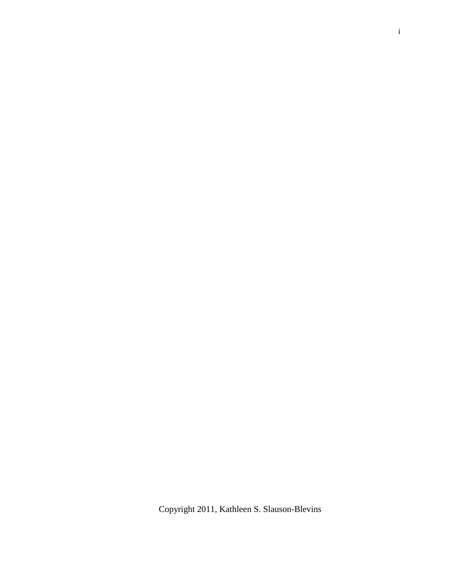Copyright 2011, Kathleen S. Slauson-Blevins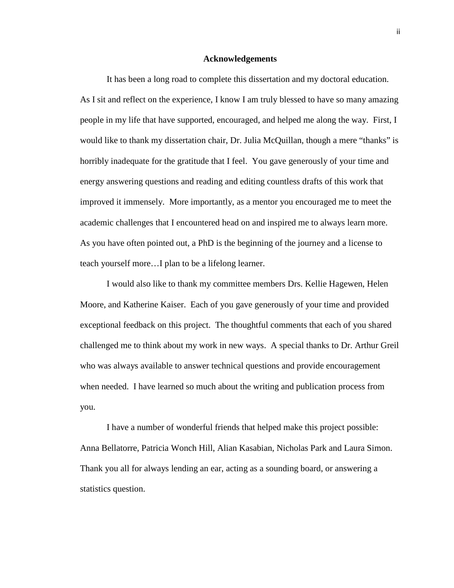#### **Acknowledgements**

It has been a long road to complete this dissertation and my doctoral education. As I sit and reflect on the experience, I know I am truly blessed to have so many amazing people in my life that have supported, encouraged, and helped me along the way. First, I would like to thank my dissertation chair, Dr. Julia McQuillan, though a mere "thanks" is horribly inadequate for the gratitude that I feel. You gave generously of your time and energy answering questions and reading and editing countless drafts of this work that improved it immensely. More importantly, as a mentor you encouraged me to meet the academic challenges that I encountered head on and inspired me to always learn more. As you have often pointed out, a PhD is the beginning of the journey and a license to teach yourself more…I plan to be a lifelong learner.

 I would also like to thank my committee members Drs. Kellie Hagewen, Helen Moore, and Katherine Kaiser. Each of you gave generously of your time and provided exceptional feedback on this project. The thoughtful comments that each of you shared challenged me to think about my work in new ways. A special thanks to Dr. Arthur Greil who was always available to answer technical questions and provide encouragement when needed. I have learned so much about the writing and publication process from you.

 I have a number of wonderful friends that helped make this project possible: Anna Bellatorre, Patricia Wonch Hill, Alian Kasabian, Nicholas Park and Laura Simon. Thank you all for always lending an ear, acting as a sounding board, or answering a statistics question.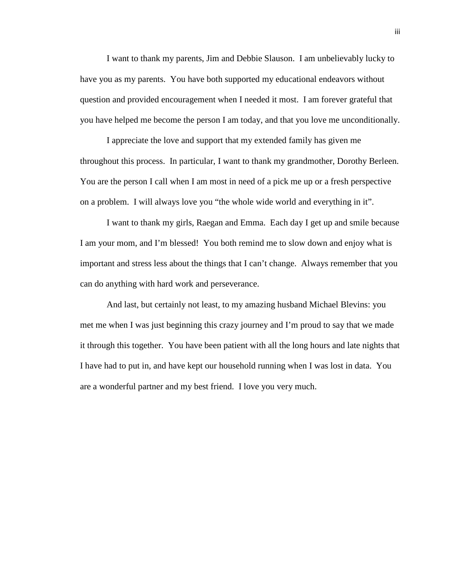I want to thank my parents, Jim and Debbie Slauson. I am unbelievably lucky to have you as my parents. You have both supported my educational endeavors without question and provided encouragement when I needed it most. I am forever grateful that you have helped me become the person I am today, and that you love me unconditionally.

I appreciate the love and support that my extended family has given me throughout this process. In particular, I want to thank my grandmother, Dorothy Berleen. You are the person I call when I am most in need of a pick me up or a fresh perspective on a problem. I will always love you "the whole wide world and everything in it".

 I want to thank my girls, Raegan and Emma. Each day I get up and smile because I am your mom, and I'm blessed! You both remind me to slow down and enjoy what is important and stress less about the things that I can't change. Always remember that you can do anything with hard work and perseverance.

And last, but certainly not least, to my amazing husband Michael Blevins: you met me when I was just beginning this crazy journey and I'm proud to say that we made it through this together. You have been patient with all the long hours and late nights that I have had to put in, and have kept our household running when I was lost in data. You are a wonderful partner and my best friend. I love you very much.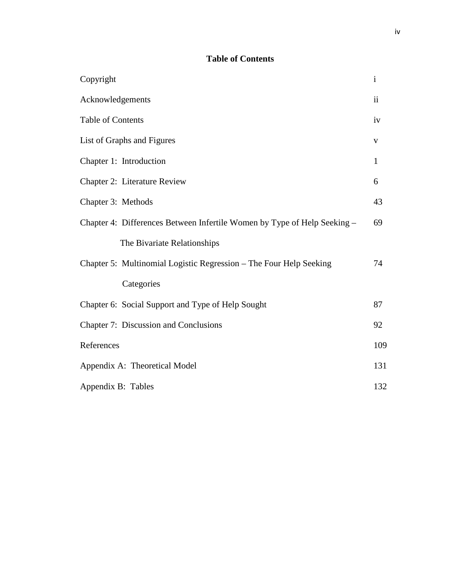# **Table of Contents**

| Copyright                                                                | $\mathbf{i}$ |
|--------------------------------------------------------------------------|--------------|
| Acknowledgements                                                         |              |
| <b>Table of Contents</b>                                                 |              |
| List of Graphs and Figures                                               |              |
| Chapter 1: Introduction                                                  | $\mathbf{1}$ |
| Chapter 2: Literature Review                                             | 6            |
| Chapter 3: Methods                                                       | 43           |
| Chapter 4: Differences Between Infertile Women by Type of Help Seeking – | 69           |
| The Bivariate Relationships                                              |              |
| Chapter 5: Multinomial Logistic Regression – The Four Help Seeking       | 74           |
| Categories                                                               |              |
| Chapter 6: Social Support and Type of Help Sought                        | 87           |
| Chapter 7: Discussion and Conclusions                                    | 92           |
| References                                                               | 109          |
| Appendix A: Theoretical Model                                            |              |
| Appendix B: Tables                                                       |              |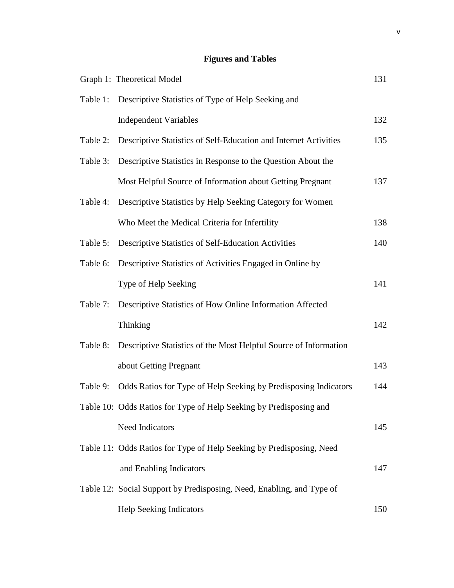# **Figures and Tables**

|          | Graph 1: Theoretical Model                                            | 131 |
|----------|-----------------------------------------------------------------------|-----|
| Table 1: | Descriptive Statistics of Type of Help Seeking and                    |     |
|          | <b>Independent Variables</b>                                          | 132 |
| Table 2: | Descriptive Statistics of Self-Education and Internet Activities      | 135 |
| Table 3: | Descriptive Statistics in Response to the Question About the          |     |
|          | Most Helpful Source of Information about Getting Pregnant             | 137 |
| Table 4: | Descriptive Statistics by Help Seeking Category for Women             |     |
|          | Who Meet the Medical Criteria for Infertility                         | 138 |
| Table 5: | Descriptive Statistics of Self-Education Activities                   | 140 |
| Table 6: | Descriptive Statistics of Activities Engaged in Online by             |     |
|          | Type of Help Seeking                                                  | 141 |
| Table 7: | Descriptive Statistics of How Online Information Affected             |     |
|          | Thinking                                                              | 142 |
| Table 8: | Descriptive Statistics of the Most Helpful Source of Information      |     |
|          | about Getting Pregnant                                                | 143 |
| Table 9: | Odds Ratios for Type of Help Seeking by Predisposing Indicators       | 144 |
|          | Table 10: Odds Ratios for Type of Help Seeking by Predisposing and    |     |
|          | Need Indicators                                                       | 145 |
|          | Table 11: Odds Ratios for Type of Help Seeking by Predisposing, Need  |     |
|          | and Enabling Indicators                                               | 147 |
|          | Table 12: Social Support by Predisposing, Need, Enabling, and Type of |     |
|          | Help Seeking Indicators                                               | 150 |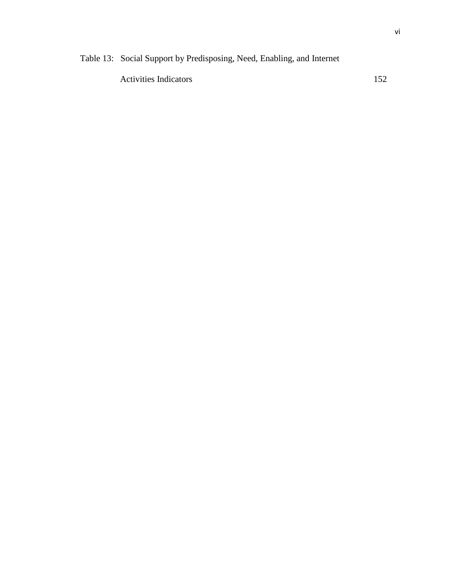Activities Indicators 152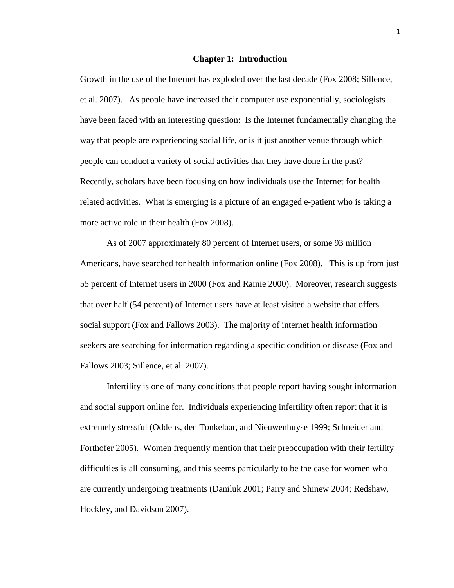#### **Chapter 1: Introduction**

Growth in the use of the Internet has exploded over the last decade (Fox 2008; Sillence, et al. 2007). As people have increased their computer use exponentially, sociologists have been faced with an interesting question: Is the Internet fundamentally changing the way that people are experiencing social life, or is it just another venue through which people can conduct a variety of social activities that they have done in the past? Recently, scholars have been focusing on how individuals use the Internet for health related activities. What is emerging is a picture of an engaged e-patient who is taking a more active role in their health (Fox 2008).

As of 2007 approximately 80 percent of Internet users, or some 93 million Americans, have searched for health information online (Fox 2008). This is up from just 55 percent of Internet users in 2000 (Fox and Rainie 2000). Moreover, research suggests that over half (54 percent) of Internet users have at least visited a website that offers social support (Fox and Fallows 2003). The majority of internet health information seekers are searching for information regarding a specific condition or disease (Fox and Fallows 2003; Sillence, et al. 2007).

Infertility is one of many conditions that people report having sought information and social support online for. Individuals experiencing infertility often report that it is extremely stressful (Oddens, den Tonkelaar, and Nieuwenhuyse 1999; Schneider and Forthofer 2005). Women frequently mention that their preoccupation with their fertility difficulties is all consuming, and this seems particularly to be the case for women who are currently undergoing treatments (Daniluk 2001; Parry and Shinew 2004; Redshaw, Hockley, and Davidson 2007).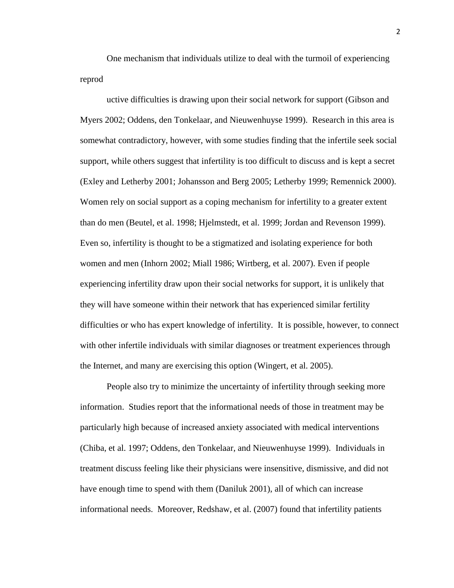One mechanism that individuals utilize to deal with the turmoil of experiencing reprod

uctive difficulties is drawing upon their social network for support (Gibson and Myers 2002; Oddens, den Tonkelaar, and Nieuwenhuyse 1999). Research in this area is somewhat contradictory, however, with some studies finding that the infertile seek social support, while others suggest that infertility is too difficult to discuss and is kept a secret (Exley and Letherby 2001; Johansson and Berg 2005; Letherby 1999; Remennick 2000). Women rely on social support as a coping mechanism for infertility to a greater extent than do men (Beutel, et al. 1998; Hjelmstedt, et al. 1999; Jordan and Revenson 1999). Even so, infertility is thought to be a stigmatized and isolating experience for both women and men (Inhorn 2002; Miall 1986; Wirtberg, et al. 2007). Even if people experiencing infertility draw upon their social networks for support, it is unlikely that they will have someone within their network that has experienced similar fertility difficulties or who has expert knowledge of infertility. It is possible, however, to connect with other infertile individuals with similar diagnoses or treatment experiences through the Internet, and many are exercising this option (Wingert, et al. 2005).

People also try to minimize the uncertainty of infertility through seeking more information. Studies report that the informational needs of those in treatment may be particularly high because of increased anxiety associated with medical interventions (Chiba, et al. 1997; Oddens, den Tonkelaar, and Nieuwenhuyse 1999). Individuals in treatment discuss feeling like their physicians were insensitive, dismissive, and did not have enough time to spend with them (Daniluk 2001), all of which can increase informational needs. Moreover, Redshaw, et al. (2007) found that infertility patients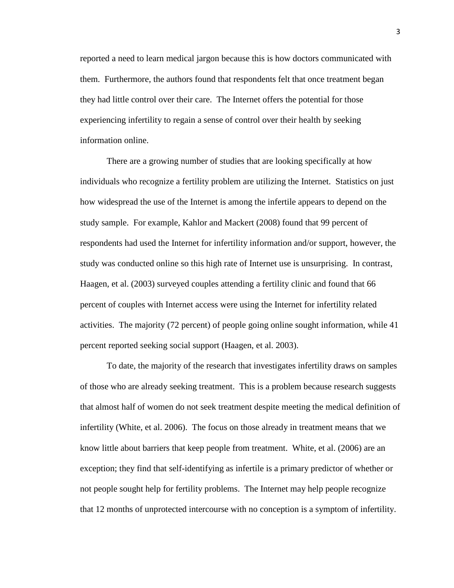reported a need to learn medical jargon because this is how doctors communicated with them. Furthermore, the authors found that respondents felt that once treatment began they had little control over their care. The Internet offers the potential for those experiencing infertility to regain a sense of control over their health by seeking information online.

There are a growing number of studies that are looking specifically at how individuals who recognize a fertility problem are utilizing the Internet. Statistics on just how widespread the use of the Internet is among the infertile appears to depend on the study sample. For example, Kahlor and Mackert (2008) found that 99 percent of respondents had used the Internet for infertility information and/or support, however, the study was conducted online so this high rate of Internet use is unsurprising. In contrast, Haagen, et al. (2003) surveyed couples attending a fertility clinic and found that 66 percent of couples with Internet access were using the Internet for infertility related activities. The majority (72 percent) of people going online sought information, while 41 percent reported seeking social support (Haagen, et al. 2003).

To date, the majority of the research that investigates infertility draws on samples of those who are already seeking treatment. This is a problem because research suggests that almost half of women do not seek treatment despite meeting the medical definition of infertility (White, et al. 2006). The focus on those already in treatment means that we know little about barriers that keep people from treatment. White, et al. (2006) are an exception; they find that self-identifying as infertile is a primary predictor of whether or not people sought help for fertility problems. The Internet may help people recognize that 12 months of unprotected intercourse with no conception is a symptom of infertility.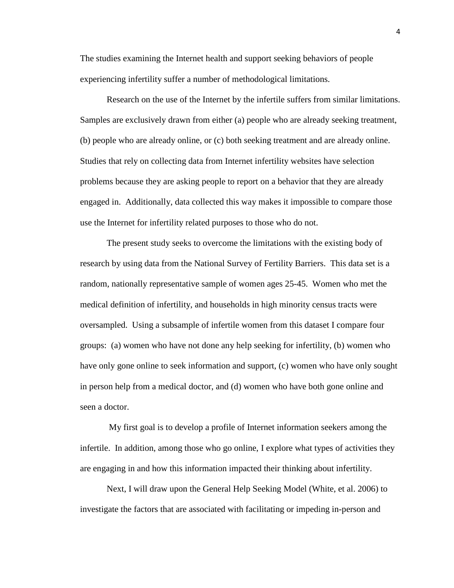The studies examining the Internet health and support seeking behaviors of people experiencing infertility suffer a number of methodological limitations.

Research on the use of the Internet by the infertile suffers from similar limitations. Samples are exclusively drawn from either (a) people who are already seeking treatment, (b) people who are already online, or (c) both seeking treatment and are already online. Studies that rely on collecting data from Internet infertility websites have selection problems because they are asking people to report on a behavior that they are already engaged in. Additionally, data collected this way makes it impossible to compare those use the Internet for infertility related purposes to those who do not.

 The present study seeks to overcome the limitations with the existing body of research by using data from the National Survey of Fertility Barriers. This data set is a random, nationally representative sample of women ages 25-45. Women who met the medical definition of infertility, and households in high minority census tracts were oversampled. Using a subsample of infertile women from this dataset I compare four groups: (a) women who have not done any help seeking for infertility, (b) women who have only gone online to seek information and support, (c) women who have only sought in person help from a medical doctor, and (d) women who have both gone online and seen a doctor.

 My first goal is to develop a profile of Internet information seekers among the infertile. In addition, among those who go online, I explore what types of activities they are engaging in and how this information impacted their thinking about infertility.

Next, I will draw upon the General Help Seeking Model (White, et al. 2006) to investigate the factors that are associated with facilitating or impeding in-person and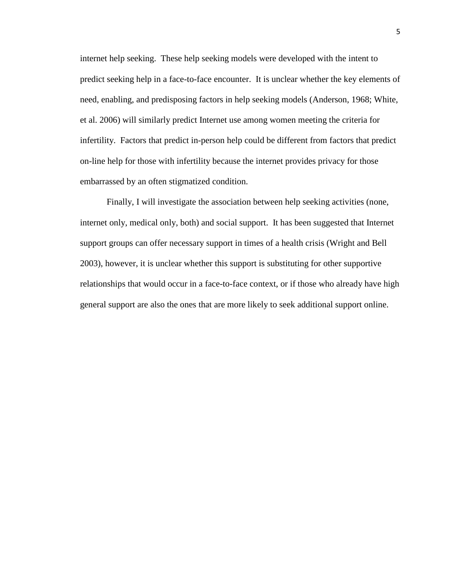internet help seeking. These help seeking models were developed with the intent to predict seeking help in a face-to-face encounter. It is unclear whether the key elements of need, enabling, and predisposing factors in help seeking models (Anderson, 1968; White, et al. 2006) will similarly predict Internet use among women meeting the criteria for infertility. Factors that predict in-person help could be different from factors that predict on-line help for those with infertility because the internet provides privacy for those embarrassed by an often stigmatized condition.

 Finally, I will investigate the association between help seeking activities (none, internet only, medical only, both) and social support. It has been suggested that Internet support groups can offer necessary support in times of a health crisis (Wright and Bell 2003), however, it is unclear whether this support is substituting for other supportive relationships that would occur in a face-to-face context, or if those who already have high general support are also the ones that are more likely to seek additional support online.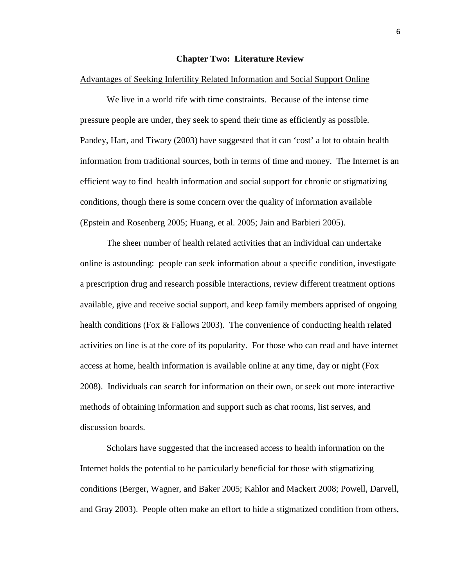## **Chapter Two: Literature Review**

## Advantages of Seeking Infertility Related Information and Social Support Online

We live in a world rife with time constraints. Because of the intense time pressure people are under, they seek to spend their time as efficiently as possible. Pandey, Hart, and Tiwary (2003) have suggested that it can 'cost' a lot to obtain health information from traditional sources, both in terms of time and money. The Internet is an efficient way to find health information and social support for chronic or stigmatizing conditions, though there is some concern over the quality of information available (Epstein and Rosenberg 2005; Huang, et al. 2005; Jain and Barbieri 2005).

The sheer number of health related activities that an individual can undertake online is astounding: people can seek information about a specific condition, investigate a prescription drug and research possible interactions, review different treatment options available, give and receive social support, and keep family members apprised of ongoing health conditions (Fox & Fallows 2003). The convenience of conducting health related activities on line is at the core of its popularity. For those who can read and have internet access at home, health information is available online at any time, day or night (Fox 2008). Individuals can search for information on their own, or seek out more interactive methods of obtaining information and support such as chat rooms, list serves, and discussion boards.

Scholars have suggested that the increased access to health information on the Internet holds the potential to be particularly beneficial for those with stigmatizing conditions (Berger, Wagner, and Baker 2005; Kahlor and Mackert 2008; Powell, Darvell, and Gray 2003). People often make an effort to hide a stigmatized condition from others,

6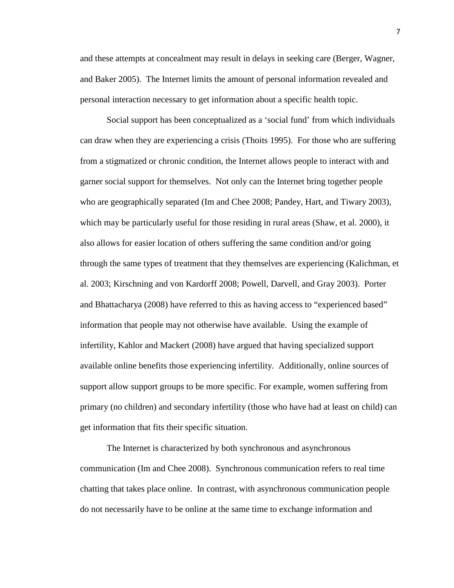and these attempts at concealment may result in delays in seeking care (Berger, Wagner, and Baker 2005). The Internet limits the amount of personal information revealed and personal interaction necessary to get information about a specific health topic.

Social support has been conceptualized as a 'social fund' from which individuals can draw when they are experiencing a crisis (Thoits 1995). For those who are suffering from a stigmatized or chronic condition, the Internet allows people to interact with and garner social support for themselves. Not only can the Internet bring together people who are geographically separated (Im and Chee 2008; Pandey, Hart, and Tiwary 2003), which may be particularly useful for those residing in rural areas (Shaw, et al. 2000), it also allows for easier location of others suffering the same condition and/or going through the same types of treatment that they themselves are experiencing (Kalichman, et al. 2003; Kirschning and von Kardorff 2008; Powell, Darvell, and Gray 2003). Porter and Bhattacharya (2008) have referred to this as having access to "experienced based" information that people may not otherwise have available. Using the example of infertility, Kahlor and Mackert (2008) have argued that having specialized support available online benefits those experiencing infertility. Additionally, online sources of support allow support groups to be more specific. For example, women suffering from primary (no children) and secondary infertility (those who have had at least on child) can get information that fits their specific situation.

The Internet is characterized by both synchronous and asynchronous communication (Im and Chee 2008). Synchronous communication refers to real time chatting that takes place online. In contrast, with asynchronous communication people do not necessarily have to be online at the same time to exchange information and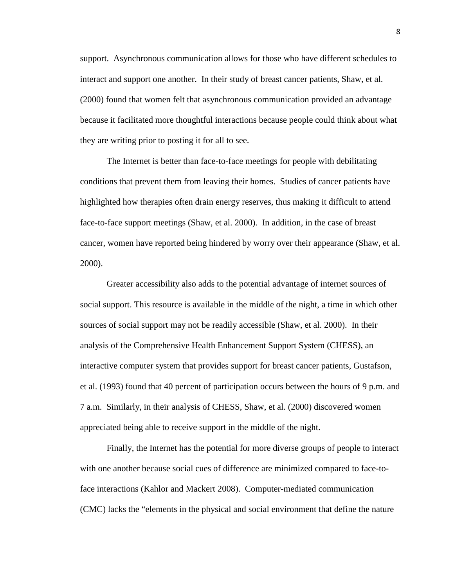support. Asynchronous communication allows for those who have different schedules to interact and support one another. In their study of breast cancer patients, Shaw, et al. (2000) found that women felt that asynchronous communication provided an advantage because it facilitated more thoughtful interactions because people could think about what they are writing prior to posting it for all to see.

The Internet is better than face-to-face meetings for people with debilitating conditions that prevent them from leaving their homes. Studies of cancer patients have highlighted how therapies often drain energy reserves, thus making it difficult to attend face-to-face support meetings (Shaw, et al. 2000). In addition, in the case of breast cancer, women have reported being hindered by worry over their appearance (Shaw, et al. 2000).

Greater accessibility also adds to the potential advantage of internet sources of social support. This resource is available in the middle of the night, a time in which other sources of social support may not be readily accessible (Shaw, et al. 2000). In their analysis of the Comprehensive Health Enhancement Support System (CHESS), an interactive computer system that provides support for breast cancer patients, Gustafson, et al. (1993) found that 40 percent of participation occurs between the hours of 9 p.m. and 7 a.m. Similarly, in their analysis of CHESS, Shaw, et al. (2000) discovered women appreciated being able to receive support in the middle of the night.

Finally, the Internet has the potential for more diverse groups of people to interact with one another because social cues of difference are minimized compared to face-toface interactions (Kahlor and Mackert 2008). Computer-mediated communication (CMC) lacks the "elements in the physical and social environment that define the nature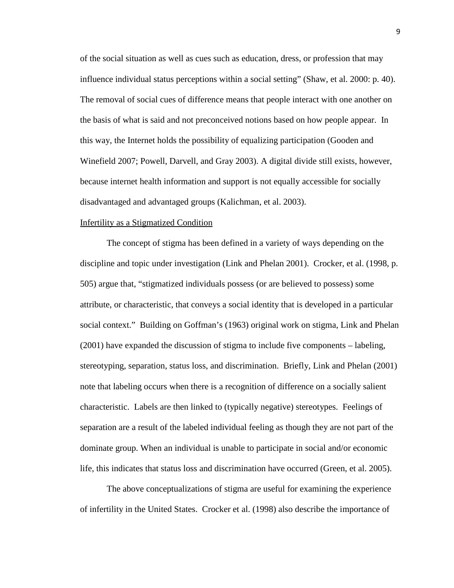of the social situation as well as cues such as education, dress, or profession that may influence individual status perceptions within a social setting" (Shaw, et al. 2000: p. 40). The removal of social cues of difference means that people interact with one another on the basis of what is said and not preconceived notions based on how people appear. In this way, the Internet holds the possibility of equalizing participation (Gooden and Winefield 2007; Powell, Darvell, and Gray 2003). A digital divide still exists, however, because internet health information and support is not equally accessible for socially disadvantaged and advantaged groups (Kalichman, et al. 2003).

### Infertility as a Stigmatized Condition

 The concept of stigma has been defined in a variety of ways depending on the discipline and topic under investigation (Link and Phelan 2001). Crocker, et al. (1998, p. 505) argue that, "stigmatized individuals possess (or are believed to possess) some attribute, or characteristic, that conveys a social identity that is developed in a particular social context." Building on Goffman's (1963) original work on stigma, Link and Phelan (2001) have expanded the discussion of stigma to include five components – labeling, stereotyping, separation, status loss, and discrimination. Briefly, Link and Phelan (2001) note that labeling occurs when there is a recognition of difference on a socially salient characteristic. Labels are then linked to (typically negative) stereotypes. Feelings of separation are a result of the labeled individual feeling as though they are not part of the dominate group. When an individual is unable to participate in social and/or economic life, this indicates that status loss and discrimination have occurred (Green, et al. 2005).

 The above conceptualizations of stigma are useful for examining the experience of infertility in the United States. Crocker et al. (1998) also describe the importance of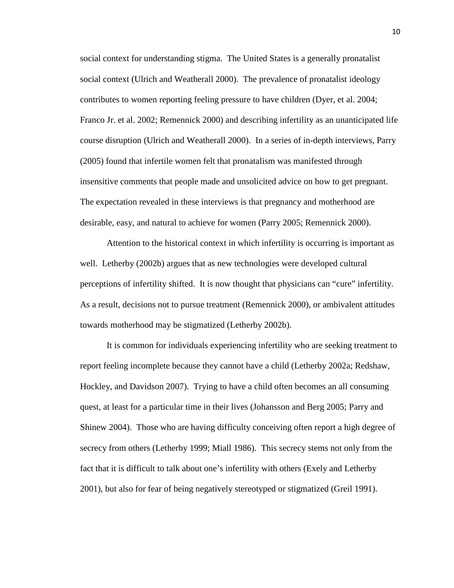social context for understanding stigma. The United States is a generally pronatalist social context (Ulrich and Weatherall 2000). The prevalence of pronatalist ideology contributes to women reporting feeling pressure to have children (Dyer, et al. 2004; Franco Jr. et al. 2002; Remennick 2000) and describing infertility as an unanticipated life course disruption (Ulrich and Weatherall 2000). In a series of in-depth interviews, Parry (2005) found that infertile women felt that pronatalism was manifested through insensitive comments that people made and unsolicited advice on how to get pregnant. The expectation revealed in these interviews is that pregnancy and motherhood are desirable, easy, and natural to achieve for women (Parry 2005; Remennick 2000).

Attention to the historical context in which infertility is occurring is important as well. Letherby (2002b) argues that as new technologies were developed cultural perceptions of infertility shifted. It is now thought that physicians can "cure" infertility. As a result, decisions not to pursue treatment (Remennick 2000), or ambivalent attitudes towards motherhood may be stigmatized (Letherby 2002b).

 It is common for individuals experiencing infertility who are seeking treatment to report feeling incomplete because they cannot have a child (Letherby 2002a; Redshaw, Hockley, and Davidson 2007). Trying to have a child often becomes an all consuming quest, at least for a particular time in their lives (Johansson and Berg 2005; Parry and Shinew 2004). Those who are having difficulty conceiving often report a high degree of secrecy from others (Letherby 1999; Miall 1986). This secrecy stems not only from the fact that it is difficult to talk about one's infertility with others (Exely and Letherby 2001), but also for fear of being negatively stereotyped or stigmatized (Greil 1991).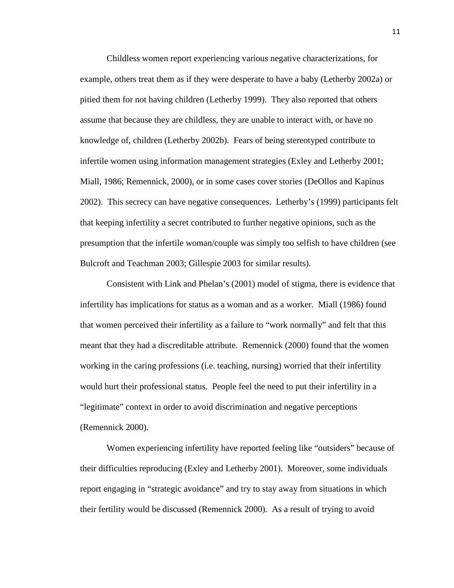Childless women report experiencing various negative characterizations, for example, others treat them as if they were desperate to have a baby (Letherby 2002a) or pitied them for not having children (Letherby 1999). They also reported that others assume that because they are childless, they are unable to interact with, or have no knowledge of, children (Letherby 2002b). Fears of being stereotyped contribute to infertile women using information management strategies (Exley and Letherby 2001; Miall, 1986; Remennick, 2000), or in some cases cover stories (DeOllos and Kapinus 2002). This secrecy can have negative consequences. Letherby's (1999) participants felt that keeping infertility a secret contributed to further negative opinions, such as the presumption that the infertile woman/couple was simply too selfish to have children (see Bulcroft and Teachman 2003; Gillespie 2003 for similar results).

Consistent with Link and Phelan's (2001) model of stigma, there is evidence that infertility has implications for status as a woman and as a worker. Miall (1986) found that women perceived their infertility as a failure to "work normally" and felt that this meant that they had a discreditable attribute. Remennick (2000) found that the women working in the caring professions (i.e. teaching, nursing) worried that their infertility would hurt their professional status. People feel the need to put their infertility in a "legitimate" context in order to avoid discrimination and negative perceptions (Remennick 2000).

Women experiencing infertility have reported feeling like "outsiders" because of their difficulties reproducing (Exley and Letherby 2001). Moreover, some individuals report engaging in "strategic avoidance" and try to stay away from situations in which their fertility would be discussed (Remennick 2000). As a result of trying to avoid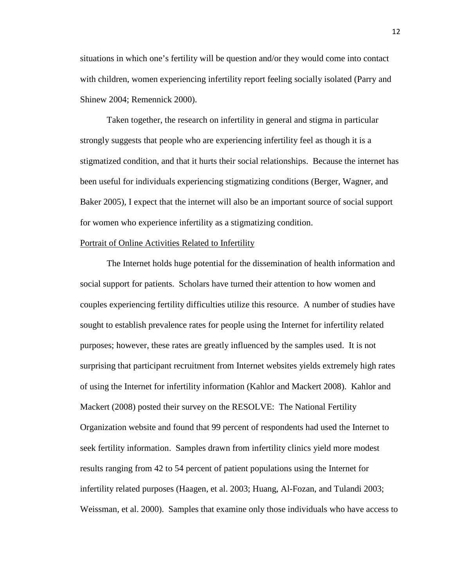situations in which one's fertility will be question and/or they would come into contact with children, women experiencing infertility report feeling socially isolated (Parry and Shinew 2004; Remennick 2000).

 Taken together, the research on infertility in general and stigma in particular strongly suggests that people who are experiencing infertility feel as though it is a stigmatized condition, and that it hurts their social relationships. Because the internet has been useful for individuals experiencing stigmatizing conditions (Berger, Wagner, and Baker 2005), I expect that the internet will also be an important source of social support for women who experience infertility as a stigmatizing condition.

# Portrait of Online Activities Related to Infertility

The Internet holds huge potential for the dissemination of health information and social support for patients. Scholars have turned their attention to how women and couples experiencing fertility difficulties utilize this resource. A number of studies have sought to establish prevalence rates for people using the Internet for infertility related purposes; however, these rates are greatly influenced by the samples used. It is not surprising that participant recruitment from Internet websites yields extremely high rates of using the Internet for infertility information (Kahlor and Mackert 2008). Kahlor and Mackert (2008) posted their survey on the RESOLVE: The National Fertility Organization website and found that 99 percent of respondents had used the Internet to seek fertility information. Samples drawn from infertility clinics yield more modest results ranging from 42 to 54 percent of patient populations using the Internet for infertility related purposes (Haagen, et al. 2003; Huang, Al-Fozan, and Tulandi 2003; Weissman, et al. 2000). Samples that examine only those individuals who have access to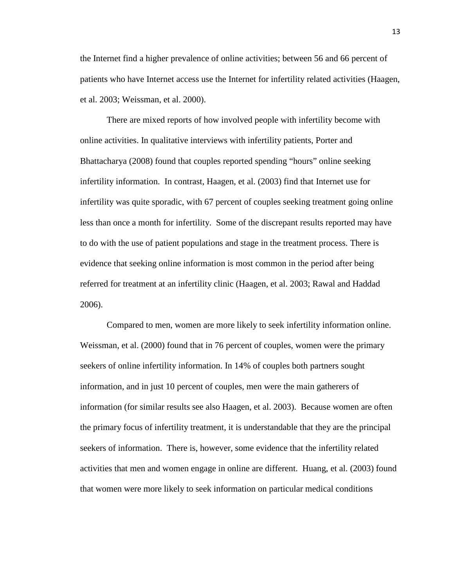the Internet find a higher prevalence of online activities; between 56 and 66 percent of patients who have Internet access use the Internet for infertility related activities (Haagen, et al. 2003; Weissman, et al. 2000).

 There are mixed reports of how involved people with infertility become with online activities. In qualitative interviews with infertility patients, Porter and Bhattacharya (2008) found that couples reported spending "hours" online seeking infertility information. In contrast, Haagen, et al. (2003) find that Internet use for infertility was quite sporadic, with 67 percent of couples seeking treatment going online less than once a month for infertility. Some of the discrepant results reported may have to do with the use of patient populations and stage in the treatment process. There is evidence that seeking online information is most common in the period after being referred for treatment at an infertility clinic (Haagen, et al. 2003; Rawal and Haddad 2006).

 Compared to men, women are more likely to seek infertility information online. Weissman, et al. (2000) found that in 76 percent of couples, women were the primary seekers of online infertility information. In 14% of couples both partners sought information, and in just 10 percent of couples, men were the main gatherers of information (for similar results see also Haagen, et al. 2003). Because women are often the primary focus of infertility treatment, it is understandable that they are the principal seekers of information. There is, however, some evidence that the infertility related activities that men and women engage in online are different. Huang, et al. (2003) found that women were more likely to seek information on particular medical conditions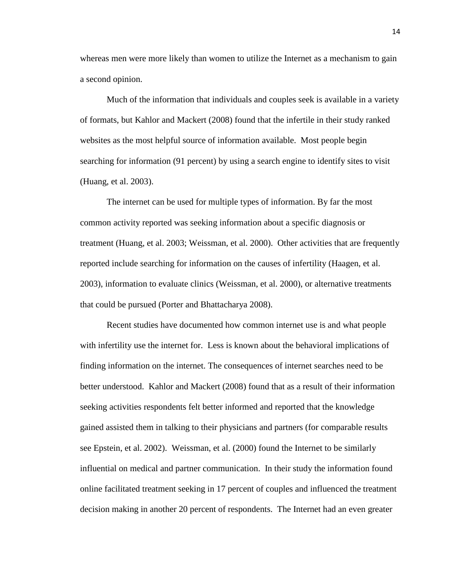whereas men were more likely than women to utilize the Internet as a mechanism to gain a second opinion.

 Much of the information that individuals and couples seek is available in a variety of formats, but Kahlor and Mackert (2008) found that the infertile in their study ranked websites as the most helpful source of information available. Most people begin searching for information (91 percent) by using a search engine to identify sites to visit (Huang, et al. 2003).

The internet can be used for multiple types of information. By far the most common activity reported was seeking information about a specific diagnosis or treatment (Huang, et al. 2003; Weissman, et al. 2000). Other activities that are frequently reported include searching for information on the causes of infertility (Haagen, et al. 2003), information to evaluate clinics (Weissman, et al. 2000), or alternative treatments that could be pursued (Porter and Bhattacharya 2008).

 Recent studies have documented how common internet use is and what people with infertility use the internet for. Less is known about the behavioral implications of finding information on the internet. The consequences of internet searches need to be better understood. Kahlor and Mackert (2008) found that as a result of their information seeking activities respondents felt better informed and reported that the knowledge gained assisted them in talking to their physicians and partners (for comparable results see Epstein, et al. 2002). Weissman, et al. (2000) found the Internet to be similarly influential on medical and partner communication. In their study the information found online facilitated treatment seeking in 17 percent of couples and influenced the treatment decision making in another 20 percent of respondents. The Internet had an even greater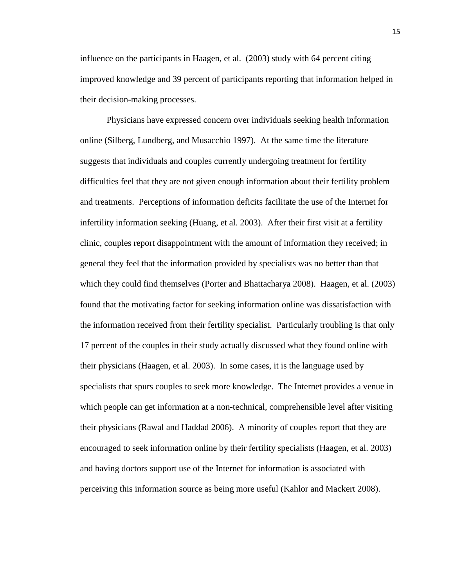influence on the participants in Haagen, et al. (2003) study with 64 percent citing improved knowledge and 39 percent of participants reporting that information helped in their decision-making processes.

Physicians have expressed concern over individuals seeking health information online (Silberg, Lundberg, and Musacchio 1997). At the same time the literature suggests that individuals and couples currently undergoing treatment for fertility difficulties feel that they are not given enough information about their fertility problem and treatments. Perceptions of information deficits facilitate the use of the Internet for infertility information seeking (Huang, et al. 2003). After their first visit at a fertility clinic, couples report disappointment with the amount of information they received; in general they feel that the information provided by specialists was no better than that which they could find themselves (Porter and Bhattacharya 2008). Haagen, et al. (2003) found that the motivating factor for seeking information online was dissatisfaction with the information received from their fertility specialist. Particularly troubling is that only 17 percent of the couples in their study actually discussed what they found online with their physicians (Haagen, et al. 2003). In some cases, it is the language used by specialists that spurs couples to seek more knowledge. The Internet provides a venue in which people can get information at a non-technical, comprehensible level after visiting their physicians (Rawal and Haddad 2006). A minority of couples report that they are encouraged to seek information online by their fertility specialists (Haagen, et al. 2003) and having doctors support use of the Internet for information is associated with perceiving this information source as being more useful (Kahlor and Mackert 2008).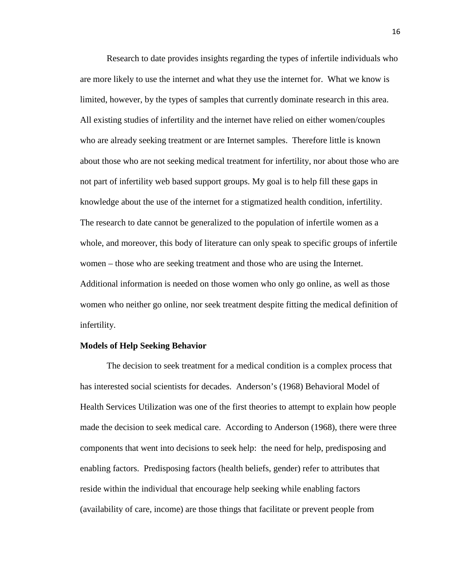Research to date provides insights regarding the types of infertile individuals who are more likely to use the internet and what they use the internet for. What we know is limited, however, by the types of samples that currently dominate research in this area. All existing studies of infertility and the internet have relied on either women/couples who are already seeking treatment or are Internet samples. Therefore little is known about those who are not seeking medical treatment for infertility, nor about those who are not part of infertility web based support groups. My goal is to help fill these gaps in knowledge about the use of the internet for a stigmatized health condition, infertility. The research to date cannot be generalized to the population of infertile women as a whole, and moreover, this body of literature can only speak to specific groups of infertile women – those who are seeking treatment and those who are using the Internet. Additional information is needed on those women who only go online, as well as those women who neither go online, nor seek treatment despite fitting the medical definition of infertility.

#### **Models of Help Seeking Behavior**

The decision to seek treatment for a medical condition is a complex process that has interested social scientists for decades. Anderson's (1968) Behavioral Model of Health Services Utilization was one of the first theories to attempt to explain how people made the decision to seek medical care. According to Anderson (1968), there were three components that went into decisions to seek help: the need for help, predisposing and enabling factors. Predisposing factors (health beliefs, gender) refer to attributes that reside within the individual that encourage help seeking while enabling factors (availability of care, income) are those things that facilitate or prevent people from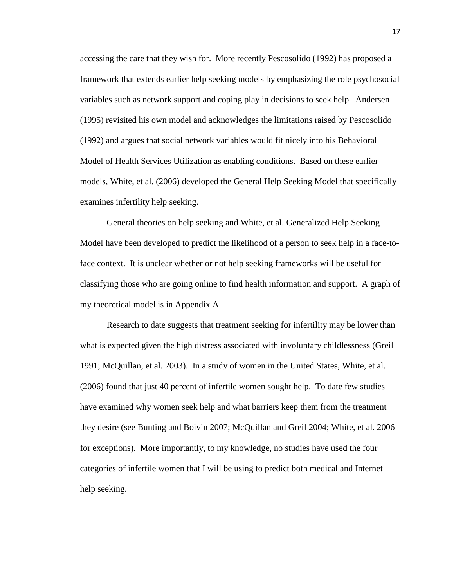accessing the care that they wish for. More recently Pescosolido (1992) has proposed a framework that extends earlier help seeking models by emphasizing the role psychosocial variables such as network support and coping play in decisions to seek help. Andersen (1995) revisited his own model and acknowledges the limitations raised by Pescosolido (1992) and argues that social network variables would fit nicely into his Behavioral Model of Health Services Utilization as enabling conditions. Based on these earlier models, White, et al. (2006) developed the General Help Seeking Model that specifically examines infertility help seeking.

 General theories on help seeking and White, et al. Generalized Help Seeking Model have been developed to predict the likelihood of a person to seek help in a face-toface context. It is unclear whether or not help seeking frameworks will be useful for classifying those who are going online to find health information and support. A graph of my theoretical model is in Appendix A.

 Research to date suggests that treatment seeking for infertility may be lower than what is expected given the high distress associated with involuntary childlessness (Greil 1991; McQuillan, et al. 2003). In a study of women in the United States, White, et al. (2006) found that just 40 percent of infertile women sought help. To date few studies have examined why women seek help and what barriers keep them from the treatment they desire (see Bunting and Boivin 2007; McQuillan and Greil 2004; White, et al. 2006 for exceptions). More importantly, to my knowledge, no studies have used the four categories of infertile women that I will be using to predict both medical and Internet help seeking.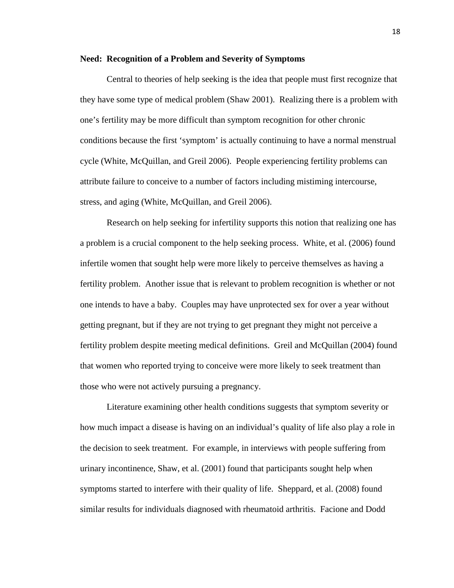### **Need: Recognition of a Problem and Severity of Symptoms**

Central to theories of help seeking is the idea that people must first recognize that they have some type of medical problem (Shaw 2001). Realizing there is a problem with one's fertility may be more difficult than symptom recognition for other chronic conditions because the first 'symptom' is actually continuing to have a normal menstrual cycle (White, McQuillan, and Greil 2006). People experiencing fertility problems can attribute failure to conceive to a number of factors including mistiming intercourse, stress, and aging (White, McQuillan, and Greil 2006).

Research on help seeking for infertility supports this notion that realizing one has a problem is a crucial component to the help seeking process. White, et al. (2006) found infertile women that sought help were more likely to perceive themselves as having a fertility problem. Another issue that is relevant to problem recognition is whether or not one intends to have a baby. Couples may have unprotected sex for over a year without getting pregnant, but if they are not trying to get pregnant they might not perceive a fertility problem despite meeting medical definitions. Greil and McQuillan (2004) found that women who reported trying to conceive were more likely to seek treatment than those who were not actively pursuing a pregnancy.

Literature examining other health conditions suggests that symptom severity or how much impact a disease is having on an individual's quality of life also play a role in the decision to seek treatment. For example, in interviews with people suffering from urinary incontinence, Shaw, et al. (2001) found that participants sought help when symptoms started to interfere with their quality of life. Sheppard, et al. (2008) found similar results for individuals diagnosed with rheumatoid arthritis. Facione and Dodd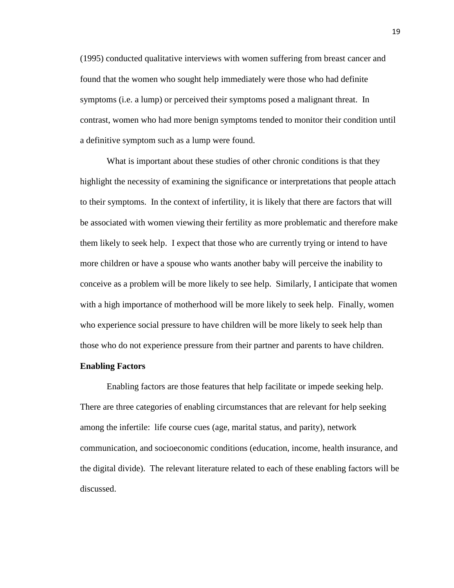(1995) conducted qualitative interviews with women suffering from breast cancer and found that the women who sought help immediately were those who had definite symptoms (i.e. a lump) or perceived their symptoms posed a malignant threat. In contrast, women who had more benign symptoms tended to monitor their condition until a definitive symptom such as a lump were found.

What is important about these studies of other chronic conditions is that they highlight the necessity of examining the significance or interpretations that people attach to their symptoms. In the context of infertility, it is likely that there are factors that will be associated with women viewing their fertility as more problematic and therefore make them likely to seek help. I expect that those who are currently trying or intend to have more children or have a spouse who wants another baby will perceive the inability to conceive as a problem will be more likely to see help. Similarly, I anticipate that women with a high importance of motherhood will be more likely to seek help. Finally, women who experience social pressure to have children will be more likely to seek help than those who do not experience pressure from their partner and parents to have children.

#### **Enabling Factors**

Enabling factors are those features that help facilitate or impede seeking help. There are three categories of enabling circumstances that are relevant for help seeking among the infertile: life course cues (age, marital status, and parity), network communication, and socioeconomic conditions (education, income, health insurance, and the digital divide). The relevant literature related to each of these enabling factors will be discussed.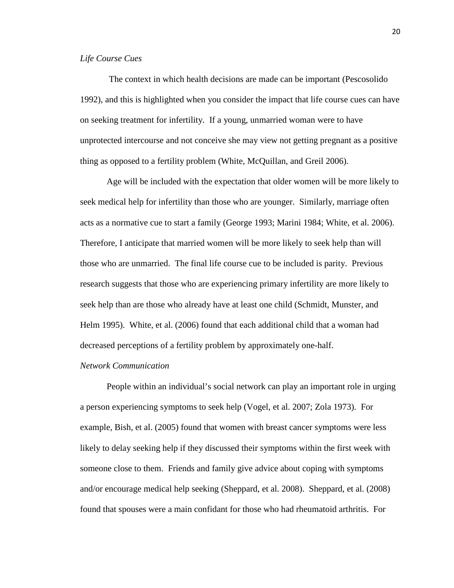# *Life Course Cues*

 The context in which health decisions are made can be important (Pescosolido 1992), and this is highlighted when you consider the impact that life course cues can have on seeking treatment for infertility. If a young, unmarried woman were to have unprotected intercourse and not conceive she may view not getting pregnant as a positive thing as opposed to a fertility problem (White, McQuillan, and Greil 2006).

Age will be included with the expectation that older women will be more likely to seek medical help for infertility than those who are younger. Similarly, marriage often acts as a normative cue to start a family (George 1993; Marini 1984; White, et al. 2006). Therefore, I anticipate that married women will be more likely to seek help than will those who are unmarried. The final life course cue to be included is parity. Previous research suggests that those who are experiencing primary infertility are more likely to seek help than are those who already have at least one child (Schmidt, Munster, and Helm 1995). White, et al. (2006) found that each additional child that a woman had decreased perceptions of a fertility problem by approximately one-half.

# *Network Communication*

People within an individual's social network can play an important role in urging a person experiencing symptoms to seek help (Vogel, et al. 2007; Zola 1973). For example, Bish, et al. (2005) found that women with breast cancer symptoms were less likely to delay seeking help if they discussed their symptoms within the first week with someone close to them. Friends and family give advice about coping with symptoms and/or encourage medical help seeking (Sheppard, et al. 2008). Sheppard, et al. (2008) found that spouses were a main confidant for those who had rheumatoid arthritis. For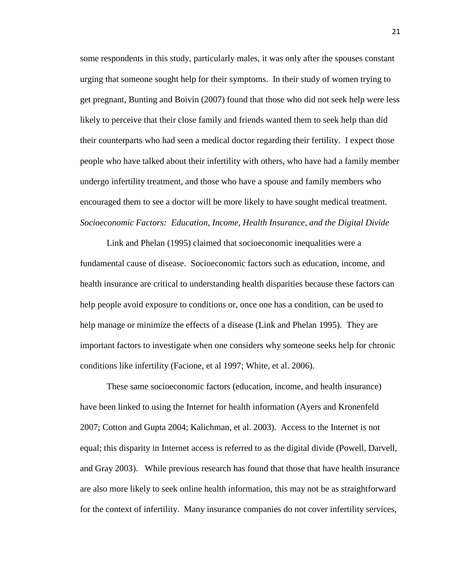some respondents in this study, particularly males, it was only after the spouses constant urging that someone sought help for their symptoms. In their study of women trying to get pregnant, Bunting and Boivin (2007) found that those who did not seek help were less likely to perceive that their close family and friends wanted them to seek help than did their counterparts who had seen a medical doctor regarding their fertility. I expect those people who have talked about their infertility with others, who have had a family member undergo infertility treatment, and those who have a spouse and family members who encouraged them to see a doctor will be more likely to have sought medical treatment. *Socioeconomic Factors: Education, Income, Health Insurance, and the Digital Divide* 

 Link and Phelan (1995) claimed that socioeconomic inequalities were a fundamental cause of disease. Socioeconomic factors such as education, income, and health insurance are critical to understanding health disparities because these factors can help people avoid exposure to conditions or, once one has a condition, can be used to help manage or minimize the effects of a disease (Link and Phelan 1995). They are important factors to investigate when one considers why someone seeks help for chronic conditions like infertility (Facione, et al 1997; White, et al. 2006).

These same socioeconomic factors (education, income, and health insurance) have been linked to using the Internet for health information (Ayers and Kronenfeld 2007; Cotton and Gupta 2004; Kalichman, et al. 2003). Access to the Internet is not equal; this disparity in Internet access is referred to as the digital divide (Powell, Darvell, and Gray 2003). While previous research has found that those that have health insurance are also more likely to seek online health information, this may not be as straightforward for the context of infertility. Many insurance companies do not cover infertility services,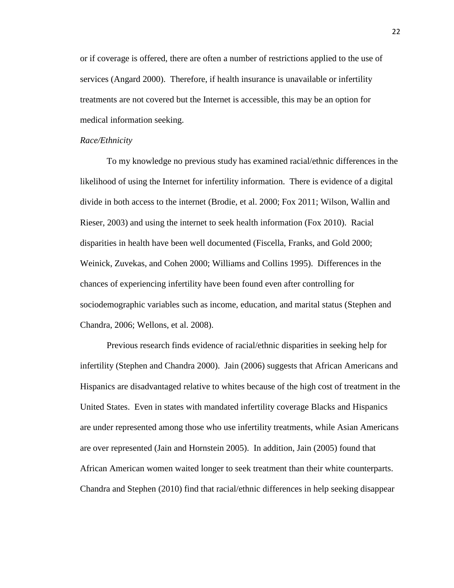or if coverage is offered, there are often a number of restrictions applied to the use of services (Angard 2000). Therefore, if health insurance is unavailable or infertility treatments are not covered but the Internet is accessible, this may be an option for medical information seeking.

#### *Race/Ethnicity*

 To my knowledge no previous study has examined racial/ethnic differences in the likelihood of using the Internet for infertility information. There is evidence of a digital divide in both access to the internet (Brodie, et al. 2000; Fox 2011; Wilson, Wallin and Rieser, 2003) and using the internet to seek health information (Fox 2010). Racial disparities in health have been well documented (Fiscella, Franks, and Gold 2000; Weinick, Zuvekas, and Cohen 2000; Williams and Collins 1995). Differences in the chances of experiencing infertility have been found even after controlling for sociodemographic variables such as income, education, and marital status (Stephen and Chandra, 2006; Wellons, et al. 2008).

Previous research finds evidence of racial/ethnic disparities in seeking help for infertility (Stephen and Chandra 2000). Jain (2006) suggests that African Americans and Hispanics are disadvantaged relative to whites because of the high cost of treatment in the United States. Even in states with mandated infertility coverage Blacks and Hispanics are under represented among those who use infertility treatments, while Asian Americans are over represented (Jain and Hornstein 2005). In addition, Jain (2005) found that African American women waited longer to seek treatment than their white counterparts. Chandra and Stephen (2010) find that racial/ethnic differences in help seeking disappear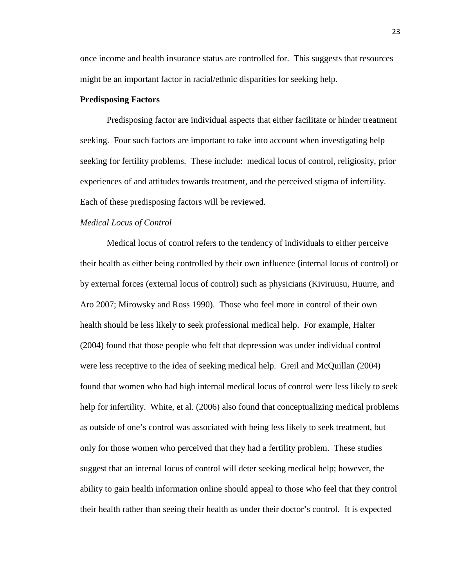once income and health insurance status are controlled for. This suggests that resources might be an important factor in racial/ethnic disparities for seeking help.

# **Predisposing Factors**

Predisposing factor are individual aspects that either facilitate or hinder treatment seeking. Four such factors are important to take into account when investigating help seeking for fertility problems. These include: medical locus of control, religiosity, prior experiences of and attitudes towards treatment, and the perceived stigma of infertility. Each of these predisposing factors will be reviewed.

# *Medical Locus of Control*

Medical locus of control refers to the tendency of individuals to either perceive their health as either being controlled by their own influence (internal locus of control) or by external forces (external locus of control) such as physicians (Kiviruusu, Huurre, and Aro 2007; Mirowsky and Ross 1990). Those who feel more in control of their own health should be less likely to seek professional medical help. For example, Halter (2004) found that those people who felt that depression was under individual control were less receptive to the idea of seeking medical help. Greil and McQuillan (2004) found that women who had high internal medical locus of control were less likely to seek help for infertility. White, et al. (2006) also found that conceptualizing medical problems as outside of one's control was associated with being less likely to seek treatment, but only for those women who perceived that they had a fertility problem. These studies suggest that an internal locus of control will deter seeking medical help; however, the ability to gain health information online should appeal to those who feel that they control their health rather than seeing their health as under their doctor's control. It is expected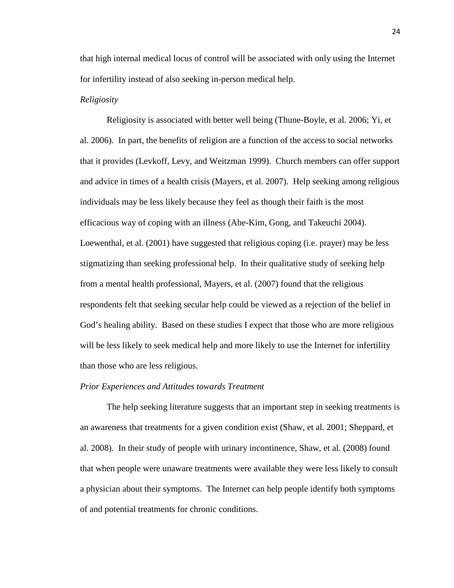that high internal medical locus of control will be associated with only using the Internet for infertility instead of also seeking in-person medical help.

## *Religiosity*

Religiosity is associated with better well being (Thune-Boyle, et al. 2006; Yi, et al. 2006). In part, the benefits of religion are a function of the access to social networks that it provides (Levkoff, Levy, and Weitzman 1999). Church members can offer support and advice in times of a health crisis (Mayers, et al. 2007). Help seeking among religious individuals may be less likely because they feel as though their faith is the most efficacious way of coping with an illness (Abe-Kim, Gong, and Takeuchi 2004). Loewenthal, et al. (2001) have suggested that religious coping (i.e. prayer) may be less stigmatizing than seeking professional help. In their qualitative study of seeking help from a mental health professional, Mayers, et al. (2007) found that the religious respondents felt that seeking secular help could be viewed as a rejection of the belief in God's healing ability. Based on these studies I expect that those who are more religious will be less likely to seek medical help and more likely to use the Internet for infertility than those who are less religious.

#### *Prior Experiences and Attitudes towards Treatment*

The help seeking literature suggests that an important step in seeking treatments is an awareness that treatments for a given condition exist (Shaw, et al. 2001; Sheppard, et al. 2008). In their study of people with urinary incontinence, Shaw, et al. (2008) found that when people were unaware treatments were available they were less likely to consult a physician about their symptoms. The Internet can help people identify both symptoms of and potential treatments for chronic conditions.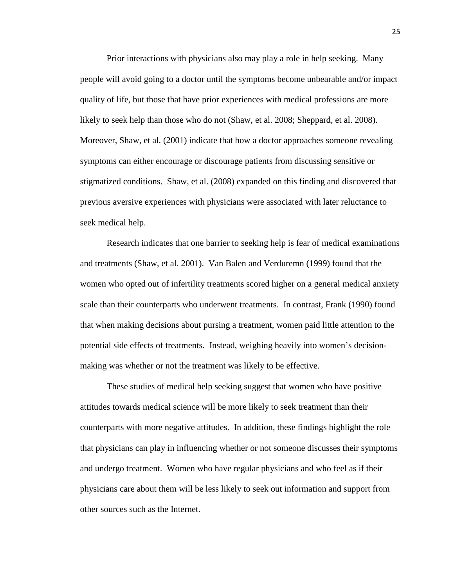Prior interactions with physicians also may play a role in help seeking. Many people will avoid going to a doctor until the symptoms become unbearable and/or impact quality of life, but those that have prior experiences with medical professions are more likely to seek help than those who do not (Shaw, et al. 2008; Sheppard, et al. 2008). Moreover, Shaw, et al. (2001) indicate that how a doctor approaches someone revealing symptoms can either encourage or discourage patients from discussing sensitive or stigmatized conditions. Shaw, et al. (2008) expanded on this finding and discovered that previous aversive experiences with physicians were associated with later reluctance to seek medical help.

Research indicates that one barrier to seeking help is fear of medical examinations and treatments (Shaw, et al. 2001). Van Balen and Verduremn (1999) found that the women who opted out of infertility treatments scored higher on a general medical anxiety scale than their counterparts who underwent treatments. In contrast, Frank (1990) found that when making decisions about pursing a treatment, women paid little attention to the potential side effects of treatments. Instead, weighing heavily into women's decisionmaking was whether or not the treatment was likely to be effective.

 These studies of medical help seeking suggest that women who have positive attitudes towards medical science will be more likely to seek treatment than their counterparts with more negative attitudes. In addition, these findings highlight the role that physicians can play in influencing whether or not someone discusses their symptoms and undergo treatment. Women who have regular physicians and who feel as if their physicians care about them will be less likely to seek out information and support from other sources such as the Internet.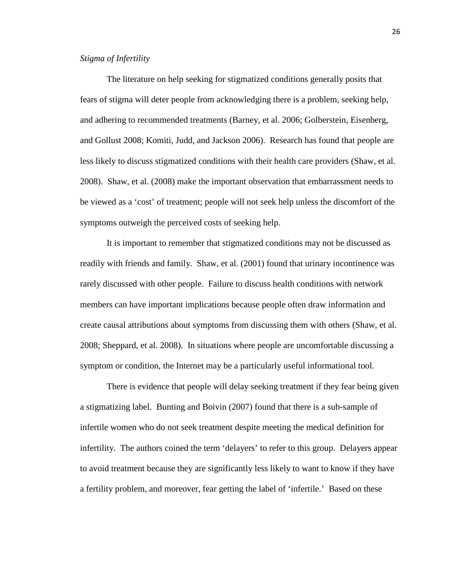# *Stigma of Infertility*

The literature on help seeking for stigmatized conditions generally posits that fears of stigma will deter people from acknowledging there is a problem, seeking help, and adhering to recommended treatments (Barney, et al. 2006; Golberstein, Eisenberg, and Gollust 2008; Komiti, Judd, and Jackson 2006). Research has found that people are less likely to discuss stigmatized conditions with their health care providers (Shaw, et al. 2008). Shaw, et al. (2008) make the important observation that embarrassment needs to be viewed as a 'cost' of treatment; people will not seek help unless the discomfort of the symptoms outweigh the perceived costs of seeking help.

It is important to remember that stigmatized conditions may not be discussed as readily with friends and family. Shaw, et al. (2001) found that urinary incontinence was rarely discussed with other people. Failure to discuss health conditions with network members can have important implications because people often draw information and create causal attributions about symptoms from discussing them with others (Shaw, et al. 2008; Sheppard, et al. 2008). In situations where people are uncomfortable discussing a symptom or condition, the Internet may be a particularly useful informational tool.

 There is evidence that people will delay seeking treatment if they fear being given a stigmatizing label. Bunting and Boivin (2007) found that there is a sub-sample of infertile women who do not seek treatment despite meeting the medical definition for infertility. The authors coined the term 'delayers' to refer to this group. Delayers appear to avoid treatment because they are significantly less likely to want to know if they have a fertility problem, and moreover, fear getting the label of 'infertile.' Based on these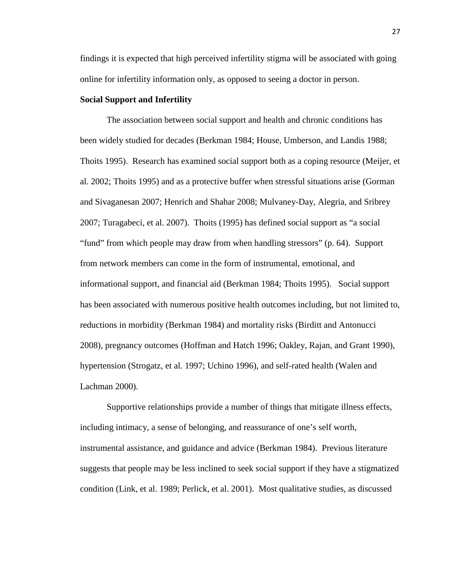findings it is expected that high perceived infertility stigma will be associated with going online for infertility information only, as opposed to seeing a doctor in person.

# **Social Support and Infertility**

The association between social support and health and chronic conditions has been widely studied for decades (Berkman 1984; House, Umberson, and Landis 1988; Thoits 1995). Research has examined social support both as a coping resource (Meijer, et al. 2002; Thoits 1995) and as a protective buffer when stressful situations arise (Gorman and Sivaganesan 2007; Henrich and Shahar 2008; Mulvaney-Day, Alegria, and Sribrey 2007; Turagabeci, et al. 2007). Thoits (1995) has defined social support as "a social "fund" from which people may draw from when handling stressors" (p. 64). Support from network members can come in the form of instrumental, emotional, and informational support, and financial aid (Berkman 1984; Thoits 1995). Social support has been associated with numerous positive health outcomes including, but not limited to, reductions in morbidity (Berkman 1984) and mortality risks (Birditt and Antonucci 2008), pregnancy outcomes (Hoffman and Hatch 1996; Oakley, Rajan, and Grant 1990), hypertension (Strogatz, et al. 1997; Uchino 1996), and self-rated health (Walen and Lachman 2000).

 Supportive relationships provide a number of things that mitigate illness effects, including intimacy, a sense of belonging, and reassurance of one's self worth, instrumental assistance, and guidance and advice (Berkman 1984). Previous literature suggests that people may be less inclined to seek social support if they have a stigmatized condition (Link, et al. 1989; Perlick, et al. 2001). Most qualitative studies, as discussed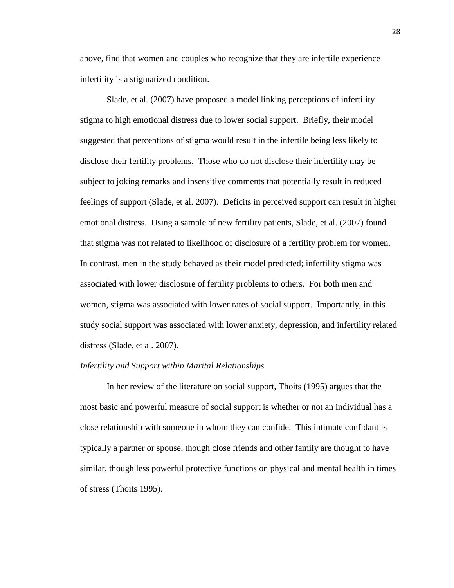above, find that women and couples who recognize that they are infertile experience infertility is a stigmatized condition.

Slade, et al. (2007) have proposed a model linking perceptions of infertility stigma to high emotional distress due to lower social support. Briefly, their model suggested that perceptions of stigma would result in the infertile being less likely to disclose their fertility problems. Those who do not disclose their infertility may be subject to joking remarks and insensitive comments that potentially result in reduced feelings of support (Slade, et al. 2007). Deficits in perceived support can result in higher emotional distress. Using a sample of new fertility patients, Slade, et al. (2007) found that stigma was not related to likelihood of disclosure of a fertility problem for women. In contrast, men in the study behaved as their model predicted; infertility stigma was associated with lower disclosure of fertility problems to others. For both men and women, stigma was associated with lower rates of social support. Importantly, in this study social support was associated with lower anxiety, depression, and infertility related distress (Slade, et al. 2007).

### *Infertility and Support within Marital Relationships*

In her review of the literature on social support, Thoits (1995) argues that the most basic and powerful measure of social support is whether or not an individual has a close relationship with someone in whom they can confide. This intimate confidant is typically a partner or spouse, though close friends and other family are thought to have similar, though less powerful protective functions on physical and mental health in times of stress (Thoits 1995).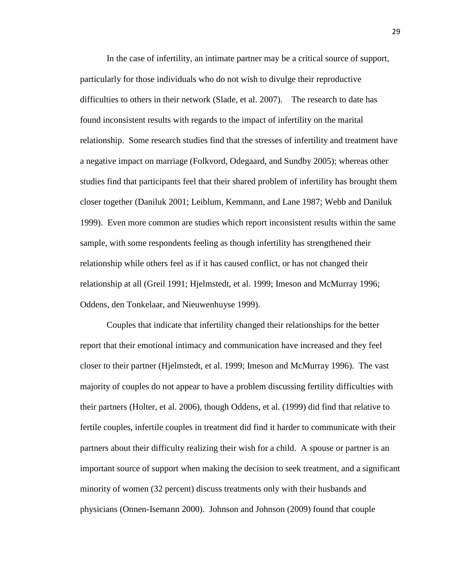In the case of infertility, an intimate partner may be a critical source of support, particularly for those individuals who do not wish to divulge their reproductive difficulties to others in their network (Slade, et al. 2007). The research to date has found inconsistent results with regards to the impact of infertility on the marital relationship. Some research studies find that the stresses of infertility and treatment have a negative impact on marriage (Folkvord, Odegaard, and Sundby 2005); whereas other studies find that participants feel that their shared problem of infertility has brought them closer together (Daniluk 2001; Leiblum, Kemmann, and Lane 1987; Webb and Daniluk 1999). Even more common are studies which report inconsistent results within the same sample, with some respondents feeling as though infertility has strengthened their relationship while others feel as if it has caused conflict, or has not changed their relationship at all (Greil 1991; Hjelmstedt, et al. 1999; Imeson and McMurray 1996; Oddens, den Tonkelaar, and Nieuwenhuyse 1999).

 Couples that indicate that infertility changed their relationships for the better report that their emotional intimacy and communication have increased and they feel closer to their partner (Hjelmstedt, et al. 1999; Imeson and McMurray 1996). The vast majority of couples do not appear to have a problem discussing fertility difficulties with their partners (Holter, et al. 2006), though Oddens, et al. (1999) did find that relative to fertile couples, infertile couples in treatment did find it harder to communicate with their partners about their difficulty realizing their wish for a child. A spouse or partner is an important source of support when making the decision to seek treatment, and a significant minority of women (32 percent) discuss treatments only with their husbands and physicians (Onnen-Isemann 2000). Johnson and Johnson (2009) found that couple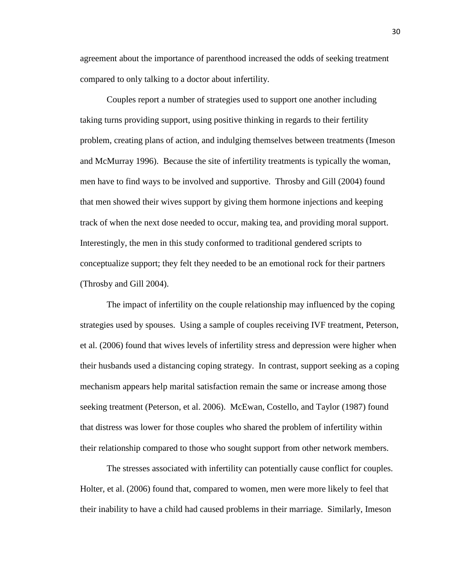agreement about the importance of parenthood increased the odds of seeking treatment compared to only talking to a doctor about infertility.

 Couples report a number of strategies used to support one another including taking turns providing support, using positive thinking in regards to their fertility problem, creating plans of action, and indulging themselves between treatments (Imeson and McMurray 1996). Because the site of infertility treatments is typically the woman, men have to find ways to be involved and supportive. Throsby and Gill (2004) found that men showed their wives support by giving them hormone injections and keeping track of when the next dose needed to occur, making tea, and providing moral support. Interestingly, the men in this study conformed to traditional gendered scripts to conceptualize support; they felt they needed to be an emotional rock for their partners (Throsby and Gill 2004).

 The impact of infertility on the couple relationship may influenced by the coping strategies used by spouses. Using a sample of couples receiving IVF treatment, Peterson, et al. (2006) found that wives levels of infertility stress and depression were higher when their husbands used a distancing coping strategy. In contrast, support seeking as a coping mechanism appears help marital satisfaction remain the same or increase among those seeking treatment (Peterson, et al. 2006). McEwan, Costello, and Taylor (1987) found that distress was lower for those couples who shared the problem of infertility within their relationship compared to those who sought support from other network members.

The stresses associated with infertility can potentially cause conflict for couples. Holter, et al. (2006) found that, compared to women, men were more likely to feel that their inability to have a child had caused problems in their marriage. Similarly, Imeson

30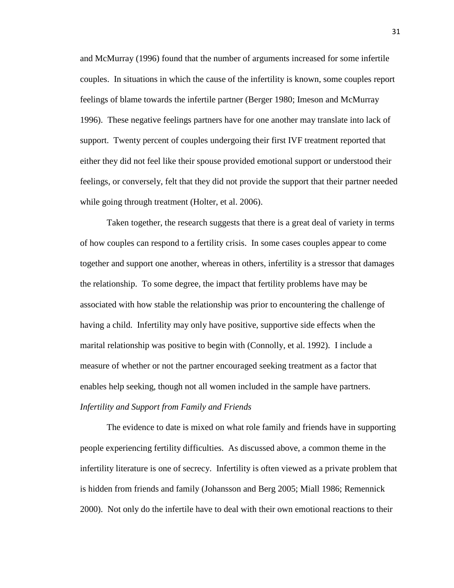and McMurray (1996) found that the number of arguments increased for some infertile couples. In situations in which the cause of the infertility is known, some couples report feelings of blame towards the infertile partner (Berger 1980; Imeson and McMurray 1996). These negative feelings partners have for one another may translate into lack of support. Twenty percent of couples undergoing their first IVF treatment reported that either they did not feel like their spouse provided emotional support or understood their feelings, or conversely, felt that they did not provide the support that their partner needed while going through treatment (Holter, et al. 2006).

Taken together, the research suggests that there is a great deal of variety in terms of how couples can respond to a fertility crisis. In some cases couples appear to come together and support one another, whereas in others, infertility is a stressor that damages the relationship. To some degree, the impact that fertility problems have may be associated with how stable the relationship was prior to encountering the challenge of having a child. Infertility may only have positive, supportive side effects when the marital relationship was positive to begin with (Connolly, et al. 1992). I include a measure of whether or not the partner encouraged seeking treatment as a factor that enables help seeking, though not all women included in the sample have partners. *Infertility and Support from Family and Friends* 

The evidence to date is mixed on what role family and friends have in supporting people experiencing fertility difficulties. As discussed above, a common theme in the infertility literature is one of secrecy. Infertility is often viewed as a private problem that is hidden from friends and family (Johansson and Berg 2005; Miall 1986; Remennick 2000). Not only do the infertile have to deal with their own emotional reactions to their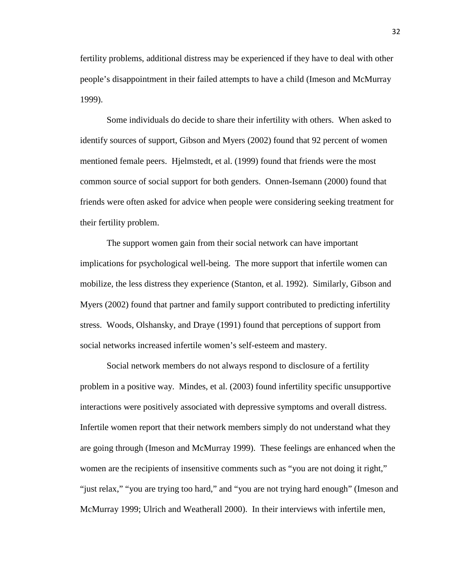fertility problems, additional distress may be experienced if they have to deal with other people's disappointment in their failed attempts to have a child (Imeson and McMurray 1999).

 Some individuals do decide to share their infertility with others. When asked to identify sources of support, Gibson and Myers (2002) found that 92 percent of women mentioned female peers. Hjelmstedt, et al. (1999) found that friends were the most common source of social support for both genders. Onnen-Isemann (2000) found that friends were often asked for advice when people were considering seeking treatment for their fertility problem.

The support women gain from their social network can have important implications for psychological well-being. The more support that infertile women can mobilize, the less distress they experience (Stanton, et al. 1992). Similarly, Gibson and Myers (2002) found that partner and family support contributed to predicting infertility stress. Woods, Olshansky, and Draye (1991) found that perceptions of support from social networks increased infertile women's self-esteem and mastery.

 Social network members do not always respond to disclosure of a fertility problem in a positive way. Mindes, et al. (2003) found infertility specific unsupportive interactions were positively associated with depressive symptoms and overall distress. Infertile women report that their network members simply do not understand what they are going through (Imeson and McMurray 1999). These feelings are enhanced when the women are the recipients of insensitive comments such as "you are not doing it right," "just relax," "you are trying too hard," and "you are not trying hard enough" (Imeson and McMurray 1999; Ulrich and Weatherall 2000). In their interviews with infertile men,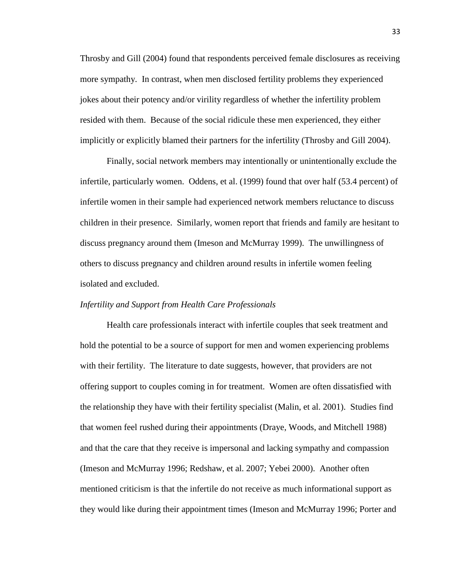Throsby and Gill (2004) found that respondents perceived female disclosures as receiving more sympathy. In contrast, when men disclosed fertility problems they experienced jokes about their potency and/or virility regardless of whether the infertility problem resided with them. Because of the social ridicule these men experienced, they either implicitly or explicitly blamed their partners for the infertility (Throsby and Gill 2004).

 Finally, social network members may intentionally or unintentionally exclude the infertile, particularly women. Oddens, et al. (1999) found that over half (53.4 percent) of infertile women in their sample had experienced network members reluctance to discuss children in their presence. Similarly, women report that friends and family are hesitant to discuss pregnancy around them (Imeson and McMurray 1999). The unwillingness of others to discuss pregnancy and children around results in infertile women feeling isolated and excluded.

### *Infertility and Support from Health Care Professionals*

 Health care professionals interact with infertile couples that seek treatment and hold the potential to be a source of support for men and women experiencing problems with their fertility. The literature to date suggests, however, that providers are not offering support to couples coming in for treatment. Women are often dissatisfied with the relationship they have with their fertility specialist (Malin, et al. 2001). Studies find that women feel rushed during their appointments (Draye, Woods, and Mitchell 1988) and that the care that they receive is impersonal and lacking sympathy and compassion (Imeson and McMurray 1996; Redshaw, et al. 2007; Yebei 2000). Another often mentioned criticism is that the infertile do not receive as much informational support as they would like during their appointment times (Imeson and McMurray 1996; Porter and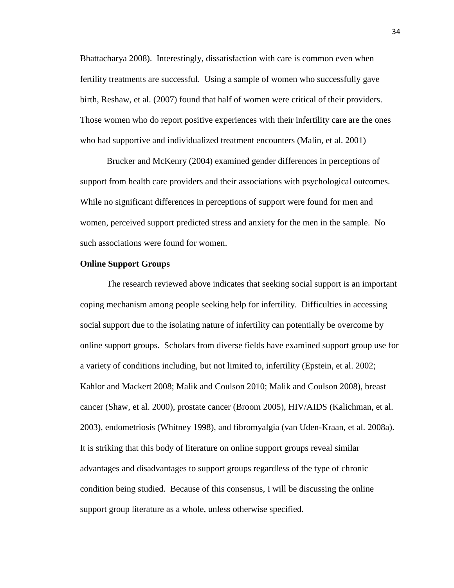Bhattacharya 2008). Interestingly, dissatisfaction with care is common even when fertility treatments are successful. Using a sample of women who successfully gave birth, Reshaw, et al. (2007) found that half of women were critical of their providers. Those women who do report positive experiences with their infertility care are the ones who had supportive and individualized treatment encounters (Malin, et al. 2001)

 Brucker and McKenry (2004) examined gender differences in perceptions of support from health care providers and their associations with psychological outcomes. While no significant differences in perceptions of support were found for men and women, perceived support predicted stress and anxiety for the men in the sample. No such associations were found for women.

### **Online Support Groups**

The research reviewed above indicates that seeking social support is an important coping mechanism among people seeking help for infertility. Difficulties in accessing social support due to the isolating nature of infertility can potentially be overcome by online support groups. Scholars from diverse fields have examined support group use for a variety of conditions including, but not limited to, infertility (Epstein, et al. 2002; Kahlor and Mackert 2008; Malik and Coulson 2010; Malik and Coulson 2008), breast cancer (Shaw, et al. 2000), prostate cancer (Broom 2005), HIV/AIDS (Kalichman, et al. 2003), endometriosis (Whitney 1998), and fibromyalgia (van Uden-Kraan, et al. 2008a). It is striking that this body of literature on online support groups reveal similar advantages and disadvantages to support groups regardless of the type of chronic condition being studied. Because of this consensus, I will be discussing the online support group literature as a whole, unless otherwise specified.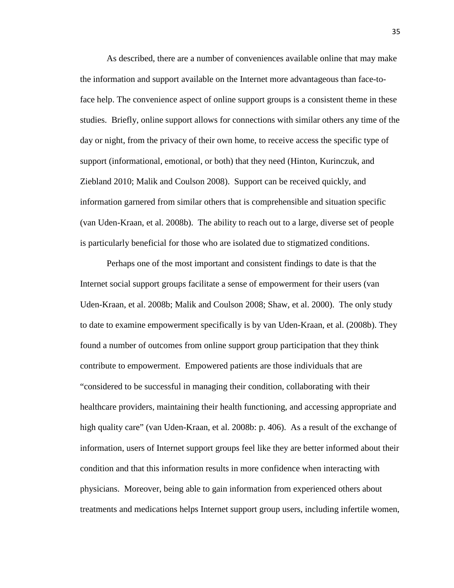As described, there are a number of conveniences available online that may make the information and support available on the Internet more advantageous than face-toface help. The convenience aspect of online support groups is a consistent theme in these studies. Briefly, online support allows for connections with similar others any time of the day or night, from the privacy of their own home, to receive access the specific type of support (informational, emotional, or both) that they need (Hinton, Kurinczuk, and Ziebland 2010; Malik and Coulson 2008). Support can be received quickly, and information garnered from similar others that is comprehensible and situation specific (van Uden-Kraan, et al. 2008b). The ability to reach out to a large, diverse set of people is particularly beneficial for those who are isolated due to stigmatized conditions.

Perhaps one of the most important and consistent findings to date is that the Internet social support groups facilitate a sense of empowerment for their users (van Uden-Kraan, et al. 2008b; Malik and Coulson 2008; Shaw, et al. 2000). The only study to date to examine empowerment specifically is by van Uden-Kraan, et al. (2008b). They found a number of outcomes from online support group participation that they think contribute to empowerment. Empowered patients are those individuals that are "considered to be successful in managing their condition, collaborating with their healthcare providers, maintaining their health functioning, and accessing appropriate and high quality care" (van Uden-Kraan, et al. 2008b: p. 406). As a result of the exchange of information, users of Internet support groups feel like they are better informed about their condition and that this information results in more confidence when interacting with physicians. Moreover, being able to gain information from experienced others about treatments and medications helps Internet support group users, including infertile women,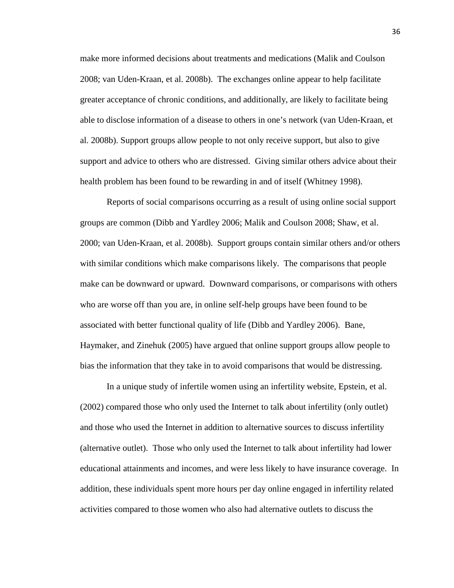make more informed decisions about treatments and medications (Malik and Coulson 2008; van Uden-Kraan, et al. 2008b). The exchanges online appear to help facilitate greater acceptance of chronic conditions, and additionally, are likely to facilitate being able to disclose information of a disease to others in one's network (van Uden-Kraan, et al. 2008b). Support groups allow people to not only receive support, but also to give support and advice to others who are distressed. Giving similar others advice about their health problem has been found to be rewarding in and of itself (Whitney 1998).

Reports of social comparisons occurring as a result of using online social support groups are common (Dibb and Yardley 2006; Malik and Coulson 2008; Shaw, et al. 2000; van Uden-Kraan, et al. 2008b). Support groups contain similar others and/or others with similar conditions which make comparisons likely. The comparisons that people make can be downward or upward. Downward comparisons, or comparisons with others who are worse off than you are, in online self-help groups have been found to be associated with better functional quality of life (Dibb and Yardley 2006). Bane, Haymaker, and Zinehuk (2005) have argued that online support groups allow people to bias the information that they take in to avoid comparisons that would be distressing.

In a unique study of infertile women using an infertility website, Epstein, et al. (2002) compared those who only used the Internet to talk about infertility (only outlet) and those who used the Internet in addition to alternative sources to discuss infertility (alternative outlet). Those who only used the Internet to talk about infertility had lower educational attainments and incomes, and were less likely to have insurance coverage. In addition, these individuals spent more hours per day online engaged in infertility related activities compared to those women who also had alternative outlets to discuss the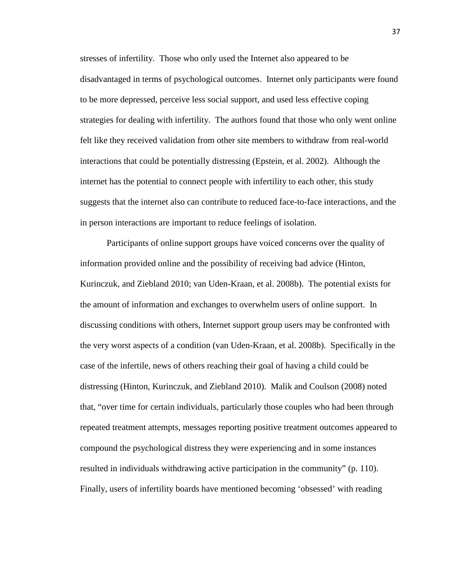stresses of infertility. Those who only used the Internet also appeared to be disadvantaged in terms of psychological outcomes. Internet only participants were found to be more depressed, perceive less social support, and used less effective coping strategies for dealing with infertility. The authors found that those who only went online felt like they received validation from other site members to withdraw from real-world interactions that could be potentially distressing (Epstein, et al. 2002). Although the internet has the potential to connect people with infertility to each other, this study suggests that the internet also can contribute to reduced face-to-face interactions, and the in person interactions are important to reduce feelings of isolation.

Participants of online support groups have voiced concerns over the quality of information provided online and the possibility of receiving bad advice (Hinton, Kurinczuk, and Ziebland 2010; van Uden-Kraan, et al. 2008b). The potential exists for the amount of information and exchanges to overwhelm users of online support. In discussing conditions with others, Internet support group users may be confronted with the very worst aspects of a condition (van Uden-Kraan, et al. 2008b). Specifically in the case of the infertile, news of others reaching their goal of having a child could be distressing (Hinton, Kurinczuk, and Ziebland 2010). Malik and Coulson (2008) noted that, "over time for certain individuals, particularly those couples who had been through repeated treatment attempts, messages reporting positive treatment outcomes appeared to compound the psychological distress they were experiencing and in some instances resulted in individuals withdrawing active participation in the community" (p. 110). Finally, users of infertility boards have mentioned becoming 'obsessed' with reading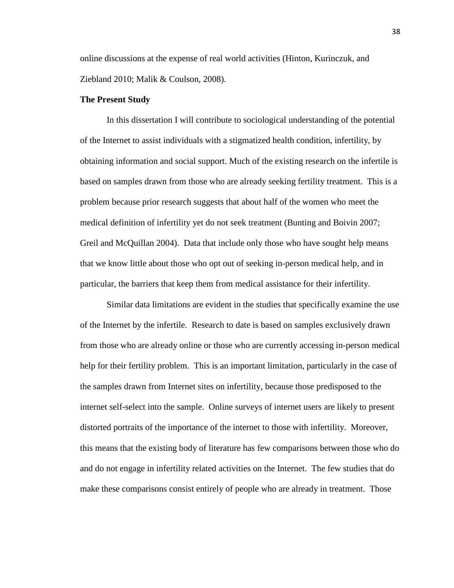online discussions at the expense of real world activities (Hinton, Kurinczuk, and Ziebland 2010; Malik & Coulson, 2008).

### **The Present Study**

In this dissertation I will contribute to sociological understanding of the potential of the Internet to assist individuals with a stigmatized health condition, infertility, by obtaining information and social support. Much of the existing research on the infertile is based on samples drawn from those who are already seeking fertility treatment. This is a problem because prior research suggests that about half of the women who meet the medical definition of infertility yet do not seek treatment (Bunting and Boivin 2007; Greil and McQuillan 2004). Data that include only those who have sought help means that we know little about those who opt out of seeking in-person medical help, and in particular, the barriers that keep them from medical assistance for their infertility.

Similar data limitations are evident in the studies that specifically examine the use of the Internet by the infertile. Research to date is based on samples exclusively drawn from those who are already online or those who are currently accessing in-person medical help for their fertility problem. This is an important limitation, particularly in the case of the samples drawn from Internet sites on infertility, because those predisposed to the internet self-select into the sample. Online surveys of internet users are likely to present distorted portraits of the importance of the internet to those with infertility. Moreover, this means that the existing body of literature has few comparisons between those who do and do not engage in infertility related activities on the Internet. The few studies that do make these comparisons consist entirely of people who are already in treatment. Those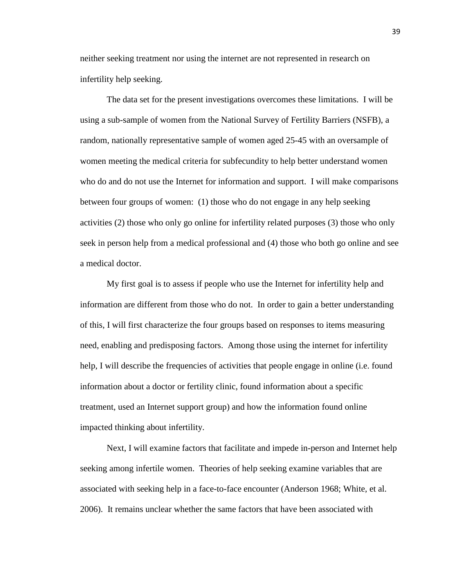neither seeking treatment nor using the internet are not represented in research on infertility help seeking.

The data set for the present investigations overcomes these limitations. I will be using a sub-sample of women from the National Survey of Fertility Barriers (NSFB), a random, nationally representative sample of women aged 25-45 with an oversample of women meeting the medical criteria for subfecundity to help better understand women who do and do not use the Internet for information and support. I will make comparisons between four groups of women: (1) those who do not engage in any help seeking activities (2) those who only go online for infertility related purposes (3) those who only seek in person help from a medical professional and (4) those who both go online and see a medical doctor.

My first goal is to assess if people who use the Internet for infertility help and information are different from those who do not. In order to gain a better understanding of this, I will first characterize the four groups based on responses to items measuring need, enabling and predisposing factors. Among those using the internet for infertility help, I will describe the frequencies of activities that people engage in online (i.e. found information about a doctor or fertility clinic, found information about a specific treatment, used an Internet support group) and how the information found online impacted thinking about infertility.

Next, I will examine factors that facilitate and impede in-person and Internet help seeking among infertile women. Theories of help seeking examine variables that are associated with seeking help in a face-to-face encounter (Anderson 1968; White, et al. 2006). It remains unclear whether the same factors that have been associated with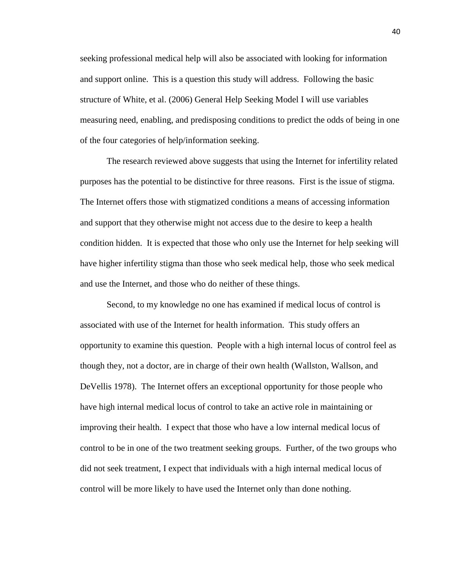seeking professional medical help will also be associated with looking for information and support online. This is a question this study will address. Following the basic structure of White, et al. (2006) General Help Seeking Model I will use variables measuring need, enabling, and predisposing conditions to predict the odds of being in one of the four categories of help/information seeking.

The research reviewed above suggests that using the Internet for infertility related purposes has the potential to be distinctive for three reasons. First is the issue of stigma. The Internet offers those with stigmatized conditions a means of accessing information and support that they otherwise might not access due to the desire to keep a health condition hidden. It is expected that those who only use the Internet for help seeking will have higher infertility stigma than those who seek medical help, those who seek medical and use the Internet, and those who do neither of these things.

Second, to my knowledge no one has examined if medical locus of control is associated with use of the Internet for health information. This study offers an opportunity to examine this question. People with a high internal locus of control feel as though they, not a doctor, are in charge of their own health (Wallston, Wallson, and DeVellis 1978). The Internet offers an exceptional opportunity for those people who have high internal medical locus of control to take an active role in maintaining or improving their health. I expect that those who have a low internal medical locus of control to be in one of the two treatment seeking groups. Further, of the two groups who did not seek treatment, I expect that individuals with a high internal medical locus of control will be more likely to have used the Internet only than done nothing.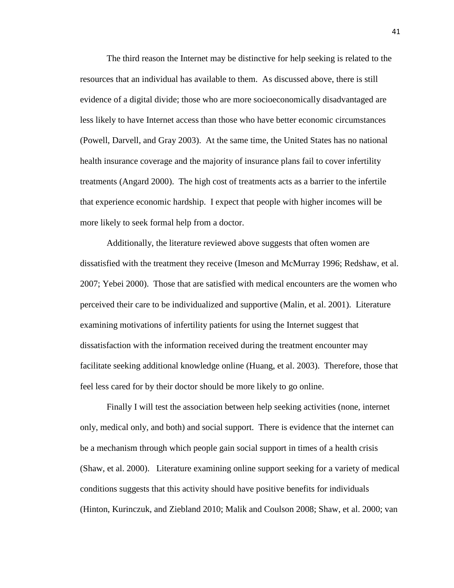The third reason the Internet may be distinctive for help seeking is related to the resources that an individual has available to them. As discussed above, there is still evidence of a digital divide; those who are more socioeconomically disadvantaged are less likely to have Internet access than those who have better economic circumstances (Powell, Darvell, and Gray 2003). At the same time, the United States has no national health insurance coverage and the majority of insurance plans fail to cover infertility treatments (Angard 2000). The high cost of treatments acts as a barrier to the infertile that experience economic hardship. I expect that people with higher incomes will be more likely to seek formal help from a doctor.

Additionally, the literature reviewed above suggests that often women are dissatisfied with the treatment they receive (Imeson and McMurray 1996; Redshaw, et al. 2007; Yebei 2000). Those that are satisfied with medical encounters are the women who perceived their care to be individualized and supportive (Malin, et al. 2001). Literature examining motivations of infertility patients for using the Internet suggest that dissatisfaction with the information received during the treatment encounter may facilitate seeking additional knowledge online (Huang, et al. 2003). Therefore, those that feel less cared for by their doctor should be more likely to go online.

Finally I will test the association between help seeking activities (none, internet only, medical only, and both) and social support. There is evidence that the internet can be a mechanism through which people gain social support in times of a health crisis (Shaw, et al. 2000). Literature examining online support seeking for a variety of medical conditions suggests that this activity should have positive benefits for individuals (Hinton, Kurinczuk, and Ziebland 2010; Malik and Coulson 2008; Shaw, et al. 2000; van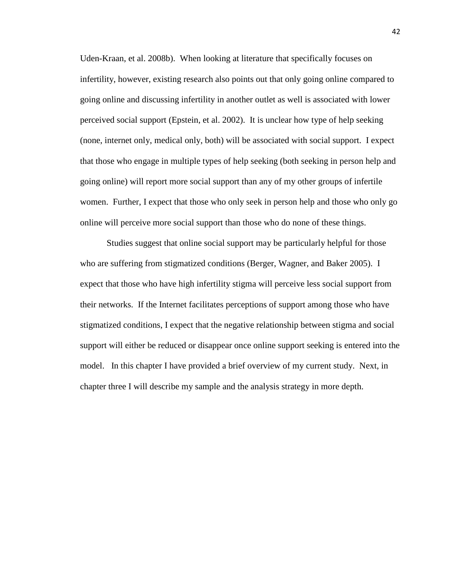Uden-Kraan, et al. 2008b). When looking at literature that specifically focuses on infertility, however, existing research also points out that only going online compared to going online and discussing infertility in another outlet as well is associated with lower perceived social support (Epstein, et al. 2002). It is unclear how type of help seeking (none, internet only, medical only, both) will be associated with social support. I expect that those who engage in multiple types of help seeking (both seeking in person help and going online) will report more social support than any of my other groups of infertile women. Further, I expect that those who only seek in person help and those who only go online will perceive more social support than those who do none of these things.

Studies suggest that online social support may be particularly helpful for those who are suffering from stigmatized conditions (Berger, Wagner, and Baker 2005). I expect that those who have high infertility stigma will perceive less social support from their networks. If the Internet facilitates perceptions of support among those who have stigmatized conditions, I expect that the negative relationship between stigma and social support will either be reduced or disappear once online support seeking is entered into the model. In this chapter I have provided a brief overview of my current study. Next, in chapter three I will describe my sample and the analysis strategy in more depth.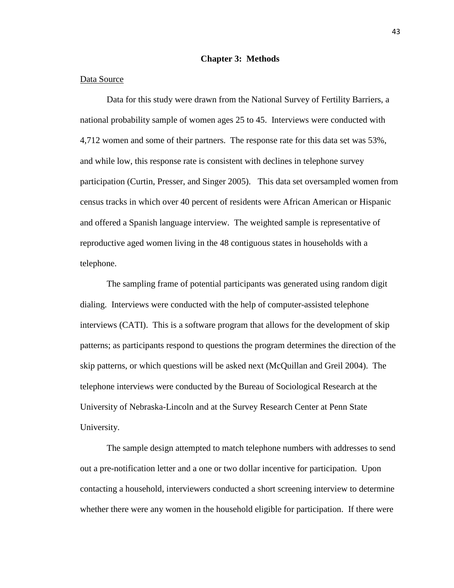### **Chapter 3: Methods**

# Data Source

 Data for this study were drawn from the National Survey of Fertility Barriers, a national probability sample of women ages 25 to 45. Interviews were conducted with 4,712 women and some of their partners. The response rate for this data set was 53%, and while low, this response rate is consistent with declines in telephone survey participation (Curtin, Presser, and Singer 2005). This data set oversampled women from census tracks in which over 40 percent of residents were African American or Hispanic and offered a Spanish language interview. The weighted sample is representative of reproductive aged women living in the 48 contiguous states in households with a telephone.

 The sampling frame of potential participants was generated using random digit dialing. Interviews were conducted with the help of computer-assisted telephone interviews (CATI). This is a software program that allows for the development of skip patterns; as participants respond to questions the program determines the direction of the skip patterns, or which questions will be asked next (McQuillan and Greil 2004). The telephone interviews were conducted by the Bureau of Sociological Research at the University of Nebraska-Lincoln and at the Survey Research Center at Penn State University.

 The sample design attempted to match telephone numbers with addresses to send out a pre-notification letter and a one or two dollar incentive for participation. Upon contacting a household, interviewers conducted a short screening interview to determine whether there were any women in the household eligible for participation. If there were

43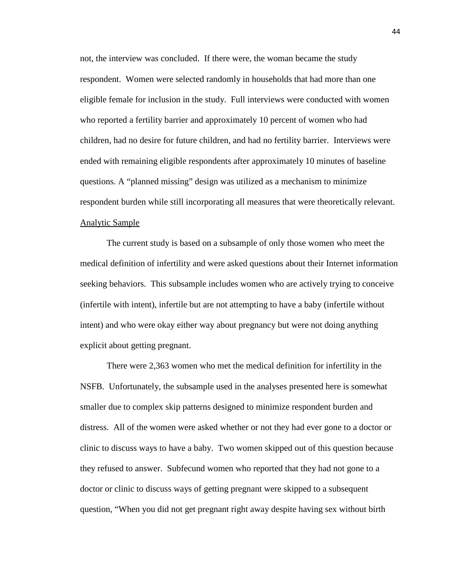not, the interview was concluded. If there were, the woman became the study respondent. Women were selected randomly in households that had more than one eligible female for inclusion in the study. Full interviews were conducted with women who reported a fertility barrier and approximately 10 percent of women who had children, had no desire for future children, and had no fertility barrier. Interviews were ended with remaining eligible respondents after approximately 10 minutes of baseline questions. A "planned missing" design was utilized as a mechanism to minimize respondent burden while still incorporating all measures that were theoretically relevant. Analytic Sample

 The current study is based on a subsample of only those women who meet the medical definition of infertility and were asked questions about their Internet information seeking behaviors. This subsample includes women who are actively trying to conceive (infertile with intent), infertile but are not attempting to have a baby (infertile without intent) and who were okay either way about pregnancy but were not doing anything explicit about getting pregnant.

There were 2,363 women who met the medical definition for infertility in the NSFB. Unfortunately, the subsample used in the analyses presented here is somewhat smaller due to complex skip patterns designed to minimize respondent burden and distress. All of the women were asked whether or not they had ever gone to a doctor or clinic to discuss ways to have a baby. Two women skipped out of this question because they refused to answer. Subfecund women who reported that they had not gone to a doctor or clinic to discuss ways of getting pregnant were skipped to a subsequent question, "When you did not get pregnant right away despite having sex without birth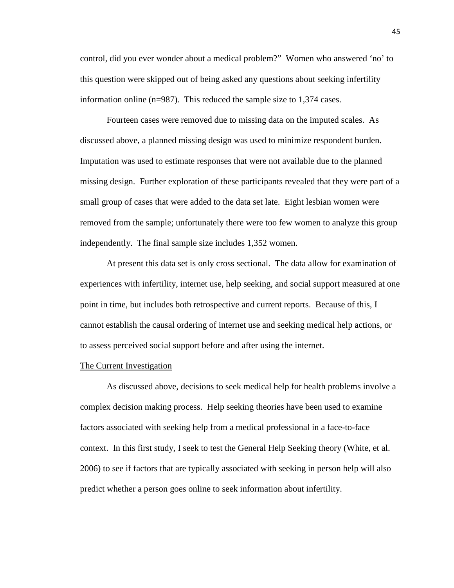control, did you ever wonder about a medical problem?" Women who answered 'no' to this question were skipped out of being asked any questions about seeking infertility information online (n=987). This reduced the sample size to 1,374 cases.

Fourteen cases were removed due to missing data on the imputed scales. As discussed above, a planned missing design was used to minimize respondent burden. Imputation was used to estimate responses that were not available due to the planned missing design. Further exploration of these participants revealed that they were part of a small group of cases that were added to the data set late. Eight lesbian women were removed from the sample; unfortunately there were too few women to analyze this group independently. The final sample size includes 1,352 women.

 At present this data set is only cross sectional. The data allow for examination of experiences with infertility, internet use, help seeking, and social support measured at one point in time, but includes both retrospective and current reports. Because of this, I cannot establish the causal ordering of internet use and seeking medical help actions, or to assess perceived social support before and after using the internet.

### The Current Investigation

 As discussed above, decisions to seek medical help for health problems involve a complex decision making process. Help seeking theories have been used to examine factors associated with seeking help from a medical professional in a face-to-face context. In this first study, I seek to test the General Help Seeking theory (White, et al. 2006) to see if factors that are typically associated with seeking in person help will also predict whether a person goes online to seek information about infertility.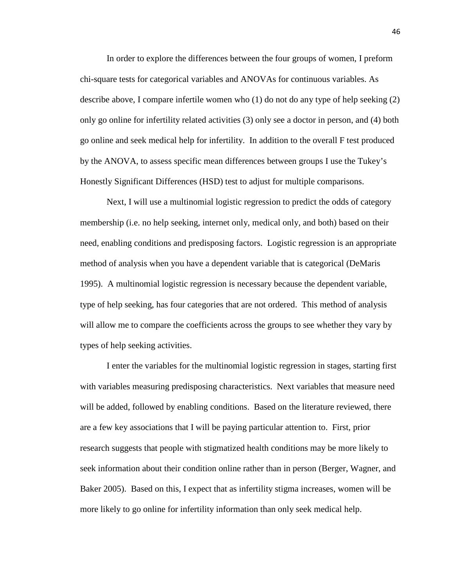In order to explore the differences between the four groups of women, I preform chi-square tests for categorical variables and ANOVAs for continuous variables. As describe above, I compare infertile women who (1) do not do any type of help seeking (2) only go online for infertility related activities (3) only see a doctor in person, and (4) both go online and seek medical help for infertility. In addition to the overall F test produced by the ANOVA, to assess specific mean differences between groups I use the Tukey's Honestly Significant Differences (HSD) test to adjust for multiple comparisons.

 Next, I will use a multinomial logistic regression to predict the odds of category membership (i.e. no help seeking, internet only, medical only, and both) based on their need, enabling conditions and predisposing factors. Logistic regression is an appropriate method of analysis when you have a dependent variable that is categorical (DeMaris 1995). A multinomial logistic regression is necessary because the dependent variable, type of help seeking, has four categories that are not ordered. This method of analysis will allow me to compare the coefficients across the groups to see whether they vary by types of help seeking activities.

 I enter the variables for the multinomial logistic regression in stages, starting first with variables measuring predisposing characteristics. Next variables that measure need will be added, followed by enabling conditions. Based on the literature reviewed, there are a few key associations that I will be paying particular attention to. First, prior research suggests that people with stigmatized health conditions may be more likely to seek information about their condition online rather than in person (Berger, Wagner, and Baker 2005). Based on this, I expect that as infertility stigma increases, women will be more likely to go online for infertility information than only seek medical help.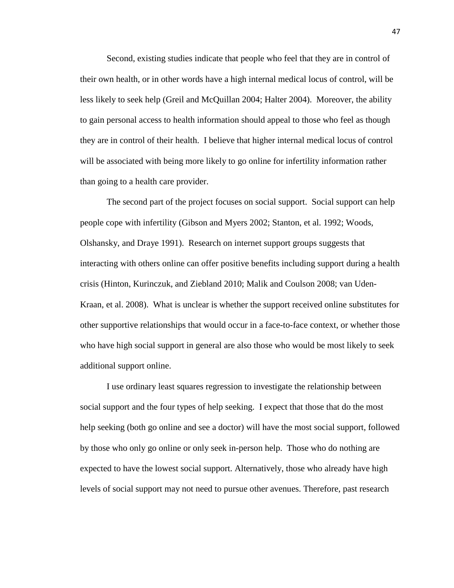Second, existing studies indicate that people who feel that they are in control of their own health, or in other words have a high internal medical locus of control, will be less likely to seek help (Greil and McQuillan 2004; Halter 2004). Moreover, the ability to gain personal access to health information should appeal to those who feel as though they are in control of their health. I believe that higher internal medical locus of control will be associated with being more likely to go online for infertility information rather than going to a health care provider.

 The second part of the project focuses on social support. Social support can help people cope with infertility (Gibson and Myers 2002; Stanton, et al. 1992; Woods, Olshansky, and Draye 1991). Research on internet support groups suggests that interacting with others online can offer positive benefits including support during a health crisis (Hinton, Kurinczuk, and Ziebland 2010; Malik and Coulson 2008; van Uden-Kraan, et al. 2008). What is unclear is whether the support received online substitutes for other supportive relationships that would occur in a face-to-face context, or whether those who have high social support in general are also those who would be most likely to seek additional support online.

I use ordinary least squares regression to investigate the relationship between social support and the four types of help seeking. I expect that those that do the most help seeking (both go online and see a doctor) will have the most social support, followed by those who only go online or only seek in-person help. Those who do nothing are expected to have the lowest social support. Alternatively, those who already have high levels of social support may not need to pursue other avenues. Therefore, past research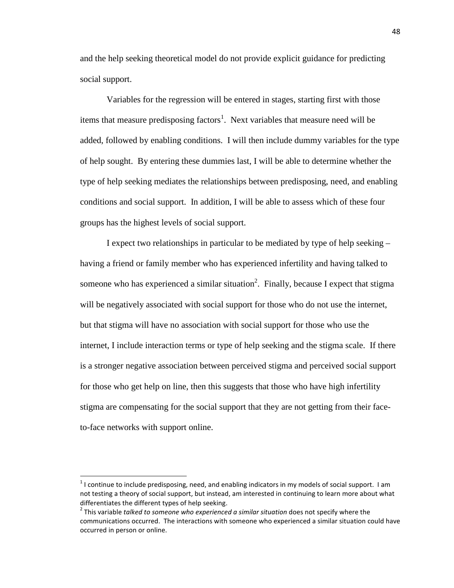and the help seeking theoretical model do not provide explicit guidance for predicting social support.

Variables for the regression will be entered in stages, starting first with those items that measure predisposing factors<sup>1</sup>. Next variables that measure need will be added, followed by enabling conditions. I will then include dummy variables for the type of help sought. By entering these dummies last, I will be able to determine whether the type of help seeking mediates the relationships between predisposing, need, and enabling conditions and social support. In addition, I will be able to assess which of these four groups has the highest levels of social support.

I expect two relationships in particular to be mediated by type of help seeking – having a friend or family member who has experienced infertility and having talked to someone who has experienced a similar situation<sup>2</sup>. Finally, because I expect that stigma will be negatively associated with social support for those who do not use the internet, but that stigma will have no association with social support for those who use the internet, I include interaction terms or type of help seeking and the stigma scale. If there is a stronger negative association between perceived stigma and perceived social support for those who get help on line, then this suggests that those who have high infertility stigma are compensating for the social support that they are not getting from their faceto-face networks with support online.

-

 $1$ I continue to include predisposing, need, and enabling indicators in my models of social support. I am not testing a theory of social support, but instead, am interested in continuing to learn more about what differentiates the different types of help seeking.

<sup>&</sup>lt;sup>2</sup> This variable *talked to someone who experienced a similar situation* does not specify where the communications occurred. The interactions with someone who experienced a similar situation could have occurred in person or online.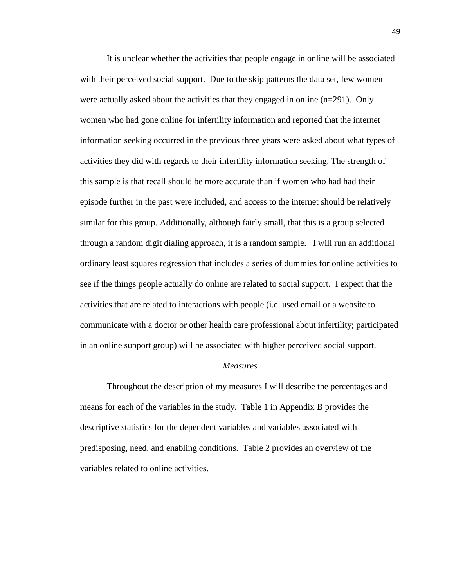It is unclear whether the activities that people engage in online will be associated with their perceived social support. Due to the skip patterns the data set, few women were actually asked about the activities that they engaged in online  $(n=291)$ . Only women who had gone online for infertility information and reported that the internet information seeking occurred in the previous three years were asked about what types of activities they did with regards to their infertility information seeking. The strength of this sample is that recall should be more accurate than if women who had had their episode further in the past were included, and access to the internet should be relatively similar for this group. Additionally, although fairly small, that this is a group selected through a random digit dialing approach, it is a random sample. I will run an additional ordinary least squares regression that includes a series of dummies for online activities to see if the things people actually do online are related to social support. I expect that the activities that are related to interactions with people (i.e. used email or a website to communicate with a doctor or other health care professional about infertility; participated in an online support group) will be associated with higher perceived social support.

### *Measures*

Throughout the description of my measures I will describe the percentages and means for each of the variables in the study. Table 1 in Appendix B provides the descriptive statistics for the dependent variables and variables associated with predisposing, need, and enabling conditions. Table 2 provides an overview of the variables related to online activities.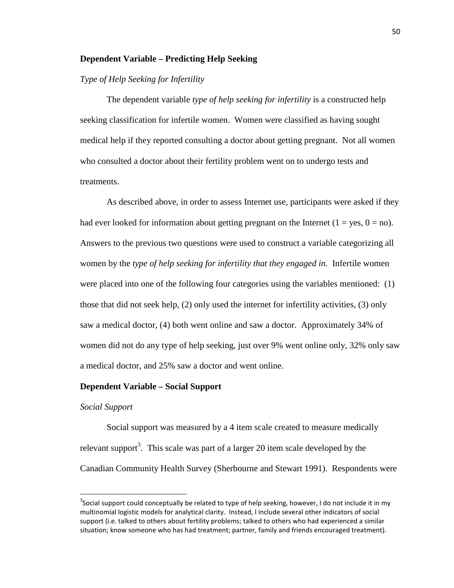# **Dependent Variable – Predicting Help Seeking**

# *Type of Help Seeking for Infertility*

 The dependent variable *type of help seeking for infertility* is a constructed help seeking classification for infertile women. Women were classified as having sought medical help if they reported consulting a doctor about getting pregnant. Not all women who consulted a doctor about their fertility problem went on to undergo tests and treatments.

 As described above, in order to assess Internet use, participants were asked if they had ever looked for information about getting pregnant on the Internet  $(1 = yes, 0 = no)$ . Answers to the previous two questions were used to construct a variable categorizing all women by the *type of help seeking for infertility that they engaged in.* Infertile women were placed into one of the following four categories using the variables mentioned: (1) those that did not seek help, (2) only used the internet for infertility activities, (3) only saw a medical doctor, (4) both went online and saw a doctor. Approximately 34% of women did not do any type of help seeking, just over 9% went online only, 32% only saw a medical doctor, and 25% saw a doctor and went online.

### **Dependent Variable – Social Support**

### *Social Support*

-

Social support was measured by a 4 item scale created to measure medically relevant support<sup>3</sup>. This scale was part of a larger 20 item scale developed by the Canadian Community Health Survey (Sherbourne and Stewart 1991). Respondents were

<sup>&</sup>lt;sup>3</sup>Social support could conceptually be related to type of help seeking, however, I do not include it in my multinomial logistic models for analytical clarity. Instead, I include several other indicators of social support (i.e. talked to others about fertility problems; talked to others who had experienced a similar situation; know someone who has had treatment; partner, family and friends encouraged treatment).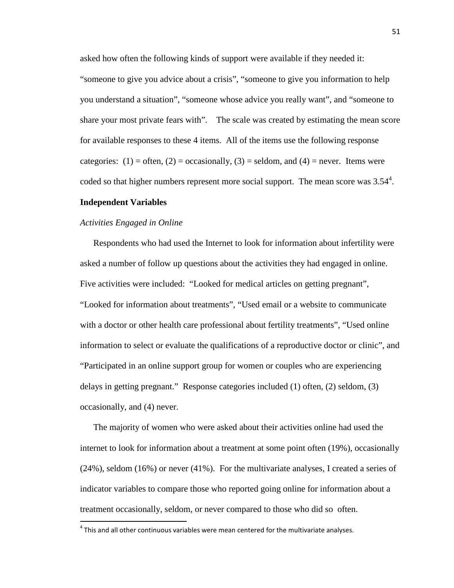asked how often the following kinds of support were available if they needed it:

"someone to give you advice about a crisis", "someone to give you information to help you understand a situation", "someone whose advice you really want", and "someone to share your most private fears with". The scale was created by estimating the mean score for available responses to these 4 items. All of the items use the following response categories:  $(1)$  = often,  $(2)$  = occasionally,  $(3)$  = seldom, and  $(4)$  = never. Items were coded so that higher numbers represent more social support. The mean score was  $3.54<sup>4</sup>$ .

### **Independent Variables**

.<br>-

## *Activities Engaged in Online*

Respondents who had used the Internet to look for information about infertility were asked a number of follow up questions about the activities they had engaged in online. Five activities were included: "Looked for medical articles on getting pregnant", "Looked for information about treatments", "Used email or a website to communicate with a doctor or other health care professional about fertility treatments", "Used online information to select or evaluate the qualifications of a reproductive doctor or clinic", and "Participated in an online support group for women or couples who are experiencing delays in getting pregnant." Response categories included (1) often, (2) seldom, (3) occasionally, and (4) never.

The majority of women who were asked about their activities online had used the internet to look for information about a treatment at some point often (19%), occasionally (24%), seldom (16%) or never (41%). For the multivariate analyses, I created a series of indicator variables to compare those who reported going online for information about a treatment occasionally, seldom, or never compared to those who did so often.

 $<sup>4</sup>$  This and all other continuous variables were mean centered for the multivariate analyses.</sup>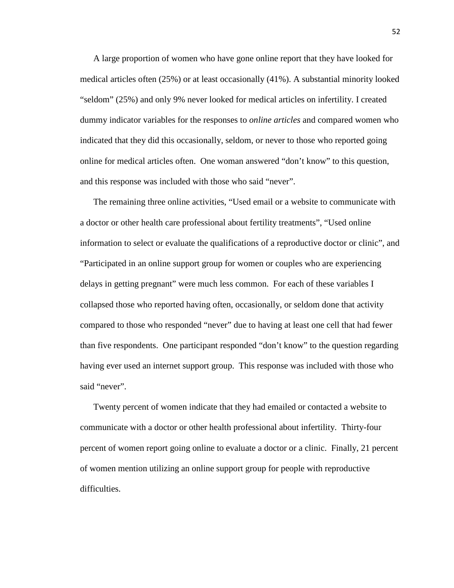A large proportion of women who have gone online report that they have looked for medical articles often (25%) or at least occasionally (41%). A substantial minority looked "seldom" (25%) and only 9% never looked for medical articles on infertility. I created dummy indicator variables for the responses to *online articles* and compared women who indicated that they did this occasionally, seldom, or never to those who reported going online for medical articles often. One woman answered "don't know" to this question, and this response was included with those who said "never".

The remaining three online activities, "Used email or a website to communicate with a doctor or other health care professional about fertility treatments", "Used online information to select or evaluate the qualifications of a reproductive doctor or clinic", and "Participated in an online support group for women or couples who are experiencing delays in getting pregnant" were much less common. For each of these variables I collapsed those who reported having often, occasionally, or seldom done that activity compared to those who responded "never" due to having at least one cell that had fewer than five respondents. One participant responded "don't know" to the question regarding having ever used an internet support group. This response was included with those who said "never".

Twenty percent of women indicate that they had emailed or contacted a website to communicate with a doctor or other health professional about infertility. Thirty-four percent of women report going online to evaluate a doctor or a clinic. Finally, 21 percent of women mention utilizing an online support group for people with reproductive difficulties.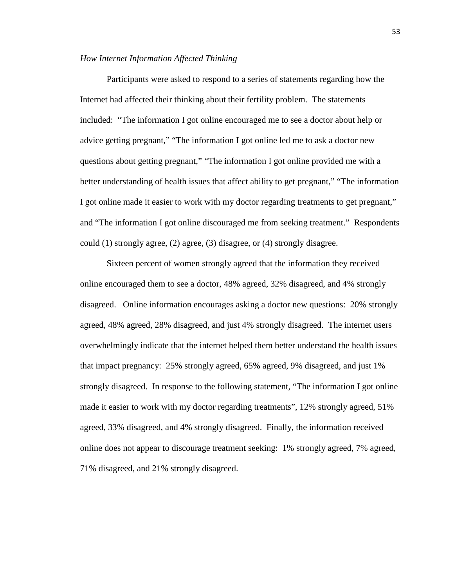### *How Internet Information Affected Thinking*

Participants were asked to respond to a series of statements regarding how the Internet had affected their thinking about their fertility problem. The statements included: "The information I got online encouraged me to see a doctor about help or advice getting pregnant," "The information I got online led me to ask a doctor new questions about getting pregnant," "The information I got online provided me with a better understanding of health issues that affect ability to get pregnant," "The information I got online made it easier to work with my doctor regarding treatments to get pregnant," and "The information I got online discouraged me from seeking treatment." Respondents could (1) strongly agree, (2) agree, (3) disagree, or (4) strongly disagree.

 Sixteen percent of women strongly agreed that the information they received online encouraged them to see a doctor, 48% agreed, 32% disagreed, and 4% strongly disagreed. Online information encourages asking a doctor new questions: 20% strongly agreed, 48% agreed, 28% disagreed, and just 4% strongly disagreed. The internet users overwhelmingly indicate that the internet helped them better understand the health issues that impact pregnancy: 25% strongly agreed, 65% agreed, 9% disagreed, and just 1% strongly disagreed. In response to the following statement, "The information I got online made it easier to work with my doctor regarding treatments", 12% strongly agreed, 51% agreed, 33% disagreed, and 4% strongly disagreed. Finally, the information received online does not appear to discourage treatment seeking: 1% strongly agreed, 7% agreed, 71% disagreed, and 21% strongly disagreed.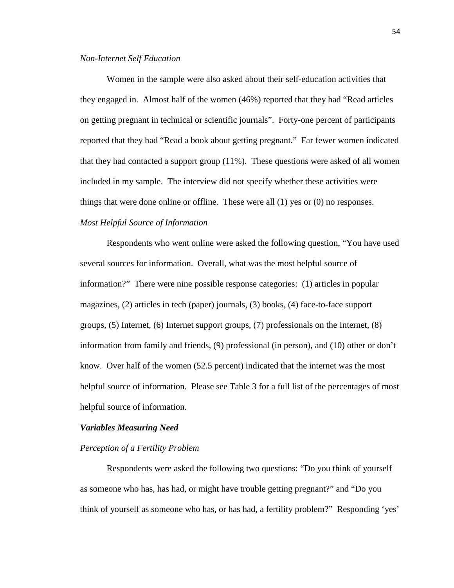### *Non-Internet Self Education*

Women in the sample were also asked about their self-education activities that they engaged in. Almost half of the women (46%) reported that they had "Read articles on getting pregnant in technical or scientific journals". Forty-one percent of participants reported that they had "Read a book about getting pregnant." Far fewer women indicated that they had contacted a support group (11%). These questions were asked of all women included in my sample. The interview did not specify whether these activities were things that were done online or offline. These were all (1) yes or (0) no responses. *Most Helpful Source of Information* 

 Respondents who went online were asked the following question, "You have used several sources for information. Overall, what was the most helpful source of information?" There were nine possible response categories: (1) articles in popular magazines, (2) articles in tech (paper) journals, (3) books, (4) face-to-face support groups, (5) Internet, (6) Internet support groups, (7) professionals on the Internet, (8) information from family and friends, (9) professional (in person), and (10) other or don't know. Over half of the women (52.5 percent) indicated that the internet was the most helpful source of information. Please see Table 3 for a full list of the percentages of most helpful source of information.

### *Variables Measuring Need*

## *Perception of a Fertility Problem*

Respondents were asked the following two questions: "Do you think of yourself as someone who has, has had, or might have trouble getting pregnant?" and "Do you think of yourself as someone who has, or has had, a fertility problem?" Responding 'yes'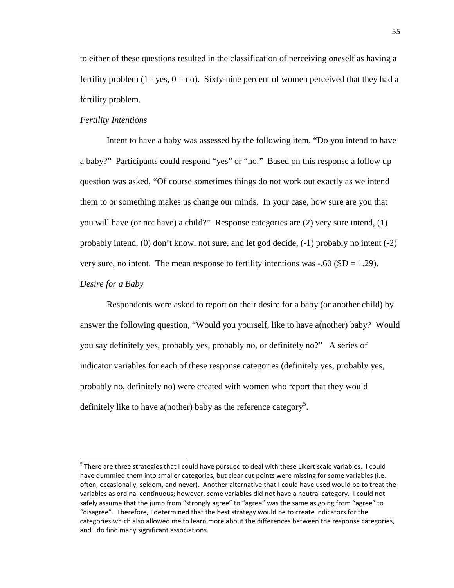to either of these questions resulted in the classification of perceiving oneself as having a fertility problem ( $1 = yes$ ,  $0 = no$ ). Sixty-nine percent of women perceived that they had a fertility problem.

## *Fertility Intentions*

Intent to have a baby was assessed by the following item, "Do you intend to have a baby?" Participants could respond "yes" or "no." Based on this response a follow up question was asked, "Of course sometimes things do not work out exactly as we intend them to or something makes us change our minds. In your case, how sure are you that you will have (or not have) a child?" Response categories are (2) very sure intend, (1) probably intend, (0) don't know, not sure, and let god decide, (-1) probably no intent (-2) very sure, no intent. The mean response to fertility intentions was  $-.60$  (SD = 1.29).

## *Desire for a Baby*

-

 Respondents were asked to report on their desire for a baby (or another child) by answer the following question, "Would you yourself, like to have a(nother) baby? Would you say definitely yes, probably yes, probably no, or definitely no?" A series of indicator variables for each of these response categories (definitely yes, probably yes, probably no, definitely no) were created with women who report that they would definitely like to have a(nother) baby as the reference category<sup>5</sup>.

<sup>&</sup>lt;sup>5</sup> There are three strategies that I could have pursued to deal with these Likert scale variables. I could have dummied them into smaller categories, but clear cut points were missing for some variables (i.e. often, occasionally, seldom, and never). Another alternative that I could have used would be to treat the variables as ordinal continuous; however, some variables did not have a neutral category. I could not safely assume that the jump from "strongly agree" to "agree" was the same as going from "agree" to "disagree". Therefore, I determined that the best strategy would be to create indicators for the categories which also allowed me to learn more about the differences between the response categories, and I do find many significant associations.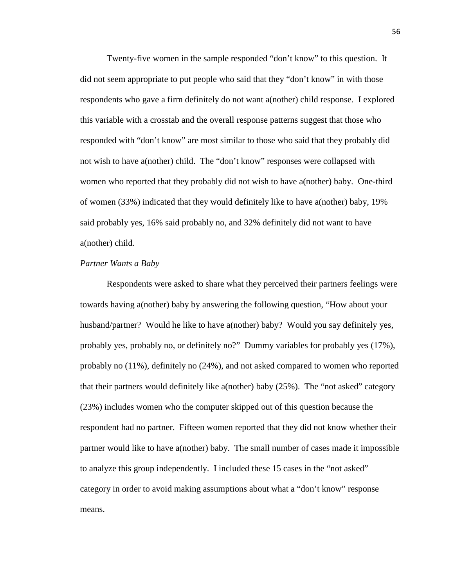Twenty-five women in the sample responded "don't know" to this question. It did not seem appropriate to put people who said that they "don't know" in with those respondents who gave a firm definitely do not want a(nother) child response. I explored this variable with a crosstab and the overall response patterns suggest that those who responded with "don't know" are most similar to those who said that they probably did not wish to have a(nother) child. The "don't know" responses were collapsed with women who reported that they probably did not wish to have a(nother) baby. One-third of women (33%) indicated that they would definitely like to have a(nother) baby, 19% said probably yes, 16% said probably no, and 32% definitely did not want to have a(nother) child.

### *Partner Wants a Baby*

Respondents were asked to share what they perceived their partners feelings were towards having a(nother) baby by answering the following question, "How about your husband/partner? Would he like to have a(nother) baby? Would you say definitely yes, probably yes, probably no, or definitely no?" Dummy variables for probably yes (17%), probably no (11%), definitely no (24%), and not asked compared to women who reported that their partners would definitely like a(nother) baby (25%). The "not asked" category (23%) includes women who the computer skipped out of this question because the respondent had no partner. Fifteen women reported that they did not know whether their partner would like to have a(nother) baby. The small number of cases made it impossible to analyze this group independently. I included these 15 cases in the "not asked" category in order to avoid making assumptions about what a "don't know" response means.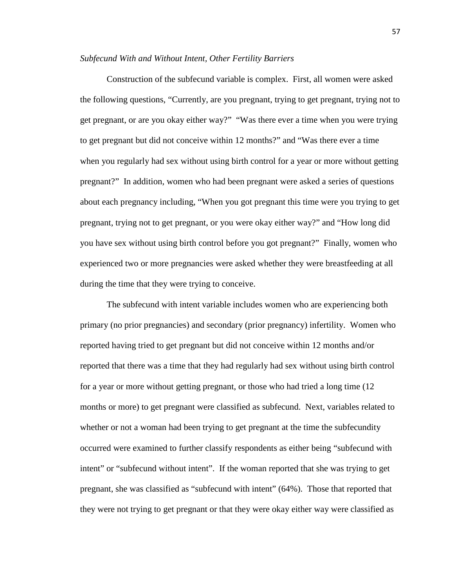### *Subfecund With and Without Intent, Other Fertility Barriers*

 Construction of the subfecund variable is complex. First, all women were asked the following questions, "Currently, are you pregnant, trying to get pregnant, trying not to get pregnant, or are you okay either way?" "Was there ever a time when you were trying to get pregnant but did not conceive within 12 months?" and "Was there ever a time when you regularly had sex without using birth control for a year or more without getting pregnant?" In addition, women who had been pregnant were asked a series of questions about each pregnancy including, "When you got pregnant this time were you trying to get pregnant, trying not to get pregnant, or you were okay either way?" and "How long did you have sex without using birth control before you got pregnant?" Finally, women who experienced two or more pregnancies were asked whether they were breastfeeding at all during the time that they were trying to conceive.

 The subfecund with intent variable includes women who are experiencing both primary (no prior pregnancies) and secondary (prior pregnancy) infertility. Women who reported having tried to get pregnant but did not conceive within 12 months and/or reported that there was a time that they had regularly had sex without using birth control for a year or more without getting pregnant, or those who had tried a long time (12 months or more) to get pregnant were classified as subfecund. Next, variables related to whether or not a woman had been trying to get pregnant at the time the subfecundity occurred were examined to further classify respondents as either being "subfecund with intent" or "subfecund without intent". If the woman reported that she was trying to get pregnant, she was classified as "subfecund with intent" (64%). Those that reported that they were not trying to get pregnant or that they were okay either way were classified as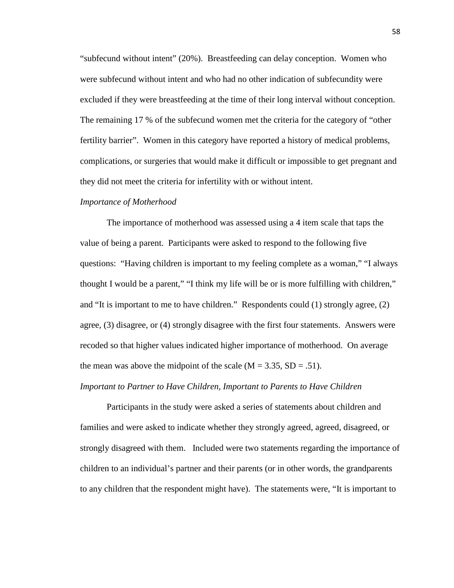"subfecund without intent" (20%). Breastfeeding can delay conception. Women who were subfecund without intent and who had no other indication of subfecundity were excluded if they were breastfeeding at the time of their long interval without conception. The remaining 17 % of the subfecund women met the criteria for the category of "other fertility barrier". Women in this category have reported a history of medical problems, complications, or surgeries that would make it difficult or impossible to get pregnant and they did not meet the criteria for infertility with or without intent.

### *Importance of Motherhood*

The importance of motherhood was assessed using a 4 item scale that taps the value of being a parent. Participants were asked to respond to the following five questions: "Having children is important to my feeling complete as a woman," "I always thought I would be a parent," "I think my life will be or is more fulfilling with children," and "It is important to me to have children." Respondents could (1) strongly agree, (2) agree, (3) disagree, or (4) strongly disagree with the first four statements. Answers were recoded so that higher values indicated higher importance of motherhood. On average the mean was above the midpoint of the scale  $(M = 3.35, SD = .51)$ .

### *Important to Partner to Have Children, Important to Parents to Have Children*

 Participants in the study were asked a series of statements about children and families and were asked to indicate whether they strongly agreed, agreed, disagreed, or strongly disagreed with them. Included were two statements regarding the importance of children to an individual's partner and their parents (or in other words, the grandparents to any children that the respondent might have). The statements were, "It is important to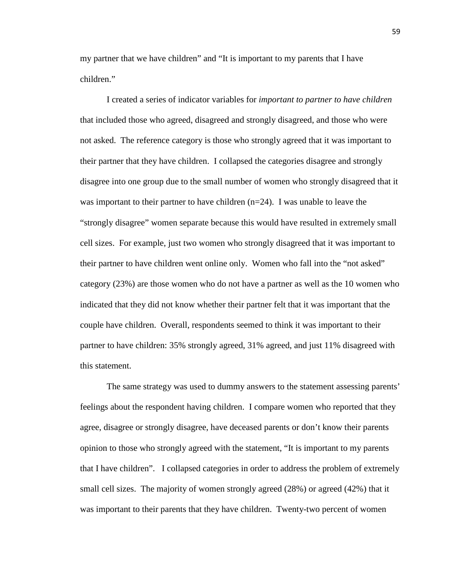my partner that we have children" and "It is important to my parents that I have children."

 I created a series of indicator variables for *important to partner to have children* that included those who agreed, disagreed and strongly disagreed, and those who were not asked. The reference category is those who strongly agreed that it was important to their partner that they have children. I collapsed the categories disagree and strongly disagree into one group due to the small number of women who strongly disagreed that it was important to their partner to have children  $(n=24)$ . I was unable to leave the "strongly disagree" women separate because this would have resulted in extremely small cell sizes. For example, just two women who strongly disagreed that it was important to their partner to have children went online only. Women who fall into the "not asked" category (23%) are those women who do not have a partner as well as the 10 women who indicated that they did not know whether their partner felt that it was important that the couple have children. Overall, respondents seemed to think it was important to their partner to have children: 35% strongly agreed, 31% agreed, and just 11% disagreed with this statement.

 The same strategy was used to dummy answers to the statement assessing parents' feelings about the respondent having children. I compare women who reported that they agree, disagree or strongly disagree, have deceased parents or don't know their parents opinion to those who strongly agreed with the statement, "It is important to my parents that I have children". I collapsed categories in order to address the problem of extremely small cell sizes. The majority of women strongly agreed (28%) or agreed (42%) that it was important to their parents that they have children. Twenty-two percent of women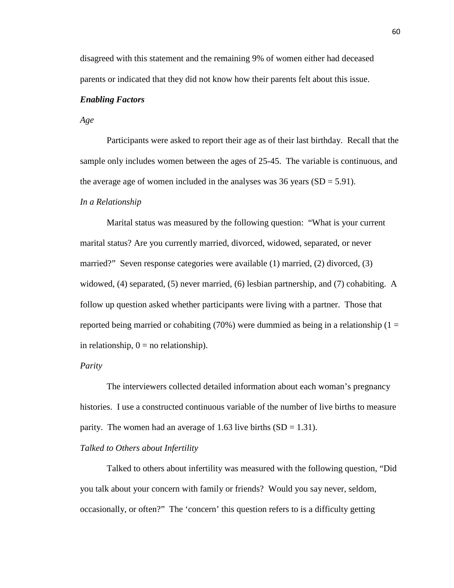disagreed with this statement and the remaining 9% of women either had deceased parents or indicated that they did not know how their parents felt about this issue.

# *Enabling Factors*

*Age* 

Participants were asked to report their age as of their last birthday. Recall that the sample only includes women between the ages of 25-45. The variable is continuous, and the average age of women included in the analyses was  $36$  years (SD = 5.91).

### *In a Relationship*

Marital status was measured by the following question: "What is your current marital status? Are you currently married, divorced, widowed, separated, or never married?" Seven response categories were available (1) married, (2) divorced, (3) widowed, (4) separated, (5) never married, (6) lesbian partnership, and (7) cohabiting. A follow up question asked whether participants were living with a partner. Those that reported being married or cohabiting  $(70%)$  were dummied as being in a relationship  $(1 =$ in relationship,  $0 =$  no relationship).

# *Parity*

The interviewers collected detailed information about each woman's pregnancy histories. I use a constructed continuous variable of the number of live births to measure parity. The women had an average of 1.63 live births  $(SD = 1.31)$ .

### *Talked to Others about Infertility*

Talked to others about infertility was measured with the following question, "Did you talk about your concern with family or friends? Would you say never, seldom, occasionally, or often?" The 'concern' this question refers to is a difficulty getting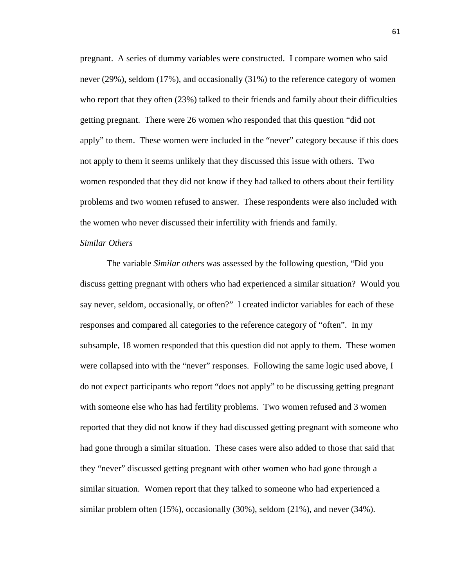pregnant. A series of dummy variables were constructed. I compare women who said never (29%), seldom (17%), and occasionally (31%) to the reference category of women who report that they often (23%) talked to their friends and family about their difficulties getting pregnant. There were 26 women who responded that this question "did not apply" to them. These women were included in the "never" category because if this does not apply to them it seems unlikely that they discussed this issue with others. Two women responded that they did not know if they had talked to others about their fertility problems and two women refused to answer. These respondents were also included with the women who never discussed their infertility with friends and family.

## *Similar Others*

The variable *Similar others* was assessed by the following question, "Did you discuss getting pregnant with others who had experienced a similar situation? Would you say never, seldom, occasionally, or often?" I created indictor variables for each of these responses and compared all categories to the reference category of "often". In my subsample, 18 women responded that this question did not apply to them. These women were collapsed into with the "never" responses. Following the same logic used above, I do not expect participants who report "does not apply" to be discussing getting pregnant with someone else who has had fertility problems. Two women refused and 3 women reported that they did not know if they had discussed getting pregnant with someone who had gone through a similar situation. These cases were also added to those that said that they "never" discussed getting pregnant with other women who had gone through a similar situation. Women report that they talked to someone who had experienced a similar problem often (15%), occasionally (30%), seldom (21%), and never (34%).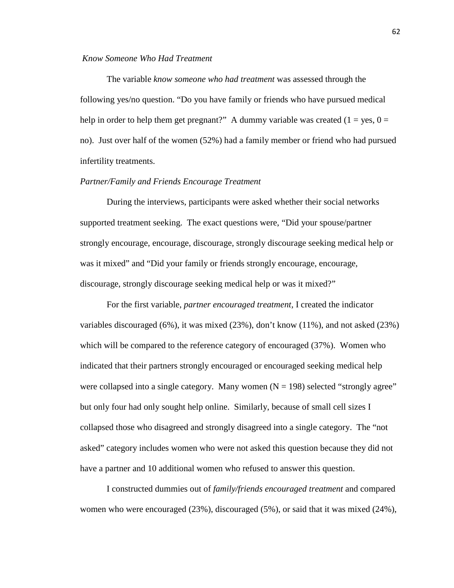### *Know Someone Who Had Treatment*

The variable *know someone who had treatment* was assessed through the following yes/no question. "Do you have family or friends who have pursued medical help in order to help them get pregnant?" A dummy variable was created  $(1 = yes, 0 =$ no). Just over half of the women (52%) had a family member or friend who had pursued infertility treatments.

# *Partner/Family and Friends Encourage Treatment*

During the interviews, participants were asked whether their social networks supported treatment seeking. The exact questions were, "Did your spouse/partner strongly encourage, encourage, discourage, strongly discourage seeking medical help or was it mixed" and "Did your family or friends strongly encourage, encourage, discourage, strongly discourage seeking medical help or was it mixed?"

 For the first variable, *partner encouraged treatment,* I created the indicator variables discouraged (6%), it was mixed (23%), don't know (11%), and not asked (23%) which will be compared to the reference category of encouraged (37%). Women who indicated that their partners strongly encouraged or encouraged seeking medical help were collapsed into a single category. Many women  $(N = 198)$  selected "strongly agree" but only four had only sought help online. Similarly, because of small cell sizes I collapsed those who disagreed and strongly disagreed into a single category. The "not asked" category includes women who were not asked this question because they did not have a partner and 10 additional women who refused to answer this question.

 I constructed dummies out of *family/friends encouraged treatment* and compared women who were encouraged (23%), discouraged (5%), or said that it was mixed (24%),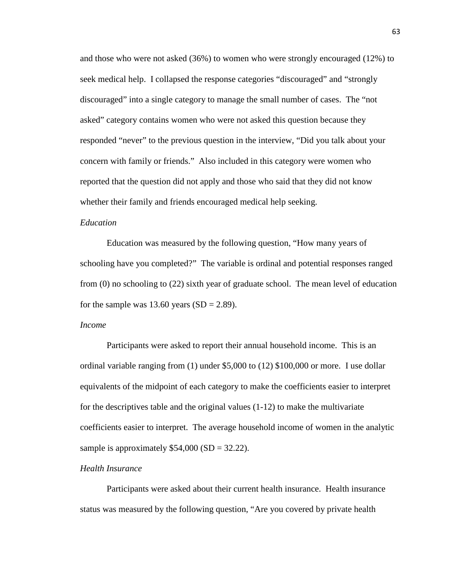and those who were not asked (36%) to women who were strongly encouraged (12%) to seek medical help. I collapsed the response categories "discouraged" and "strongly discouraged" into a single category to manage the small number of cases. The "not asked" category contains women who were not asked this question because they responded "never" to the previous question in the interview, "Did you talk about your concern with family or friends." Also included in this category were women who reported that the question did not apply and those who said that they did not know whether their family and friends encouraged medical help seeking.

## *Education*

Education was measured by the following question, "How many years of schooling have you completed?" The variable is ordinal and potential responses ranged from (0) no schooling to (22) sixth year of graduate school. The mean level of education for the sample was 13.60 years  $(SD = 2.89)$ .

## *Income*

Participants were asked to report their annual household income. This is an ordinal variable ranging from (1) under \$5,000 to (12) \$100,000 or more. I use dollar equivalents of the midpoint of each category to make the coefficients easier to interpret for the descriptives table and the original values  $(1-12)$  to make the multivariate coefficients easier to interpret. The average household income of women in the analytic sample is approximately  $$54,000 (SD = 32.22)$ .

### *Health Insurance*

Participants were asked about their current health insurance. Health insurance status was measured by the following question, "Are you covered by private health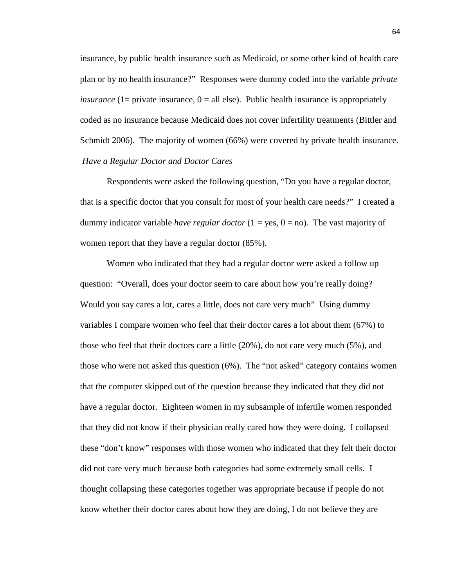insurance, by public health insurance such as Medicaid, or some other kind of health care plan or by no health insurance?" Responses were dummy coded into the variable *private insurance* ( $1=$  private insurance,  $0=$  all else). Public health insurance is appropriately coded as no insurance because Medicaid does not cover infertility treatments (Bittler and Schmidt 2006). The majority of women (66%) were covered by private health insurance. *Have a Regular Doctor and Doctor Cares* 

Respondents were asked the following question, "Do you have a regular doctor, that is a specific doctor that you consult for most of your health care needs?" I created a dummy indicator variable *have regular doctor*  $(1 = yes, 0 = no)$ . The vast majority of women report that they have a regular doctor (85%).

Women who indicated that they had a regular doctor were asked a follow up question: "Overall, does your doctor seem to care about how you're really doing? Would you say cares a lot, cares a little, does not care very much" Using dummy variables I compare women who feel that their doctor cares a lot about them (67%) to those who feel that their doctors care a little (20%), do not care very much (5%), and those who were not asked this question (6%). The "not asked" category contains women that the computer skipped out of the question because they indicated that they did not have a regular doctor. Eighteen women in my subsample of infertile women responded that they did not know if their physician really cared how they were doing. I collapsed these "don't know" responses with those women who indicated that they felt their doctor did not care very much because both categories had some extremely small cells. I thought collapsing these categories together was appropriate because if people do not know whether their doctor cares about how they are doing, I do not believe they are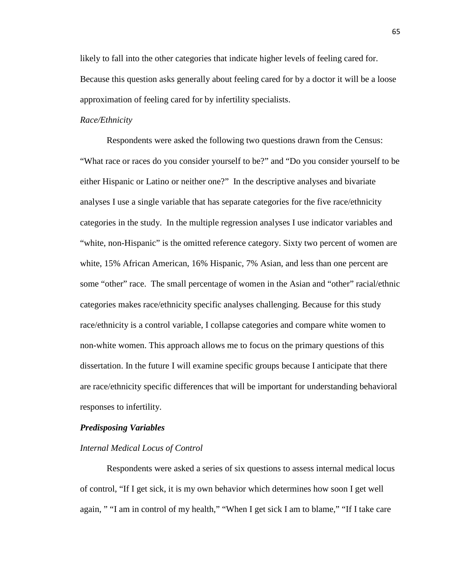likely to fall into the other categories that indicate higher levels of feeling cared for. Because this question asks generally about feeling cared for by a doctor it will be a loose approximation of feeling cared for by infertility specialists.

# *Race/Ethnicity*

Respondents were asked the following two questions drawn from the Census: "What race or races do you consider yourself to be?" and "Do you consider yourself to be either Hispanic or Latino or neither one?" In the descriptive analyses and bivariate analyses I use a single variable that has separate categories for the five race/ethnicity categories in the study. In the multiple regression analyses I use indicator variables and "white, non-Hispanic" is the omitted reference category. Sixty two percent of women are white, 15% African American, 16% Hispanic, 7% Asian, and less than one percent are some "other" race. The small percentage of women in the Asian and "other" racial/ethnic categories makes race/ethnicity specific analyses challenging. Because for this study race/ethnicity is a control variable, I collapse categories and compare white women to non-white women. This approach allows me to focus on the primary questions of this dissertation. In the future I will examine specific groups because I anticipate that there are race/ethnicity specific differences that will be important for understanding behavioral responses to infertility.

#### *Predisposing Variables*

#### *Internal Medical Locus of Control*

 Respondents were asked a series of six questions to assess internal medical locus of control, "If I get sick, it is my own behavior which determines how soon I get well again, " "I am in control of my health," "When I get sick I am to blame," "If I take care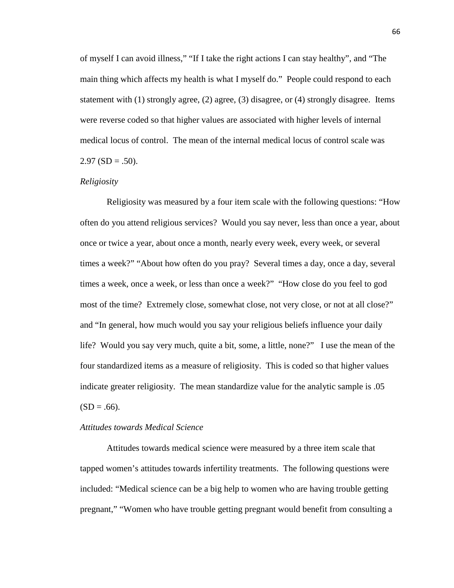of myself I can avoid illness," "If I take the right actions I can stay healthy", and "The main thing which affects my health is what I myself do." People could respond to each statement with (1) strongly agree, (2) agree, (3) disagree, or (4) strongly disagree. Items were reverse coded so that higher values are associated with higher levels of internal medical locus of control. The mean of the internal medical locus of control scale was  $2.97$  (SD = .50).

# *Religiosity*

 Religiosity was measured by a four item scale with the following questions: "How often do you attend religious services? Would you say never, less than once a year, about once or twice a year, about once a month, nearly every week, every week, or several times a week?" "About how often do you pray? Several times a day, once a day, several times a week, once a week, or less than once a week?" "How close do you feel to god most of the time? Extremely close, somewhat close, not very close, or not at all close?" and "In general, how much would you say your religious beliefs influence your daily life? Would you say very much, quite a bit, some, a little, none?" I use the mean of the four standardized items as a measure of religiosity. This is coded so that higher values indicate greater religiosity. The mean standardize value for the analytic sample is .05  $(SD = .66)$ .

# *Attitudes towards Medical Science*

Attitudes towards medical science were measured by a three item scale that tapped women's attitudes towards infertility treatments. The following questions were included: "Medical science can be a big help to women who are having trouble getting pregnant," "Women who have trouble getting pregnant would benefit from consulting a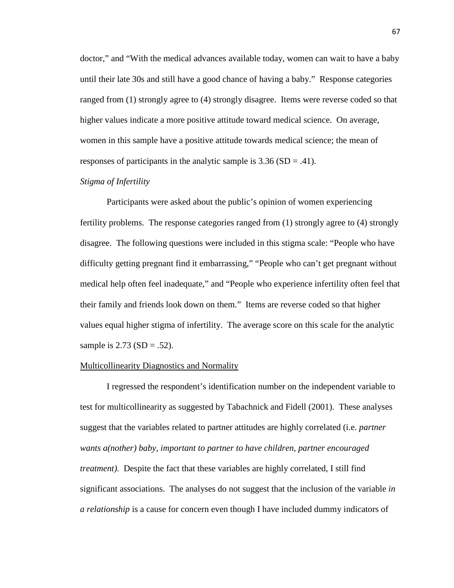doctor," and "With the medical advances available today, women can wait to have a baby until their late 30s and still have a good chance of having a baby." Response categories ranged from (1) strongly agree to (4) strongly disagree. Items were reverse coded so that higher values indicate a more positive attitude toward medical science. On average, women in this sample have a positive attitude towards medical science; the mean of responses of participants in the analytic sample is  $3.36$  (SD = .41).

# *Stigma of Infertility*

 Participants were asked about the public's opinion of women experiencing fertility problems. The response categories ranged from (1) strongly agree to (4) strongly disagree. The following questions were included in this stigma scale: "People who have difficulty getting pregnant find it embarrassing," "People who can't get pregnant without medical help often feel inadequate," and "People who experience infertility often feel that their family and friends look down on them." Items are reverse coded so that higher values equal higher stigma of infertility. The average score on this scale for the analytic sample is  $2.73$  (SD = .52).

# Multicollinearity Diagnostics and Normality

 I regressed the respondent's identification number on the independent variable to test for multicollinearity as suggested by Tabachnick and Fidell (2001). These analyses suggest that the variables related to partner attitudes are highly correlated (i.e. *partner wants a(nother) baby, important to partner to have children, partner encouraged treatment*). Despite the fact that these variables are highly correlated, I still find significant associations. The analyses do not suggest that the inclusion of the variable *in a relationship* is a cause for concern even though I have included dummy indicators of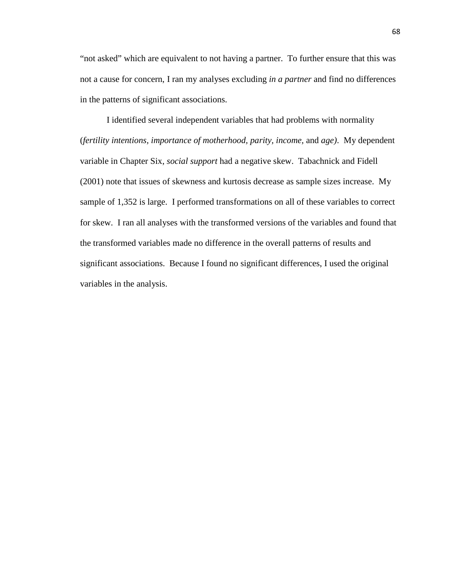"not asked" which are equivalent to not having a partner. To further ensure that this was not a cause for concern, I ran my analyses excluding *in a partner* and find no differences in the patterns of significant associations.

 I identified several independent variables that had problems with normality (*fertility intentions, importance of motherhood, parity, income,* and *age)*. My dependent variable in Chapter Six, *social support* had a negative skew. Tabachnick and Fidell (2001) note that issues of skewness and kurtosis decrease as sample sizes increase. My sample of 1,352 is large. I performed transformations on all of these variables to correct for skew. I ran all analyses with the transformed versions of the variables and found that the transformed variables made no difference in the overall patterns of results and significant associations. Because I found no significant differences, I used the original variables in the analysis.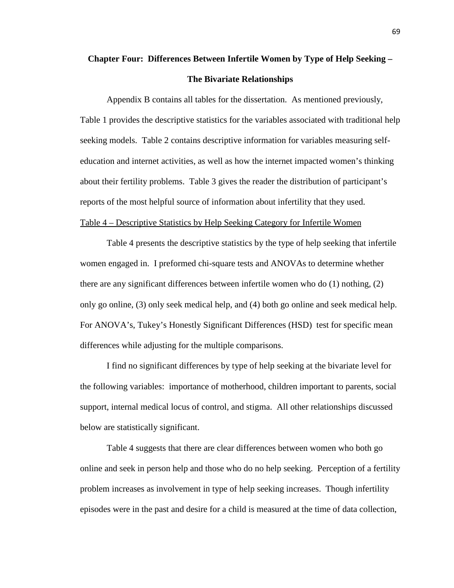# **Chapter Four: Differences Between Infertile Women by Type of Help Seeking – The Bivariate Relationships**

Appendix B contains all tables for the dissertation. As mentioned previously, Table 1 provides the descriptive statistics for the variables associated with traditional help seeking models. Table 2 contains descriptive information for variables measuring selfeducation and internet activities, as well as how the internet impacted women's thinking about their fertility problems. Table 3 gives the reader the distribution of participant's reports of the most helpful source of information about infertility that they used. Table 4 – Descriptive Statistics by Help Seeking Category for Infertile Women

 Table 4 presents the descriptive statistics by the type of help seeking that infertile women engaged in. I preformed chi-square tests and ANOVAs to determine whether there are any significant differences between infertile women who do (1) nothing, (2) only go online, (3) only seek medical help, and (4) both go online and seek medical help. For ANOVA's, Tukey's Honestly Significant Differences (HSD) test for specific mean differences while adjusting for the multiple comparisons.

 I find no significant differences by type of help seeking at the bivariate level for the following variables: importance of motherhood, children important to parents, social support, internal medical locus of control, and stigma. All other relationships discussed below are statistically significant.

Table 4 suggests that there are clear differences between women who both go online and seek in person help and those who do no help seeking. Perception of a fertility problem increases as involvement in type of help seeking increases. Though infertility episodes were in the past and desire for a child is measured at the time of data collection,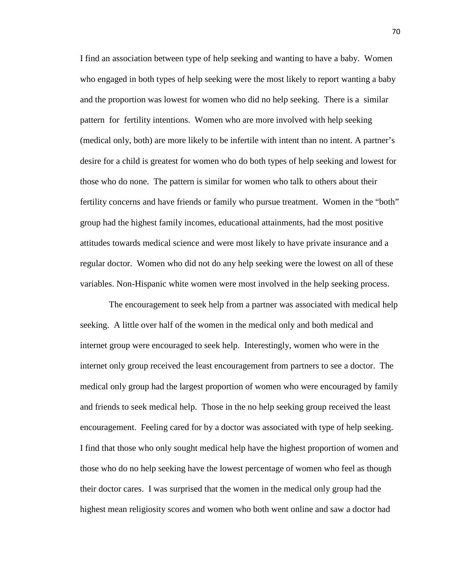I find an association between type of help seeking and wanting to have a baby. Women who engaged in both types of help seeking were the most likely to report wanting a baby and the proportion was lowest for women who did no help seeking. There is a similar pattern for fertility intentions. Women who are more involved with help seeking (medical only, both) are more likely to be infertile with intent than no intent. A partner's desire for a child is greatest for women who do both types of help seeking and lowest for those who do none. The pattern is similar for women who talk to others about their fertility concerns and have friends or family who pursue treatment. Women in the "both" group had the highest family incomes, educational attainments, had the most positive attitudes towards medical science and were most likely to have private insurance and a regular doctor. Women who did not do any help seeking were the lowest on all of these variables. Non-Hispanic white women were most involved in the help seeking process.

 The encouragement to seek help from a partner was associated with medical help seeking. A little over half of the women in the medical only and both medical and internet group were encouraged to seek help. Interestingly, women who were in the internet only group received the least encouragement from partners to see a doctor. The medical only group had the largest proportion of women who were encouraged by family and friends to seek medical help. Those in the no help seeking group received the least encouragement. Feeling cared for by a doctor was associated with type of help seeking. I find that those who only sought medical help have the highest proportion of women and those who do no help seeking have the lowest percentage of women who feel as though their doctor cares. I was surprised that the women in the medical only group had the highest mean religiosity scores and women who both went online and saw a doctor had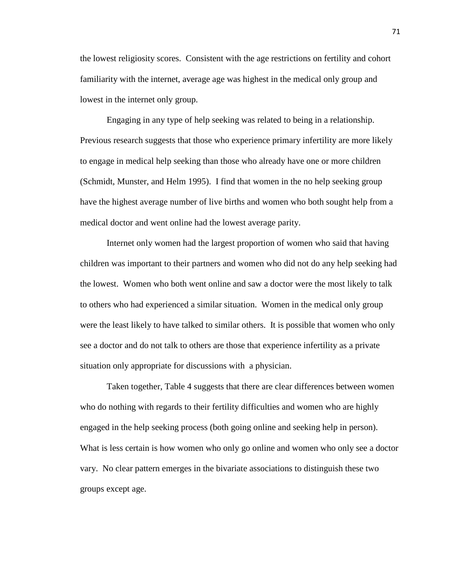the lowest religiosity scores. Consistent with the age restrictions on fertility and cohort familiarity with the internet, average age was highest in the medical only group and lowest in the internet only group.

Engaging in any type of help seeking was related to being in a relationship. Previous research suggests that those who experience primary infertility are more likely to engage in medical help seeking than those who already have one or more children (Schmidt, Munster, and Helm 1995). I find that women in the no help seeking group have the highest average number of live births and women who both sought help from a medical doctor and went online had the lowest average parity.

Internet only women had the largest proportion of women who said that having children was important to their partners and women who did not do any help seeking had the lowest. Women who both went online and saw a doctor were the most likely to talk to others who had experienced a similar situation. Women in the medical only group were the least likely to have talked to similar others. It is possible that women who only see a doctor and do not talk to others are those that experience infertility as a private situation only appropriate for discussions with a physician.

Taken together, Table 4 suggests that there are clear differences between women who do nothing with regards to their fertility difficulties and women who are highly engaged in the help seeking process (both going online and seeking help in person). What is less certain is how women who only go online and women who only see a doctor vary. No clear pattern emerges in the bivariate associations to distinguish these two groups except age.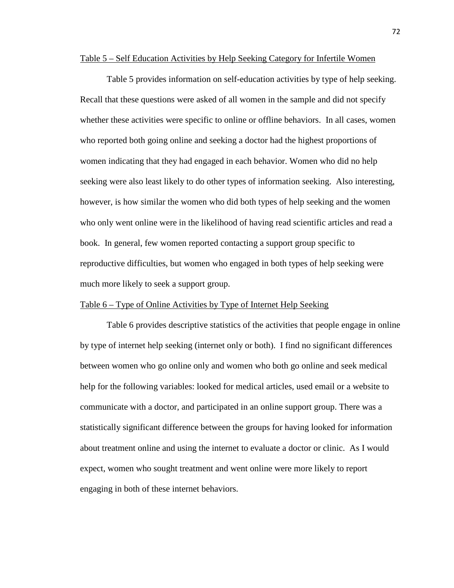#### Table 5 – Self Education Activities by Help Seeking Category for Infertile Women

Table 5 provides information on self-education activities by type of help seeking. Recall that these questions were asked of all women in the sample and did not specify whether these activities were specific to online or offline behaviors. In all cases, women who reported both going online and seeking a doctor had the highest proportions of women indicating that they had engaged in each behavior. Women who did no help seeking were also least likely to do other types of information seeking. Also interesting, however, is how similar the women who did both types of help seeking and the women who only went online were in the likelihood of having read scientific articles and read a book. In general, few women reported contacting a support group specific to reproductive difficulties, but women who engaged in both types of help seeking were much more likely to seek a support group.

# Table 6 – Type of Online Activities by Type of Internet Help Seeking

 Table 6 provides descriptive statistics of the activities that people engage in online by type of internet help seeking (internet only or both). I find no significant differences between women who go online only and women who both go online and seek medical help for the following variables: looked for medical articles, used email or a website to communicate with a doctor, and participated in an online support group. There was a statistically significant difference between the groups for having looked for information about treatment online and using the internet to evaluate a doctor or clinic. As I would expect, women who sought treatment and went online were more likely to report engaging in both of these internet behaviors.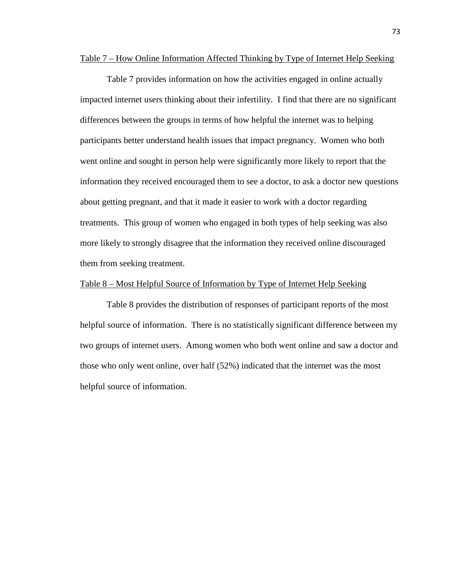#### Table 7 – How Online Information Affected Thinking by Type of Internet Help Seeking

 Table 7 provides information on how the activities engaged in online actually impacted internet users thinking about their infertility. I find that there are no significant differences between the groups in terms of how helpful the internet was to helping participants better understand health issues that impact pregnancy. Women who both went online and sought in person help were significantly more likely to report that the information they received encouraged them to see a doctor, to ask a doctor new questions about getting pregnant, and that it made it easier to work with a doctor regarding treatments. This group of women who engaged in both types of help seeking was also more likely to strongly disagree that the information they received online discouraged them from seeking treatment.

## Table 8 – Most Helpful Source of Information by Type of Internet Help Seeking

 Table 8 provides the distribution of responses of participant reports of the most helpful source of information. There is no statistically significant difference between my two groups of internet users. Among women who both went online and saw a doctor and those who only went online, over half (52%) indicated that the internet was the most helpful source of information.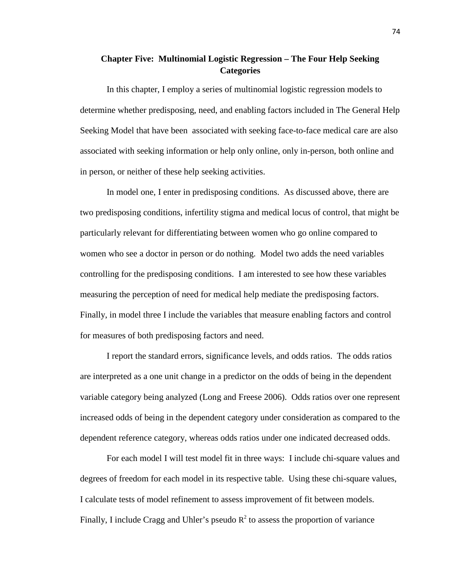# **Chapter Five: Multinomial Logistic Regression – The Four Help Seeking Categories**

 In this chapter, I employ a series of multinomial logistic regression models to determine whether predisposing, need, and enabling factors included in The General Help Seeking Model that have been associated with seeking face-to-face medical care are also associated with seeking information or help only online, only in-person, both online and in person, or neither of these help seeking activities.

 In model one, I enter in predisposing conditions. As discussed above, there are two predisposing conditions, infertility stigma and medical locus of control, that might be particularly relevant for differentiating between women who go online compared to women who see a doctor in person or do nothing. Model two adds the need variables controlling for the predisposing conditions. I am interested to see how these variables measuring the perception of need for medical help mediate the predisposing factors. Finally, in model three I include the variables that measure enabling factors and control for measures of both predisposing factors and need.

I report the standard errors, significance levels, and odds ratios. The odds ratios are interpreted as a one unit change in a predictor on the odds of being in the dependent variable category being analyzed (Long and Freese 2006). Odds ratios over one represent increased odds of being in the dependent category under consideration as compared to the dependent reference category, whereas odds ratios under one indicated decreased odds.

For each model I will test model fit in three ways: I include chi-square values and degrees of freedom for each model in its respective table. Using these chi-square values, I calculate tests of model refinement to assess improvement of fit between models. Finally, I include Cragg and Uhler's pseudo  $R^2$  to assess the proportion of variance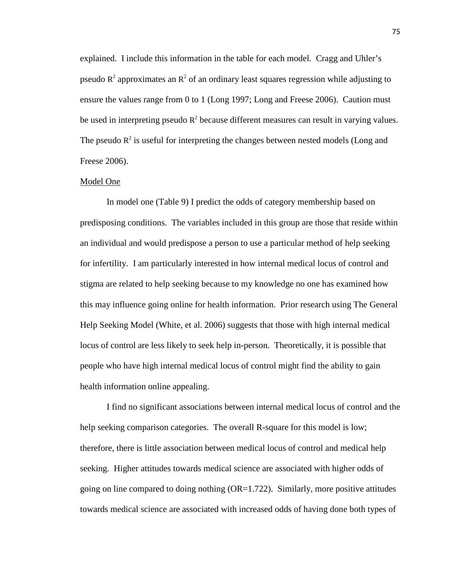explained. I include this information in the table for each model. Cragg and Uhler's pseudo  $R^2$  approximates an  $R^2$  of an ordinary least squares regression while adjusting to ensure the values range from 0 to 1 (Long 1997; Long and Freese 2006). Caution must be used in interpreting pseudo  $R^2$  because different measures can result in varying values. The pseudo  $R^2$  is useful for interpreting the changes between nested models (Long and Freese 2006).

#### Model One

 In model one (Table 9) I predict the odds of category membership based on predisposing conditions. The variables included in this group are those that reside within an individual and would predispose a person to use a particular method of help seeking for infertility. I am particularly interested in how internal medical locus of control and stigma are related to help seeking because to my knowledge no one has examined how this may influence going online for health information. Prior research using The General Help Seeking Model (White, et al. 2006) suggests that those with high internal medical locus of control are less likely to seek help in-person. Theoretically, it is possible that people who have high internal medical locus of control might find the ability to gain health information online appealing.

I find no significant associations between internal medical locus of control and the help seeking comparison categories. The overall R-square for this model is low; therefore, there is little association between medical locus of control and medical help seeking. Higher attitudes towards medical science are associated with higher odds of going on line compared to doing nothing  $(OR=1.722)$ . Similarly, more positive attitudes towards medical science are associated with increased odds of having done both types of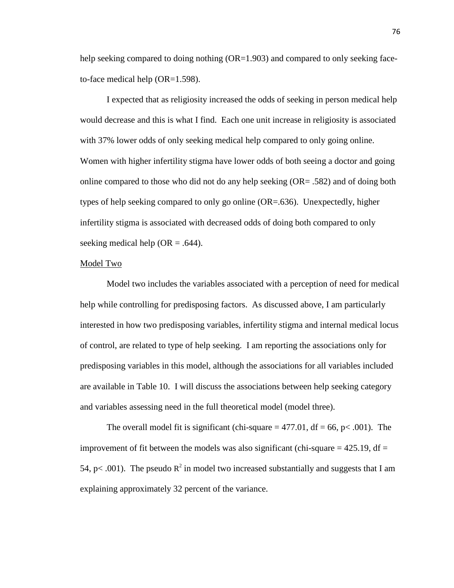help seeking compared to doing nothing (OR=1.903) and compared to only seeking faceto-face medical help (OR=1.598).

 I expected that as religiosity increased the odds of seeking in person medical help would decrease and this is what I find. Each one unit increase in religiosity is associated with 37% lower odds of only seeking medical help compared to only going online. Women with higher infertility stigma have lower odds of both seeing a doctor and going online compared to those who did not do any help seeking (OR= .582) and of doing both types of help seeking compared to only go online (OR=.636). Unexpectedly, higher infertility stigma is associated with decreased odds of doing both compared to only seeking medical help ( $OR = .644$ ).

#### Model Two

 Model two includes the variables associated with a perception of need for medical help while controlling for predisposing factors. As discussed above, I am particularly interested in how two predisposing variables, infertility stigma and internal medical locus of control, are related to type of help seeking. I am reporting the associations only for predisposing variables in this model, although the associations for all variables included are available in Table 10. I will discuss the associations between help seeking category and variables assessing need in the full theoretical model (model three).

The overall model fit is significant (chi-square  $=$  477.01, df  $=$  66, p $<$  0.01). The improvement of fit between the models was also significant (chi-square  $= 425.19$ , df  $=$ 54, p < .001). The pseudo  $R^2$  in model two increased substantially and suggests that I am explaining approximately 32 percent of the variance.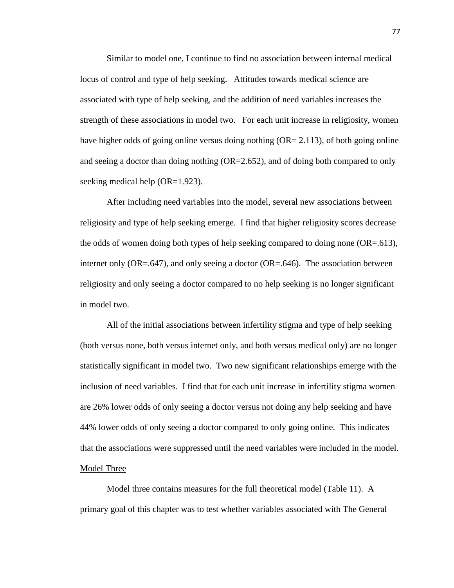Similar to model one, I continue to find no association between internal medical locus of control and type of help seeking. Attitudes towards medical science are associated with type of help seeking, and the addition of need variables increases the strength of these associations in model two. For each unit increase in religiosity, women have higher odds of going online versus doing nothing  $(OR = 2.113)$ , of both going online and seeing a doctor than doing nothing (OR=2.652), and of doing both compared to only seeking medical help (OR=1.923).

 After including need variables into the model, several new associations between religiosity and type of help seeking emerge. I find that higher religiosity scores decrease the odds of women doing both types of help seeking compared to doing none  $(OR=.613)$ , internet only  $(OR=.647)$ , and only seeing a doctor  $(OR=.646)$ . The association between religiosity and only seeing a doctor compared to no help seeking is no longer significant in model two.

 All of the initial associations between infertility stigma and type of help seeking (both versus none, both versus internet only, and both versus medical only) are no longer statistically significant in model two. Two new significant relationships emerge with the inclusion of need variables. I find that for each unit increase in infertility stigma women are 26% lower odds of only seeing a doctor versus not doing any help seeking and have 44% lower odds of only seeing a doctor compared to only going online. This indicates that the associations were suppressed until the need variables were included in the model. Model Three

 Model three contains measures for the full theoretical model (Table 11). A primary goal of this chapter was to test whether variables associated with The General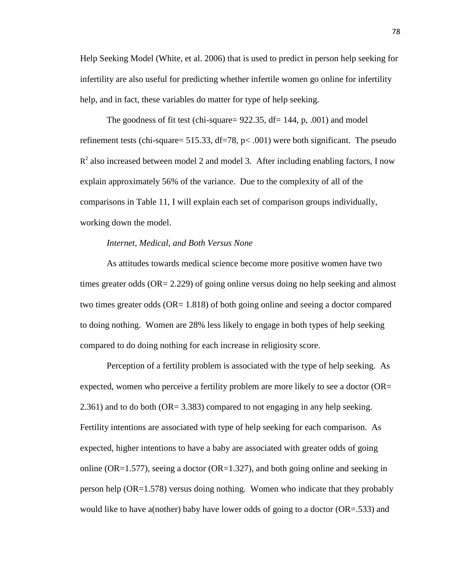Help Seeking Model (White, et al. 2006) that is used to predict in person help seeking for infertility are also useful for predicting whether infertile women go online for infertility help, and in fact, these variables do matter for type of help seeking.

The goodness of fit test (chi-square=  $922.35$ , df= 144, p, .001) and model refinement tests (chi-square= 515.33, df=78,  $p$ < .001) were both significant. The pseudo  $R<sup>2</sup>$  also increased between model 2 and model 3. After including enabling factors, I now explain approximately 56% of the variance. Due to the complexity of all of the comparisons in Table 11, I will explain each set of comparison groups individually, working down the model.

# *Internet, Medical, and Both Versus None*

As attitudes towards medical science become more positive women have two times greater odds (OR= 2.229) of going online versus doing no help seeking and almost two times greater odds (OR= 1.818) of both going online and seeing a doctor compared to doing nothing. Women are 28% less likely to engage in both types of help seeking compared to do doing nothing for each increase in religiosity score.

 Perception of a fertility problem is associated with the type of help seeking. As expected, women who perceive a fertility problem are more likely to see a doctor (OR= 2.361) and to do both (OR= 3.383) compared to not engaging in any help seeking. Fertility intentions are associated with type of help seeking for each comparison. As expected, higher intentions to have a baby are associated with greater odds of going online (OR=1.577), seeing a doctor (OR=1.327), and both going online and seeking in person help (OR=1.578) versus doing nothing. Women who indicate that they probably would like to have a(nother) baby have lower odds of going to a doctor  $(OR = 533)$  and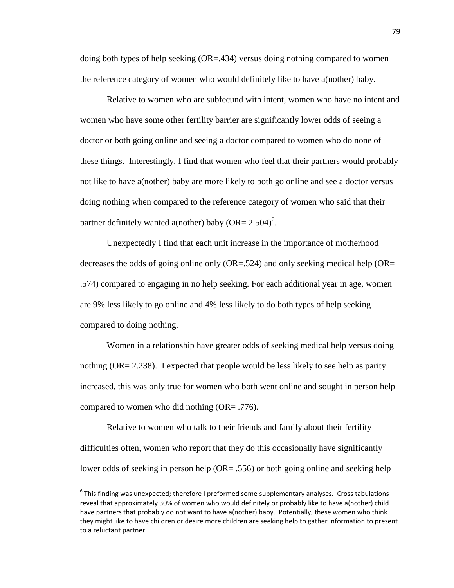doing both types of help seeking  $(OR = .434)$  versus doing nothing compared to women the reference category of women who would definitely like to have a(nother) baby.

 Relative to women who are subfecund with intent, women who have no intent and women who have some other fertility barrier are significantly lower odds of seeing a doctor or both going online and seeing a doctor compared to women who do none of these things. Interestingly, I find that women who feel that their partners would probably not like to have a(nother) baby are more likely to both go online and see a doctor versus doing nothing when compared to the reference category of women who said that their partner definitely wanted a(nother) baby  $(OR = 2.504)^6$ .

 Unexpectedly I find that each unit increase in the importance of motherhood decreases the odds of going online only  $(OR=.524)$  and only seeking medical help  $(OR=$ .574) compared to engaging in no help seeking. For each additional year in age, women are 9% less likely to go online and 4% less likely to do both types of help seeking compared to doing nothing.

 Women in a relationship have greater odds of seeking medical help versus doing nothing ( $OR = 2.238$ ). I expected that people would be less likely to see help as parity increased, this was only true for women who both went online and sought in person help compared to women who did nothing (OR= .776).

 Relative to women who talk to their friends and family about their fertility difficulties often, women who report that they do this occasionally have significantly lower odds of seeking in person help (OR= .556) or both going online and seeking help

<u>.</u>

 $^6$  This finding was unexpected; therefore I preformed some supplementary analyses. Cross tabulations reveal that approximately 30% of women who would definitely or probably like to have a(nother) child have partners that probably do not want to have a(nother) baby. Potentially, these women who think they might like to have children or desire more children are seeking help to gather information to present to a reluctant partner.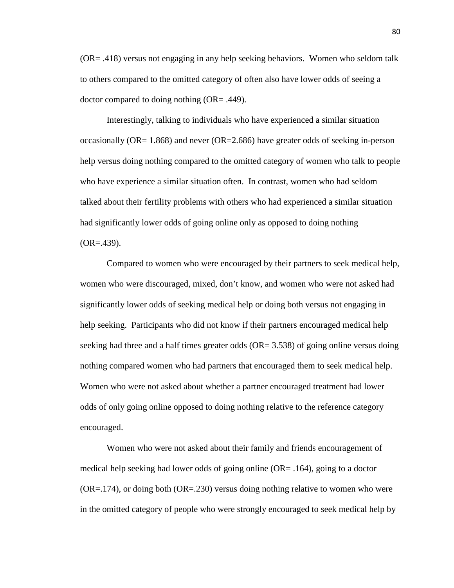(OR= .418) versus not engaging in any help seeking behaviors. Women who seldom talk to others compared to the omitted category of often also have lower odds of seeing a doctor compared to doing nothing (OR= .449).

Interestingly, talking to individuals who have experienced a similar situation occasionally (OR= 1.868) and never (OR=2.686) have greater odds of seeking in-person help versus doing nothing compared to the omitted category of women who talk to people who have experience a similar situation often. In contrast, women who had seldom talked about their fertility problems with others who had experienced a similar situation had significantly lower odds of going online only as opposed to doing nothing  $(OR=.439).$ 

 Compared to women who were encouraged by their partners to seek medical help, women who were discouraged, mixed, don't know, and women who were not asked had significantly lower odds of seeking medical help or doing both versus not engaging in help seeking. Participants who did not know if their partners encouraged medical help seeking had three and a half times greater odds (OR= 3.538) of going online versus doing nothing compared women who had partners that encouraged them to seek medical help. Women who were not asked about whether a partner encouraged treatment had lower odds of only going online opposed to doing nothing relative to the reference category encouraged.

 Women who were not asked about their family and friends encouragement of medical help seeking had lower odds of going online (OR= .164), going to a doctor (OR=.174), or doing both (OR=.230) versus doing nothing relative to women who were in the omitted category of people who were strongly encouraged to seek medical help by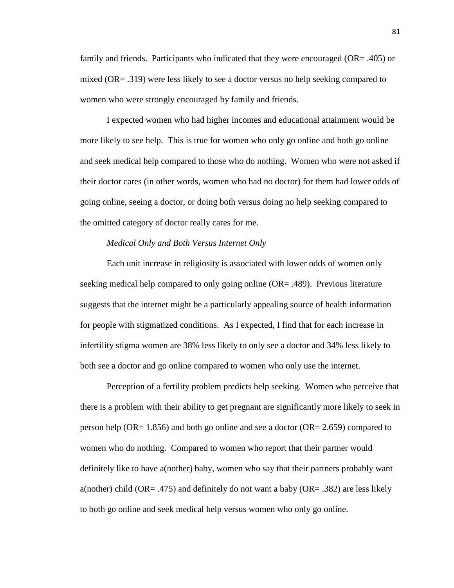family and friends. Participants who indicated that they were encouraged (OR= .405) or mixed (OR= .319) were less likely to see a doctor versus no help seeking compared to women who were strongly encouraged by family and friends.

 I expected women who had higher incomes and educational attainment would be more likely to see help. This is true for women who only go online and both go online and seek medical help compared to those who do nothing. Women who were not asked if their doctor cares (in other words, women who had no doctor) for them had lower odds of going online, seeing a doctor, or doing both versus doing no help seeking compared to the omitted category of doctor really cares for me.

# *Medical Only and Both Versus Internet Only*

Each unit increase in religiosity is associated with lower odds of women only seeking medical help compared to only going online (OR= .489). Previous literature suggests that the internet might be a particularly appealing source of health information for people with stigmatized conditions. As I expected, I find that for each increase in infertility stigma women are 38% less likely to only see a doctor and 34% less likely to both see a doctor and go online compared to women who only use the internet.

 Perception of a fertility problem predicts help seeking. Women who perceive that there is a problem with their ability to get pregnant are significantly more likely to seek in person help (OR= 1.856) and both go online and see a doctor (OR= 2.659) compared to women who do nothing. Compared to women who report that their partner would definitely like to have a(nother) baby, women who say that their partners probably want a(nother) child (OR= .475) and definitely do not want a baby (OR= .382) are less likely to both go online and seek medical help versus women who only go online.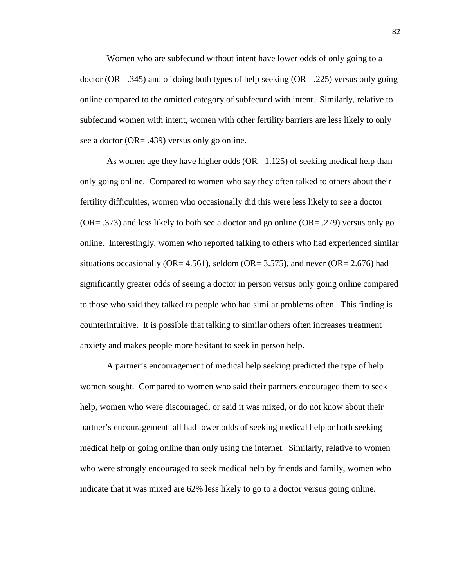Women who are subfecund without intent have lower odds of only going to a doctor (OR= .345) and of doing both types of help seeking (OR= .225) versus only going online compared to the omitted category of subfecund with intent. Similarly, relative to subfecund women with intent, women with other fertility barriers are less likely to only see a doctor (OR= .439) versus only go online.

As women age they have higher odds  $(OR=1.125)$  of seeking medical help than only going online. Compared to women who say they often talked to others about their fertility difficulties, women who occasionally did this were less likely to see a doctor  $(OR = .373)$  and less likely to both see a doctor and go online  $(OR = .279)$  versus only go online. Interestingly, women who reported talking to others who had experienced similar situations occasionally (OR= 4.561), seldom (OR= 3.575), and never (OR= 2.676) had significantly greater odds of seeing a doctor in person versus only going online compared to those who said they talked to people who had similar problems often. This finding is counterintuitive. It is possible that talking to similar others often increases treatment anxiety and makes people more hesitant to seek in person help.

A partner's encouragement of medical help seeking predicted the type of help women sought. Compared to women who said their partners encouraged them to seek help, women who were discouraged, or said it was mixed, or do not know about their partner's encouragement all had lower odds of seeking medical help or both seeking medical help or going online than only using the internet. Similarly, relative to women who were strongly encouraged to seek medical help by friends and family, women who indicate that it was mixed are 62% less likely to go to a doctor versus going online.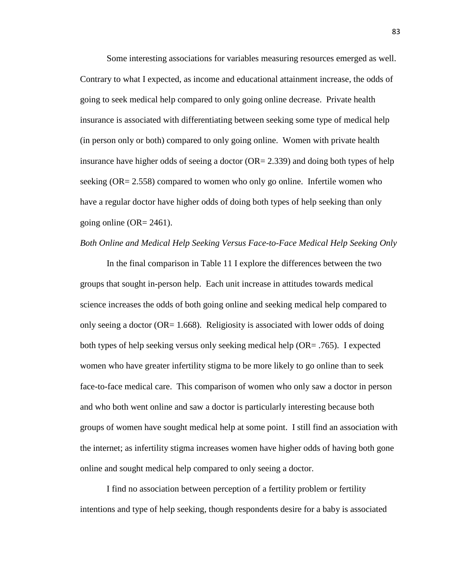Some interesting associations for variables measuring resources emerged as well. Contrary to what I expected, as income and educational attainment increase, the odds of going to seek medical help compared to only going online decrease. Private health insurance is associated with differentiating between seeking some type of medical help (in person only or both) compared to only going online. Women with private health insurance have higher odds of seeing a doctor  $(OR = 2.339)$  and doing both types of help seeking (OR= 2.558) compared to women who only go online. Infertile women who have a regular doctor have higher odds of doing both types of help seeking than only going online  $(OR = 2461)$ .

# *Both Online and Medical Help Seeking Versus Face-to-Face Medical Help Seeking Only*

In the final comparison in Table 11 I explore the differences between the two groups that sought in-person help. Each unit increase in attitudes towards medical science increases the odds of both going online and seeking medical help compared to only seeing a doctor ( $OR = 1.668$ ). Religiosity is associated with lower odds of doing both types of help seeking versus only seeking medical help (OR= .765). I expected women who have greater infertility stigma to be more likely to go online than to seek face-to-face medical care. This comparison of women who only saw a doctor in person and who both went online and saw a doctor is particularly interesting because both groups of women have sought medical help at some point. I still find an association with the internet; as infertility stigma increases women have higher odds of having both gone online and sought medical help compared to only seeing a doctor.

 I find no association between perception of a fertility problem or fertility intentions and type of help seeking, though respondents desire for a baby is associated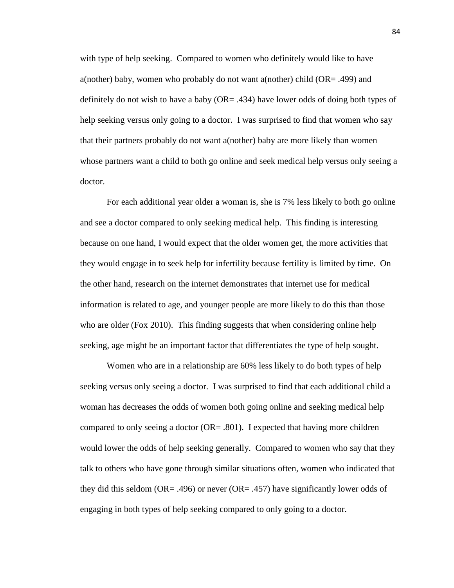with type of help seeking. Compared to women who definitely would like to have a(nother) baby, women who probably do not want a(nother) child (OR= .499) and definitely do not wish to have a baby  $(OR = .434)$  have lower odds of doing both types of help seeking versus only going to a doctor. I was surprised to find that women who say that their partners probably do not want a(nother) baby are more likely than women whose partners want a child to both go online and seek medical help versus only seeing a doctor.

 For each additional year older a woman is, she is 7% less likely to both go online and see a doctor compared to only seeking medical help. This finding is interesting because on one hand, I would expect that the older women get, the more activities that they would engage in to seek help for infertility because fertility is limited by time. On the other hand, research on the internet demonstrates that internet use for medical information is related to age, and younger people are more likely to do this than those who are older (Fox 2010). This finding suggests that when considering online help seeking, age might be an important factor that differentiates the type of help sought.

Women who are in a relationship are 60% less likely to do both types of help seeking versus only seeing a doctor. I was surprised to find that each additional child a woman has decreases the odds of women both going online and seeking medical help compared to only seeing a doctor  $(OR = .801)$ . I expected that having more children would lower the odds of help seeking generally. Compared to women who say that they talk to others who have gone through similar situations often, women who indicated that they did this seldom (OR= .496) or never (OR= .457) have significantly lower odds of engaging in both types of help seeking compared to only going to a doctor.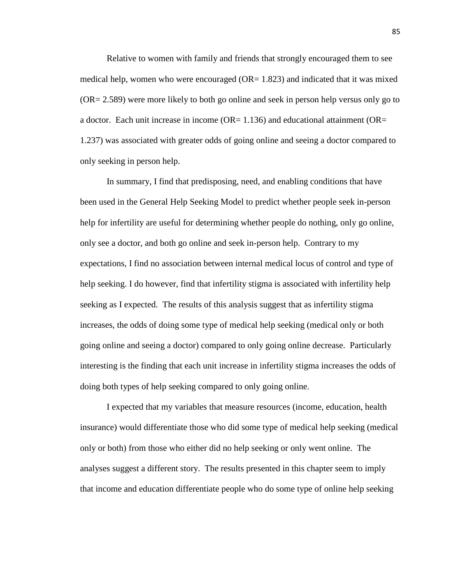Relative to women with family and friends that strongly encouraged them to see medical help, women who were encouraged ( $OR = 1.823$ ) and indicated that it was mixed (OR= 2.589) were more likely to both go online and seek in person help versus only go to a doctor. Each unit increase in income  $(OR=1.136)$  and educational attainment  $(OR=1.136)$ 1.237) was associated with greater odds of going online and seeing a doctor compared to only seeking in person help.

 In summary, I find that predisposing, need, and enabling conditions that have been used in the General Help Seeking Model to predict whether people seek in-person help for infertility are useful for determining whether people do nothing, only go online, only see a doctor, and both go online and seek in-person help. Contrary to my expectations, I find no association between internal medical locus of control and type of help seeking. I do however, find that infertility stigma is associated with infertility help seeking as I expected. The results of this analysis suggest that as infertility stigma increases, the odds of doing some type of medical help seeking (medical only or both going online and seeing a doctor) compared to only going online decrease. Particularly interesting is the finding that each unit increase in infertility stigma increases the odds of doing both types of help seeking compared to only going online.

 I expected that my variables that measure resources (income, education, health insurance) would differentiate those who did some type of medical help seeking (medical only or both) from those who either did no help seeking or only went online. The analyses suggest a different story. The results presented in this chapter seem to imply that income and education differentiate people who do some type of online help seeking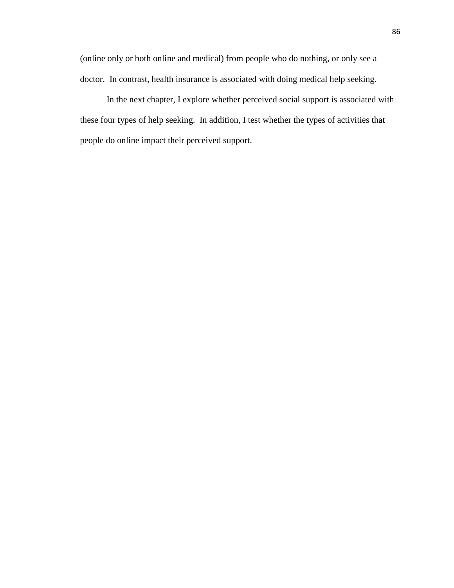(online only or both online and medical) from people who do nothing, or only see a doctor. In contrast, health insurance is associated with doing medical help seeking.

 In the next chapter, I explore whether perceived social support is associated with these four types of help seeking. In addition, I test whether the types of activities that people do online impact their perceived support.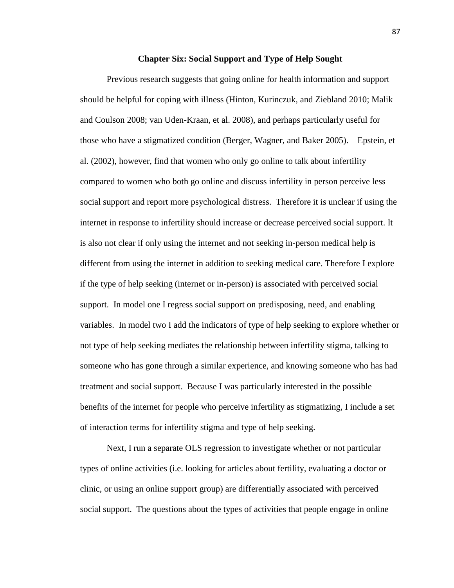## **Chapter Six: Social Support and Type of Help Sought**

Previous research suggests that going online for health information and support should be helpful for coping with illness (Hinton, Kurinczuk, and Ziebland 2010; Malik and Coulson 2008; van Uden-Kraan, et al. 2008), and perhaps particularly useful for those who have a stigmatized condition (Berger, Wagner, and Baker 2005). Epstein, et al. (2002), however, find that women who only go online to talk about infertility compared to women who both go online and discuss infertility in person perceive less social support and report more psychological distress. Therefore it is unclear if using the internet in response to infertility should increase or decrease perceived social support. It is also not clear if only using the internet and not seeking in-person medical help is different from using the internet in addition to seeking medical care. Therefore I explore if the type of help seeking (internet or in-person) is associated with perceived social support. In model one I regress social support on predisposing, need, and enabling variables. In model two I add the indicators of type of help seeking to explore whether or not type of help seeking mediates the relationship between infertility stigma, talking to someone who has gone through a similar experience, and knowing someone who has had treatment and social support. Because I was particularly interested in the possible benefits of the internet for people who perceive infertility as stigmatizing, I include a set of interaction terms for infertility stigma and type of help seeking.

 Next, I run a separate OLS regression to investigate whether or not particular types of online activities (i.e. looking for articles about fertility, evaluating a doctor or clinic, or using an online support group) are differentially associated with perceived social support. The questions about the types of activities that people engage in online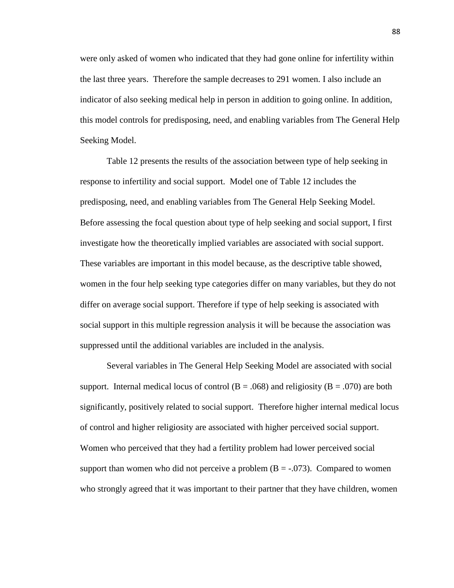were only asked of women who indicated that they had gone online for infertility within the last three years. Therefore the sample decreases to 291 women. I also include an indicator of also seeking medical help in person in addition to going online. In addition, this model controls for predisposing, need, and enabling variables from The General Help Seeking Model.

 Table 12 presents the results of the association between type of help seeking in response to infertility and social support. Model one of Table 12 includes the predisposing, need, and enabling variables from The General Help Seeking Model. Before assessing the focal question about type of help seeking and social support, I first investigate how the theoretically implied variables are associated with social support. These variables are important in this model because, as the descriptive table showed, women in the four help seeking type categories differ on many variables, but they do not differ on average social support. Therefore if type of help seeking is associated with social support in this multiple regression analysis it will be because the association was suppressed until the additional variables are included in the analysis.

Several variables in The General Help Seeking Model are associated with social support. Internal medical locus of control ( $B = .068$ ) and religiosity ( $B = .070$ ) are both significantly, positively related to social support. Therefore higher internal medical locus of control and higher religiosity are associated with higher perceived social support. Women who perceived that they had a fertility problem had lower perceived social support than women who did not perceive a problem  $(B = -0.073)$ . Compared to women who strongly agreed that it was important to their partner that they have children, women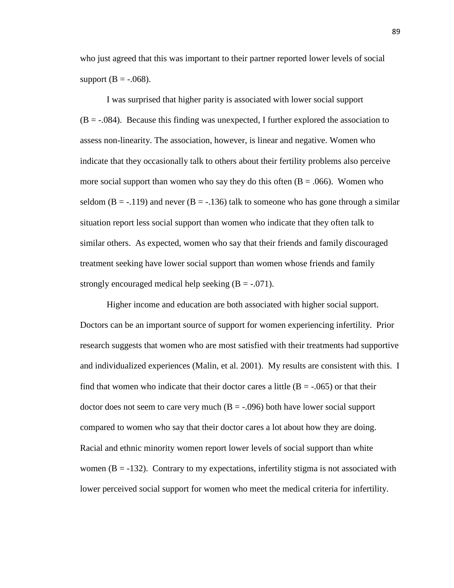who just agreed that this was important to their partner reported lower levels of social support ( $B = -.068$ ).

 I was surprised that higher parity is associated with lower social support  $(B = -0.084)$ . Because this finding was unexpected, I further explored the association to assess non-linearity. The association, however, is linear and negative. Women who indicate that they occasionally talk to others about their fertility problems also perceive more social support than women who say they do this often  $(B = .066)$ . Women who seldom (B = -.119) and never (B = -.136) talk to someone who has gone through a similar situation report less social support than women who indicate that they often talk to similar others. As expected, women who say that their friends and family discouraged treatment seeking have lower social support than women whose friends and family strongly encouraged medical help seeking  $(B = -0.071)$ .

 Higher income and education are both associated with higher social support. Doctors can be an important source of support for women experiencing infertility. Prior research suggests that women who are most satisfied with their treatments had supportive and individualized experiences (Malin, et al. 2001). My results are consistent with this. I find that women who indicate that their doctor cares a little  $(B = -0.065)$  or that their doctor does not seem to care very much  $(B = -0.096)$  both have lower social support compared to women who say that their doctor cares a lot about how they are doing. Racial and ethnic minority women report lower levels of social support than white women  $(B = -132)$ . Contrary to my expectations, infertility stigma is not associated with lower perceived social support for women who meet the medical criteria for infertility.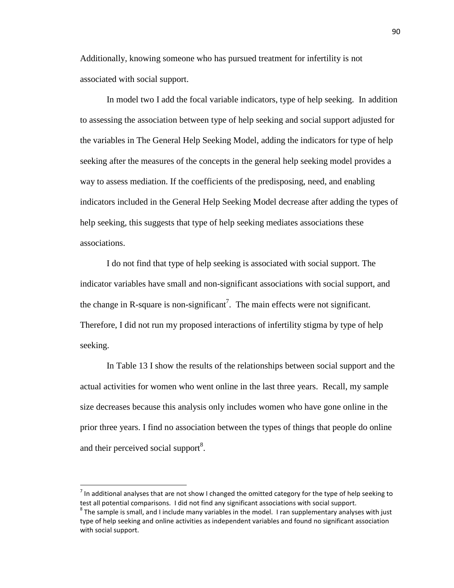Additionally, knowing someone who has pursued treatment for infertility is not associated with social support.

In model two I add the focal variable indicators, type of help seeking. In addition to assessing the association between type of help seeking and social support adjusted for the variables in The General Help Seeking Model, adding the indicators for type of help seeking after the measures of the concepts in the general help seeking model provides a way to assess mediation. If the coefficients of the predisposing, need, and enabling indicators included in the General Help Seeking Model decrease after adding the types of help seeking, this suggests that type of help seeking mediates associations these associations.

I do not find that type of help seeking is associated with social support. The indicator variables have small and non-significant associations with social support, and the change in R-square is non-significant<sup>7</sup>. The main effects were not significant. Therefore, I did not run my proposed interactions of infertility stigma by type of help seeking.

In Table 13 I show the results of the relationships between social support and the actual activities for women who went online in the last three years. Recall, my sample size decreases because this analysis only includes women who have gone online in the prior three years. I find no association between the types of things that people do online and their perceived social support<sup>8</sup>.

<u>.</u>

 $^7$  In additional analyses that are not show I changed the omitted category for the type of help seeking to test all potential comparisons. I did not find any significant associations with social support.

 $^8$  The sample is small, and I include many variables in the model. I ran supplementary analyses with just type of help seeking and online activities as independent variables and found no significant association with social support.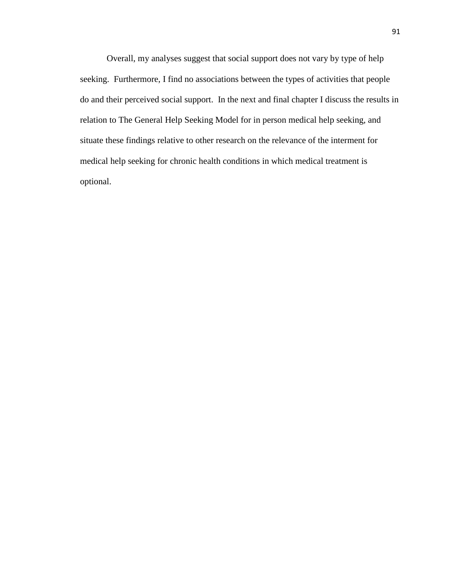Overall, my analyses suggest that social support does not vary by type of help seeking. Furthermore, I find no associations between the types of activities that people do and their perceived social support. In the next and final chapter I discuss the results in relation to The General Help Seeking Model for in person medical help seeking, and situate these findings relative to other research on the relevance of the interment for medical help seeking for chronic health conditions in which medical treatment is optional.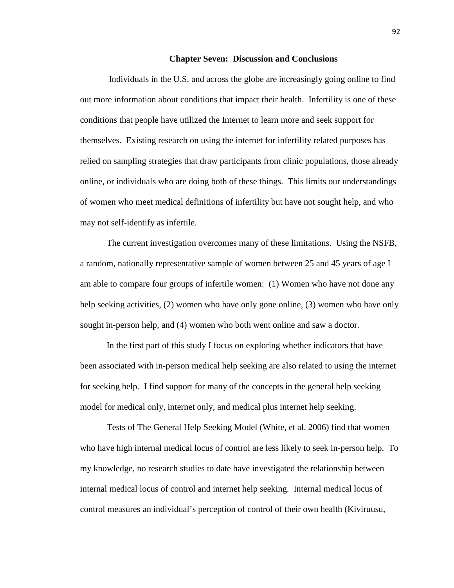#### **Chapter Seven: Discussion and Conclusions**

 Individuals in the U.S. and across the globe are increasingly going online to find out more information about conditions that impact their health. Infertility is one of these conditions that people have utilized the Internet to learn more and seek support for themselves. Existing research on using the internet for infertility related purposes has relied on sampling strategies that draw participants from clinic populations, those already online, or individuals who are doing both of these things. This limits our understandings of women who meet medical definitions of infertility but have not sought help, and who may not self-identify as infertile.

The current investigation overcomes many of these limitations. Using the NSFB, a random, nationally representative sample of women between 25 and 45 years of age I am able to compare four groups of infertile women: (1) Women who have not done any help seeking activities, (2) women who have only gone online, (3) women who have only sought in-person help, and (4) women who both went online and saw a doctor.

In the first part of this study I focus on exploring whether indicators that have been associated with in-person medical help seeking are also related to using the internet for seeking help. I find support for many of the concepts in the general help seeking model for medical only, internet only, and medical plus internet help seeking.

Tests of The General Help Seeking Model (White, et al. 2006) find that women who have high internal medical locus of control are less likely to seek in-person help. To my knowledge, no research studies to date have investigated the relationship between internal medical locus of control and internet help seeking. Internal medical locus of control measures an individual's perception of control of their own health (Kiviruusu,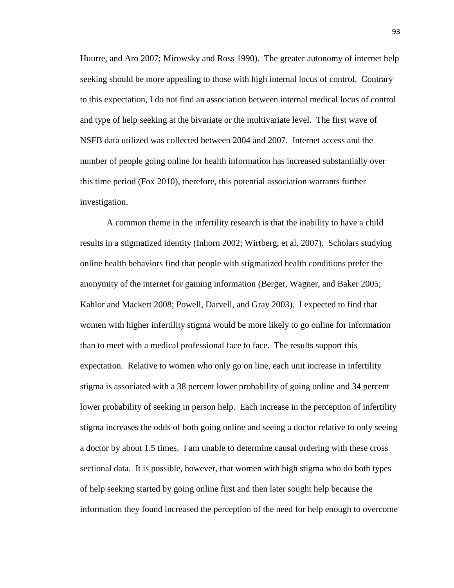Huurre, and Aro 2007; Mirowsky and Ross 1990). The greater autonomy of internet help seeking should be more appealing to those with high internal locus of control. Contrary to this expectation, I do not find an association between internal medical locus of control and type of help seeking at the bivariate or the multivariate level. The first wave of NSFB data utilized was collected between 2004 and 2007. Internet access and the number of people going online for health information has increased substantially over this time period (Fox 2010), therefore, this potential association warrants further investigation.

A common theme in the infertility research is that the inability to have a child results in a stigmatized identity (Inhorn 2002; Wirtberg, et al. 2007). Scholars studying online health behaviors find that people with stigmatized health conditions prefer the anonymity of the internet for gaining information (Berger, Wagner, and Baker 2005; Kahlor and Mackert 2008; Powell, Darvell, and Gray 2003). I expected to find that women with higher infertility stigma would be more likely to go online for information than to meet with a medical professional face to face. The results support this expectation. Relative to women who only go on line, each unit increase in infertility stigma is associated with a 38 percent lower probability of going online and 34 percent lower probability of seeking in person help. Each increase in the perception of infertility stigma increases the odds of both going online and seeing a doctor relative to only seeing a doctor by about 1.5 times. I am unable to determine causal ordering with these cross sectional data. It is possible, however, that women with high stigma who do both types of help seeking started by going online first and then later sought help because the information they found increased the perception of the need for help enough to overcome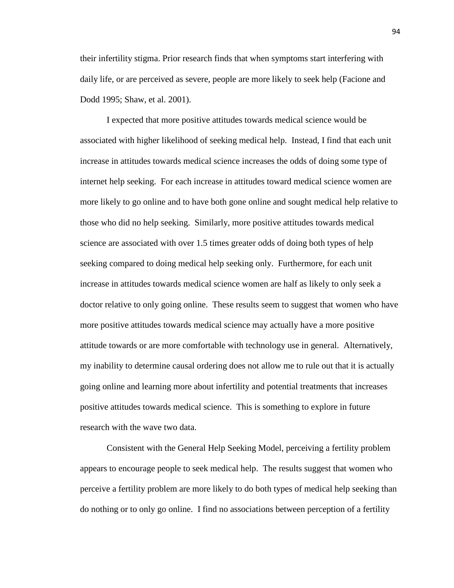their infertility stigma. Prior research finds that when symptoms start interfering with daily life, or are perceived as severe, people are more likely to seek help (Facione and Dodd 1995; Shaw, et al. 2001).

I expected that more positive attitudes towards medical science would be associated with higher likelihood of seeking medical help. Instead, I find that each unit increase in attitudes towards medical science increases the odds of doing some type of internet help seeking. For each increase in attitudes toward medical science women are more likely to go online and to have both gone online and sought medical help relative to those who did no help seeking. Similarly, more positive attitudes towards medical science are associated with over 1.5 times greater odds of doing both types of help seeking compared to doing medical help seeking only. Furthermore, for each unit increase in attitudes towards medical science women are half as likely to only seek a doctor relative to only going online. These results seem to suggest that women who have more positive attitudes towards medical science may actually have a more positive attitude towards or are more comfortable with technology use in general. Alternatively, my inability to determine causal ordering does not allow me to rule out that it is actually going online and learning more about infertility and potential treatments that increases positive attitudes towards medical science. This is something to explore in future research with the wave two data.

Consistent with the General Help Seeking Model, perceiving a fertility problem appears to encourage people to seek medical help. The results suggest that women who perceive a fertility problem are more likely to do both types of medical help seeking than do nothing or to only go online. I find no associations between perception of a fertility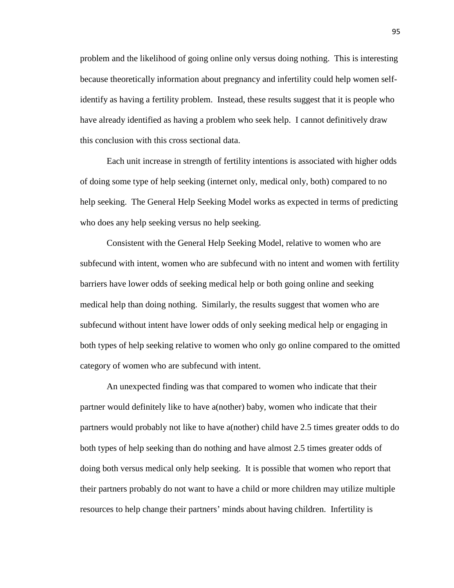problem and the likelihood of going online only versus doing nothing. This is interesting because theoretically information about pregnancy and infertility could help women selfidentify as having a fertility problem. Instead, these results suggest that it is people who have already identified as having a problem who seek help. I cannot definitively draw this conclusion with this cross sectional data.

Each unit increase in strength of fertility intentions is associated with higher odds of doing some type of help seeking (internet only, medical only, both) compared to no help seeking. The General Help Seeking Model works as expected in terms of predicting who does any help seeking versus no help seeking.

Consistent with the General Help Seeking Model, relative to women who are subfecund with intent, women who are subfecund with no intent and women with fertility barriers have lower odds of seeking medical help or both going online and seeking medical help than doing nothing. Similarly, the results suggest that women who are subfecund without intent have lower odds of only seeking medical help or engaging in both types of help seeking relative to women who only go online compared to the omitted category of women who are subfecund with intent.

An unexpected finding was that compared to women who indicate that their partner would definitely like to have a(nother) baby, women who indicate that their partners would probably not like to have a(nother) child have 2.5 times greater odds to do both types of help seeking than do nothing and have almost 2.5 times greater odds of doing both versus medical only help seeking. It is possible that women who report that their partners probably do not want to have a child or more children may utilize multiple resources to help change their partners' minds about having children. Infertility is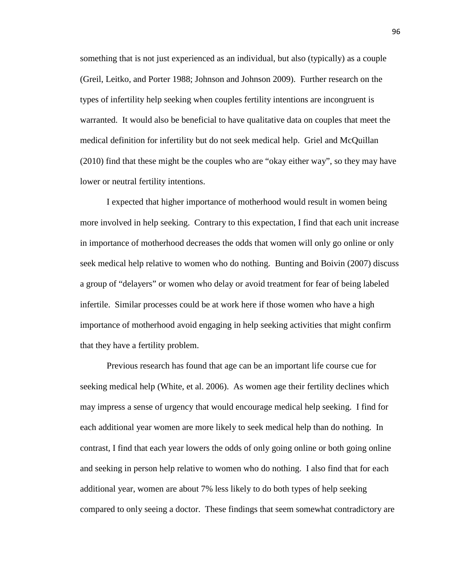something that is not just experienced as an individual, but also (typically) as a couple (Greil, Leitko, and Porter 1988; Johnson and Johnson 2009). Further research on the types of infertility help seeking when couples fertility intentions are incongruent is warranted. It would also be beneficial to have qualitative data on couples that meet the medical definition for infertility but do not seek medical help. Griel and McQuillan (2010) find that these might be the couples who are "okay either way", so they may have lower or neutral fertility intentions.

I expected that higher importance of motherhood would result in women being more involved in help seeking. Contrary to this expectation, I find that each unit increase in importance of motherhood decreases the odds that women will only go online or only seek medical help relative to women who do nothing. Bunting and Boivin (2007) discuss a group of "delayers" or women who delay or avoid treatment for fear of being labeled infertile. Similar processes could be at work here if those women who have a high importance of motherhood avoid engaging in help seeking activities that might confirm that they have a fertility problem.

Previous research has found that age can be an important life course cue for seeking medical help (White, et al. 2006). As women age their fertility declines which may impress a sense of urgency that would encourage medical help seeking. I find for each additional year women are more likely to seek medical help than do nothing. In contrast, I find that each year lowers the odds of only going online or both going online and seeking in person help relative to women who do nothing. I also find that for each additional year, women are about 7% less likely to do both types of help seeking compared to only seeing a doctor. These findings that seem somewhat contradictory are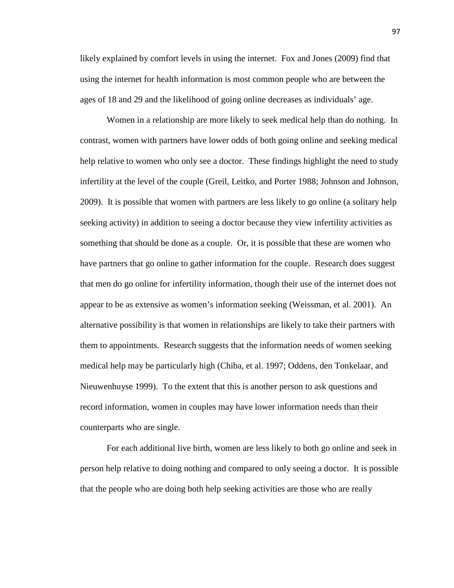likely explained by comfort levels in using the internet. Fox and Jones (2009) find that using the internet for health information is most common people who are between the ages of 18 and 29 and the likelihood of going online decreases as individuals' age.

Women in a relationship are more likely to seek medical help than do nothing. In contrast, women with partners have lower odds of both going online and seeking medical help relative to women who only see a doctor. These findings highlight the need to study infertility at the level of the couple (Greil, Leitko, and Porter 1988; Johnson and Johnson, 2009). It is possible that women with partners are less likely to go online (a solitary help seeking activity) in addition to seeing a doctor because they view infertility activities as something that should be done as a couple. Or, it is possible that these are women who have partners that go online to gather information for the couple. Research does suggest that men do go online for infertility information, though their use of the internet does not appear to be as extensive as women's information seeking (Weissman, et al. 2001). An alternative possibility is that women in relationships are likely to take their partners with them to appointments. Research suggests that the information needs of women seeking medical help may be particularly high (Chiba, et al. 1997; Oddens, den Tonkelaar, and Nieuwenhuyse 1999). To the extent that this is another person to ask questions and record information, women in couples may have lower information needs than their counterparts who are single.

For each additional live birth, women are less likely to both go online and seek in person help relative to doing nothing and compared to only seeing a doctor. It is possible that the people who are doing both help seeking activities are those who are really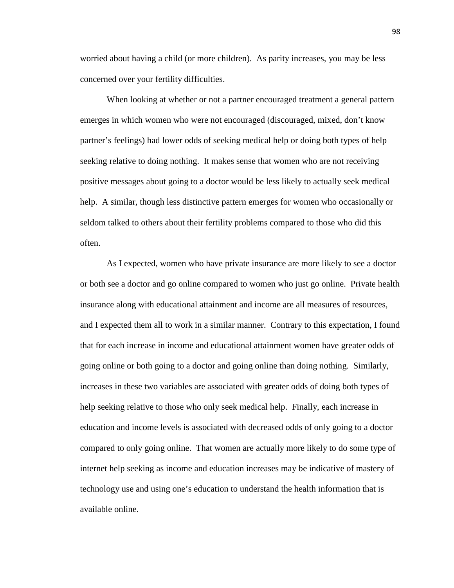worried about having a child (or more children). As parity increases, you may be less concerned over your fertility difficulties.

When looking at whether or not a partner encouraged treatment a general pattern emerges in which women who were not encouraged (discouraged, mixed, don't know partner's feelings) had lower odds of seeking medical help or doing both types of help seeking relative to doing nothing. It makes sense that women who are not receiving positive messages about going to a doctor would be less likely to actually seek medical help. A similar, though less distinctive pattern emerges for women who occasionally or seldom talked to others about their fertility problems compared to those who did this often.

As I expected, women who have private insurance are more likely to see a doctor or both see a doctor and go online compared to women who just go online. Private health insurance along with educational attainment and income are all measures of resources, and I expected them all to work in a similar manner. Contrary to this expectation, I found that for each increase in income and educational attainment women have greater odds of going online or both going to a doctor and going online than doing nothing. Similarly, increases in these two variables are associated with greater odds of doing both types of help seeking relative to those who only seek medical help. Finally, each increase in education and income levels is associated with decreased odds of only going to a doctor compared to only going online. That women are actually more likely to do some type of internet help seeking as income and education increases may be indicative of mastery of technology use and using one's education to understand the health information that is available online.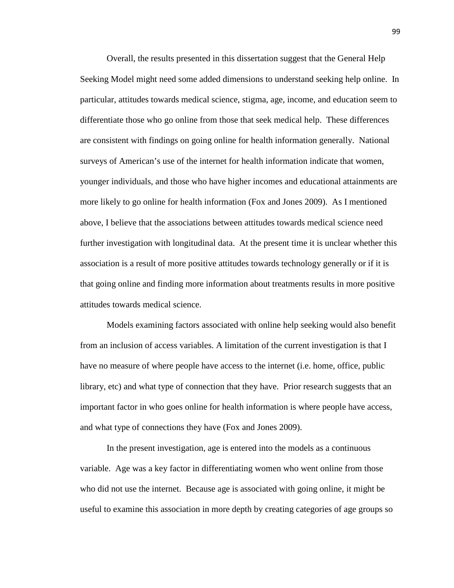Overall, the results presented in this dissertation suggest that the General Help Seeking Model might need some added dimensions to understand seeking help online. In particular, attitudes towards medical science, stigma, age, income, and education seem to differentiate those who go online from those that seek medical help. These differences are consistent with findings on going online for health information generally. National surveys of American's use of the internet for health information indicate that women, younger individuals, and those who have higher incomes and educational attainments are more likely to go online for health information (Fox and Jones 2009). As I mentioned above, I believe that the associations between attitudes towards medical science need further investigation with longitudinal data. At the present time it is unclear whether this association is a result of more positive attitudes towards technology generally or if it is that going online and finding more information about treatments results in more positive attitudes towards medical science.

Models examining factors associated with online help seeking would also benefit from an inclusion of access variables. A limitation of the current investigation is that I have no measure of where people have access to the internet (i.e. home, office, public library, etc) and what type of connection that they have. Prior research suggests that an important factor in who goes online for health information is where people have access, and what type of connections they have (Fox and Jones 2009).

In the present investigation, age is entered into the models as a continuous variable. Age was a key factor in differentiating women who went online from those who did not use the internet. Because age is associated with going online, it might be useful to examine this association in more depth by creating categories of age groups so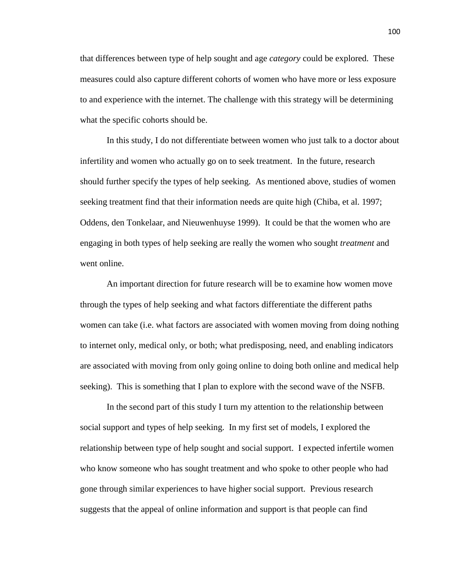that differences between type of help sought and age *category* could be explored. These measures could also capture different cohorts of women who have more or less exposure to and experience with the internet. The challenge with this strategy will be determining what the specific cohorts should be.

In this study, I do not differentiate between women who just talk to a doctor about infertility and women who actually go on to seek treatment. In the future, research should further specify the types of help seeking. As mentioned above, studies of women seeking treatment find that their information needs are quite high (Chiba, et al. 1997; Oddens, den Tonkelaar, and Nieuwenhuyse 1999). It could be that the women who are engaging in both types of help seeking are really the women who sought *treatment* and went online.

An important direction for future research will be to examine how women move through the types of help seeking and what factors differentiate the different paths women can take (i.e. what factors are associated with women moving from doing nothing to internet only, medical only, or both; what predisposing, need, and enabling indicators are associated with moving from only going online to doing both online and medical help seeking). This is something that I plan to explore with the second wave of the NSFB.

In the second part of this study I turn my attention to the relationship between social support and types of help seeking. In my first set of models, I explored the relationship between type of help sought and social support. I expected infertile women who know someone who has sought treatment and who spoke to other people who had gone through similar experiences to have higher social support. Previous research suggests that the appeal of online information and support is that people can find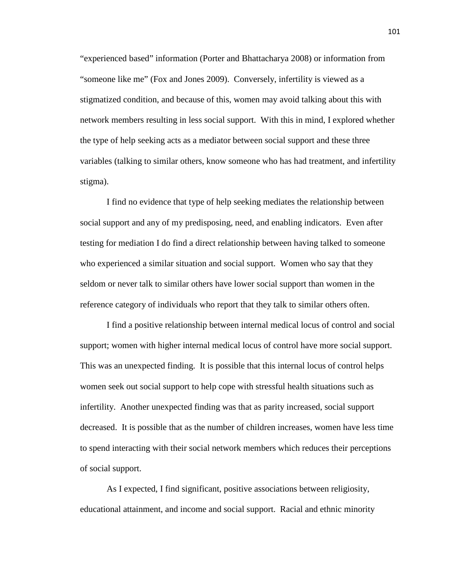"experienced based" information (Porter and Bhattacharya 2008) or information from "someone like me" (Fox and Jones 2009). Conversely, infertility is viewed as a stigmatized condition, and because of this, women may avoid talking about this with network members resulting in less social support. With this in mind, I explored whether the type of help seeking acts as a mediator between social support and these three variables (talking to similar others, know someone who has had treatment, and infertility stigma).

I find no evidence that type of help seeking mediates the relationship between social support and any of my predisposing, need, and enabling indicators. Even after testing for mediation I do find a direct relationship between having talked to someone who experienced a similar situation and social support. Women who say that they seldom or never talk to similar others have lower social support than women in the reference category of individuals who report that they talk to similar others often.

I find a positive relationship between internal medical locus of control and social support; women with higher internal medical locus of control have more social support. This was an unexpected finding. It is possible that this internal locus of control helps women seek out social support to help cope with stressful health situations such as infertility. Another unexpected finding was that as parity increased, social support decreased. It is possible that as the number of children increases, women have less time to spend interacting with their social network members which reduces their perceptions of social support.

As I expected, I find significant, positive associations between religiosity, educational attainment, and income and social support. Racial and ethnic minority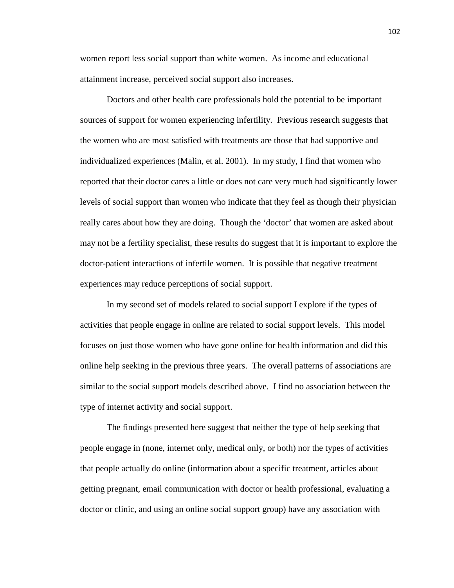women report less social support than white women. As income and educational attainment increase, perceived social support also increases.

Doctors and other health care professionals hold the potential to be important sources of support for women experiencing infertility. Previous research suggests that the women who are most satisfied with treatments are those that had supportive and individualized experiences (Malin, et al. 2001). In my study, I find that women who reported that their doctor cares a little or does not care very much had significantly lower levels of social support than women who indicate that they feel as though their physician really cares about how they are doing. Though the 'doctor' that women are asked about may not be a fertility specialist, these results do suggest that it is important to explore the doctor-patient interactions of infertile women. It is possible that negative treatment experiences may reduce perceptions of social support.

In my second set of models related to social support I explore if the types of activities that people engage in online are related to social support levels. This model focuses on just those women who have gone online for health information and did this online help seeking in the previous three years. The overall patterns of associations are similar to the social support models described above. I find no association between the type of internet activity and social support.

The findings presented here suggest that neither the type of help seeking that people engage in (none, internet only, medical only, or both) nor the types of activities that people actually do online (information about a specific treatment, articles about getting pregnant, email communication with doctor or health professional, evaluating a doctor or clinic, and using an online social support group) have any association with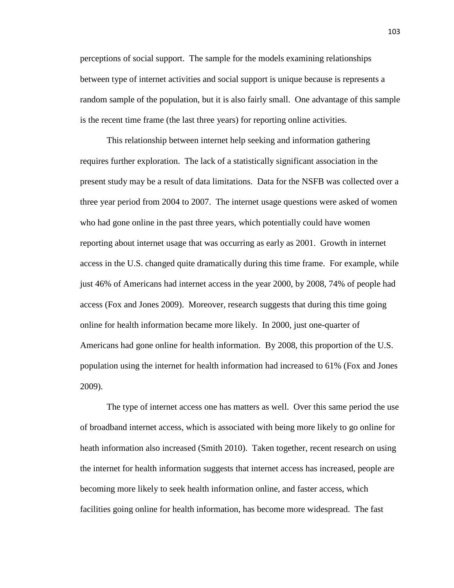perceptions of social support. The sample for the models examining relationships between type of internet activities and social support is unique because is represents a random sample of the population, but it is also fairly small. One advantage of this sample is the recent time frame (the last three years) for reporting online activities.

This relationship between internet help seeking and information gathering requires further exploration. The lack of a statistically significant association in the present study may be a result of data limitations. Data for the NSFB was collected over a three year period from 2004 to 2007. The internet usage questions were asked of women who had gone online in the past three years, which potentially could have women reporting about internet usage that was occurring as early as 2001. Growth in internet access in the U.S. changed quite dramatically during this time frame. For example, while just 46% of Americans had internet access in the year 2000, by 2008, 74% of people had access (Fox and Jones 2009). Moreover, research suggests that during this time going online for health information became more likely. In 2000, just one-quarter of Americans had gone online for health information. By 2008, this proportion of the U.S. population using the internet for health information had increased to 61% (Fox and Jones 2009).

The type of internet access one has matters as well. Over this same period the use of broadband internet access, which is associated with being more likely to go online for heath information also increased (Smith 2010). Taken together, recent research on using the internet for health information suggests that internet access has increased, people are becoming more likely to seek health information online, and faster access, which facilities going online for health information, has become more widespread. The fast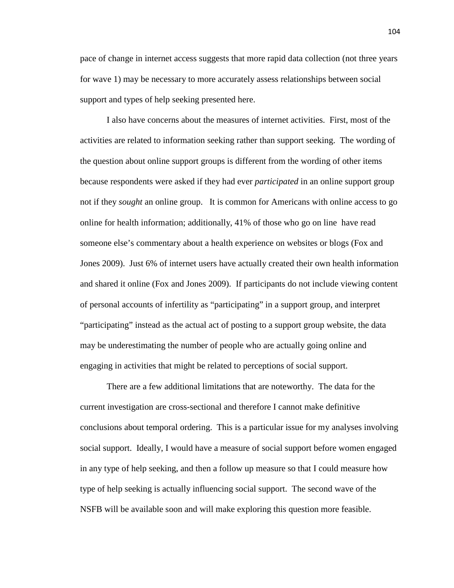pace of change in internet access suggests that more rapid data collection (not three years for wave 1) may be necessary to more accurately assess relationships between social support and types of help seeking presented here.

I also have concerns about the measures of internet activities. First, most of the activities are related to information seeking rather than support seeking. The wording of the question about online support groups is different from the wording of other items because respondents were asked if they had ever *participated* in an online support group not if they *sought* an online group. It is common for Americans with online access to go online for health information; additionally, 41% of those who go on line have read someone else's commentary about a health experience on websites or blogs (Fox and Jones 2009). Just 6% of internet users have actually created their own health information and shared it online (Fox and Jones 2009). If participants do not include viewing content of personal accounts of infertility as "participating" in a support group, and interpret "participating" instead as the actual act of posting to a support group website, the data may be underestimating the number of people who are actually going online and engaging in activities that might be related to perceptions of social support.

 There are a few additional limitations that are noteworthy. The data for the current investigation are cross-sectional and therefore I cannot make definitive conclusions about temporal ordering. This is a particular issue for my analyses involving social support. Ideally, I would have a measure of social support before women engaged in any type of help seeking, and then a follow up measure so that I could measure how type of help seeking is actually influencing social support. The second wave of the NSFB will be available soon and will make exploring this question more feasible.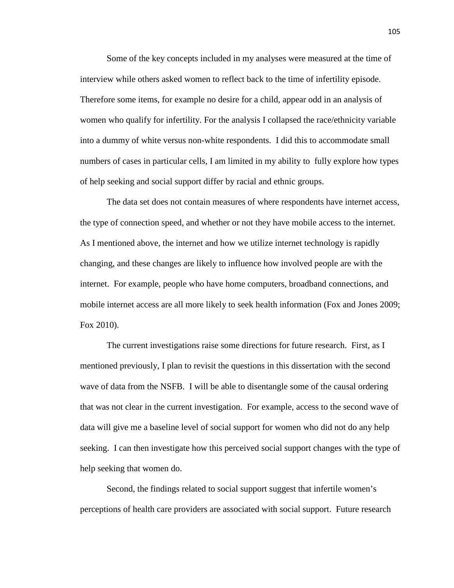Some of the key concepts included in my analyses were measured at the time of interview while others asked women to reflect back to the time of infertility episode. Therefore some items, for example no desire for a child, appear odd in an analysis of women who qualify for infertility. For the analysis I collapsed the race/ethnicity variable into a dummy of white versus non-white respondents. I did this to accommodate small numbers of cases in particular cells, I am limited in my ability to fully explore how types of help seeking and social support differ by racial and ethnic groups.

 The data set does not contain measures of where respondents have internet access, the type of connection speed, and whether or not they have mobile access to the internet. As I mentioned above, the internet and how we utilize internet technology is rapidly changing, and these changes are likely to influence how involved people are with the internet. For example, people who have home computers, broadband connections, and mobile internet access are all more likely to seek health information (Fox and Jones 2009; Fox 2010).

 The current investigations raise some directions for future research. First, as I mentioned previously, I plan to revisit the questions in this dissertation with the second wave of data from the NSFB. I will be able to disentangle some of the causal ordering that was not clear in the current investigation. For example, access to the second wave of data will give me a baseline level of social support for women who did not do any help seeking. I can then investigate how this perceived social support changes with the type of help seeking that women do.

 Second, the findings related to social support suggest that infertile women's perceptions of health care providers are associated with social support. Future research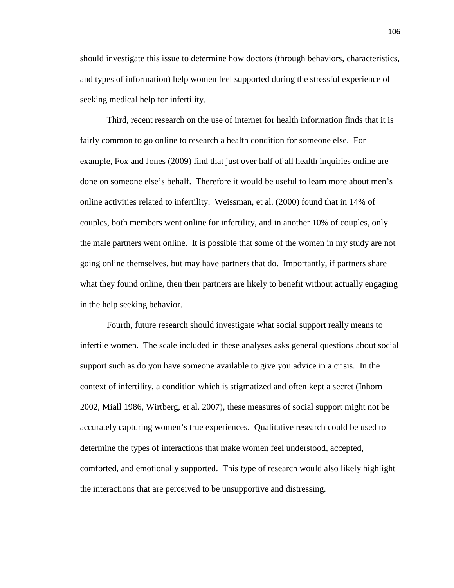should investigate this issue to determine how doctors (through behaviors, characteristics, and types of information) help women feel supported during the stressful experience of seeking medical help for infertility.

 Third, recent research on the use of internet for health information finds that it is fairly common to go online to research a health condition for someone else. For example, Fox and Jones (2009) find that just over half of all health inquiries online are done on someone else's behalf. Therefore it would be useful to learn more about men's online activities related to infertility. Weissman, et al. (2000) found that in 14% of couples, both members went online for infertility, and in another 10% of couples, only the male partners went online. It is possible that some of the women in my study are not going online themselves, but may have partners that do. Importantly, if partners share what they found online, then their partners are likely to benefit without actually engaging in the help seeking behavior.

 Fourth, future research should investigate what social support really means to infertile women. The scale included in these analyses asks general questions about social support such as do you have someone available to give you advice in a crisis. In the context of infertility, a condition which is stigmatized and often kept a secret (Inhorn 2002, Miall 1986, Wirtberg, et al. 2007), these measures of social support might not be accurately capturing women's true experiences. Qualitative research could be used to determine the types of interactions that make women feel understood, accepted, comforted, and emotionally supported. This type of research would also likely highlight the interactions that are perceived to be unsupportive and distressing.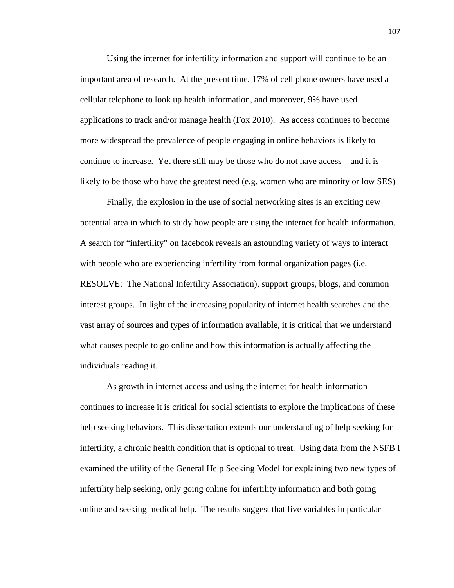Using the internet for infertility information and support will continue to be an important area of research. At the present time, 17% of cell phone owners have used a cellular telephone to look up health information, and moreover, 9% have used applications to track and/or manage health (Fox 2010). As access continues to become more widespread the prevalence of people engaging in online behaviors is likely to continue to increase. Yet there still may be those who do not have access – and it is likely to be those who have the greatest need (e.g. women who are minority or low SES)

Finally, the explosion in the use of social networking sites is an exciting new potential area in which to study how people are using the internet for health information. A search for "infertility" on facebook reveals an astounding variety of ways to interact with people who are experiencing infertility from formal organization pages (i.e. RESOLVE: The National Infertility Association), support groups, blogs, and common interest groups. In light of the increasing popularity of internet health searches and the vast array of sources and types of information available, it is critical that we understand what causes people to go online and how this information is actually affecting the individuals reading it.

As growth in internet access and using the internet for health information continues to increase it is critical for social scientists to explore the implications of these help seeking behaviors. This dissertation extends our understanding of help seeking for infertility, a chronic health condition that is optional to treat. Using data from the NSFB I examined the utility of the General Help Seeking Model for explaining two new types of infertility help seeking, only going online for infertility information and both going online and seeking medical help. The results suggest that five variables in particular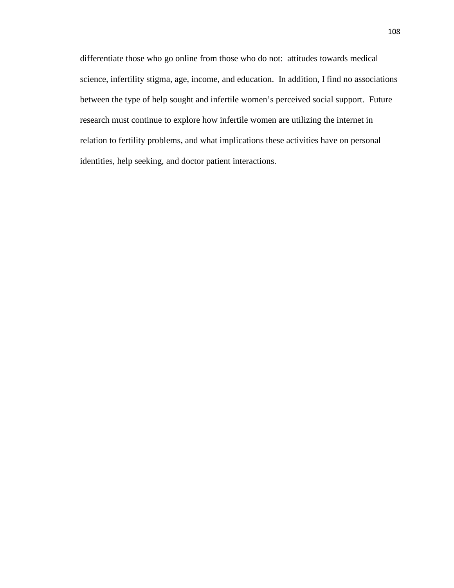differentiate those who go online from those who do not: attitudes towards medical science, infertility stigma, age, income, and education. In addition, I find no associations between the type of help sought and infertile women's perceived social support. Future research must continue to explore how infertile women are utilizing the internet in relation to fertility problems, and what implications these activities have on personal identities, help seeking, and doctor patient interactions.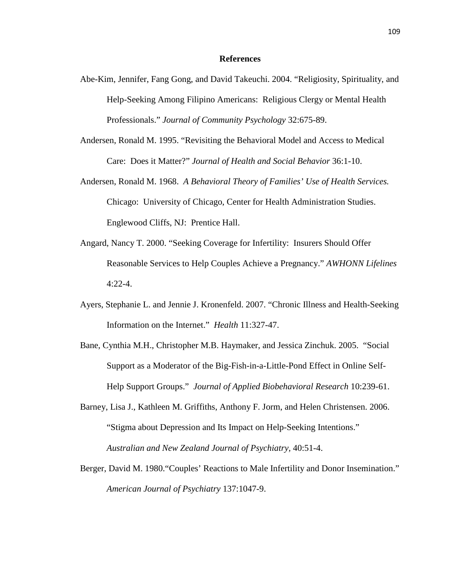## **References**

- Abe-Kim, Jennifer, Fang Gong, and David Takeuchi. 2004. "Religiosity, Spirituality, and Help-Seeking Among Filipino Americans: Religious Clergy or Mental Health Professionals." *Journal of Community Psychology* 32:675-89.
- Andersen, Ronald M. 1995. "Revisiting the Behavioral Model and Access to Medical Care: Does it Matter?" *Journal of Health and Social Behavior* 36:1-10.
- Andersen, Ronald M. 1968. *A Behavioral Theory of Families' Use of Health Services.*  Chicago: University of Chicago, Center for Health Administration Studies. Englewood Cliffs, NJ: Prentice Hall.
- Angard, Nancy T. 2000. "Seeking Coverage for Infertility: Insurers Should Offer Reasonable Services to Help Couples Achieve a Pregnancy." *AWHONN Lifelines*  4:22-4.
- Ayers, Stephanie L. and Jennie J. Kronenfeld. 2007. "Chronic Illness and Health-Seeking Information on the Internet." *Health* 11:327-47.
- Bane, Cynthia M.H., Christopher M.B. Haymaker, and Jessica Zinchuk. 2005. "Social Support as a Moderator of the Big-Fish-in-a-Little-Pond Effect in Online Self-Help Support Groups." *Journal of Applied Biobehavioral Research* 10:239-61.
- Barney, Lisa J., Kathleen M. Griffiths, Anthony F. Jorm, and Helen Christensen. 2006. "Stigma about Depression and Its Impact on Help-Seeking Intentions." *Australian and New Zealand Journal of Psychiatry,* 40:51-4.
- Berger, David M. 1980."Couples' Reactions to Male Infertility and Donor Insemination." *American Journal of Psychiatry* 137:1047-9.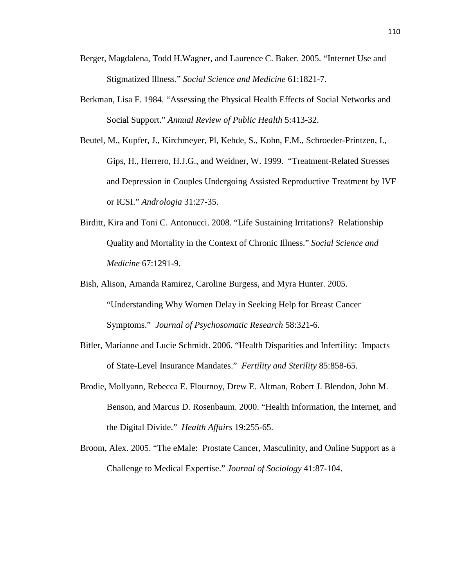- Berger, Magdalena, Todd H.Wagner, and Laurence C. Baker. 2005. "Internet Use and Stigmatized Illness." *Social Science and Medicine* 61:1821-7.
- Berkman, Lisa F. 1984. "Assessing the Physical Health Effects of Social Networks and Social Support." *Annual Review of Public Health* 5:413-32.
- Beutel, M., Kupfer, J., Kirchmeyer, Pl, Kehde, S., Kohn, F.M., Schroeder-Printzen, I., Gips, H., Herrero, H.J.G., and Weidner, W. 1999. "Treatment-Related Stresses and Depression in Couples Undergoing Assisted Reproductive Treatment by IVF or ICSI." *Andrologia* 31:27-35.
- Birditt, Kira and Toni C. Antonucci. 2008. "Life Sustaining Irritations? Relationship Quality and Mortality in the Context of Chronic Illness." *Social Science and Medicine* 67:1291-9.
- Bish, Alison, Amanda Ramirez, Caroline Burgess, and Myra Hunter. 2005. "Understanding Why Women Delay in Seeking Help for Breast Cancer Symptoms." *Journal of Psychosomatic Research* 58:321-6.
- Bitler, Marianne and Lucie Schmidt. 2006. "Health Disparities and Infertility: Impacts of State-Level Insurance Mandates." *Fertility and Sterility* 85:858-65.
- Brodie, Mollyann, Rebecca E. Flournoy, Drew E. Altman, Robert J. Blendon, John M. Benson, and Marcus D. Rosenbaum. 2000. "Health Information, the Internet, and the Digital Divide." *Health Affairs* 19:255-65.
- Broom, Alex. 2005. "The eMale: Prostate Cancer, Masculinity, and Online Support as a Challenge to Medical Expertise." *Journal of Sociology* 41:87-104.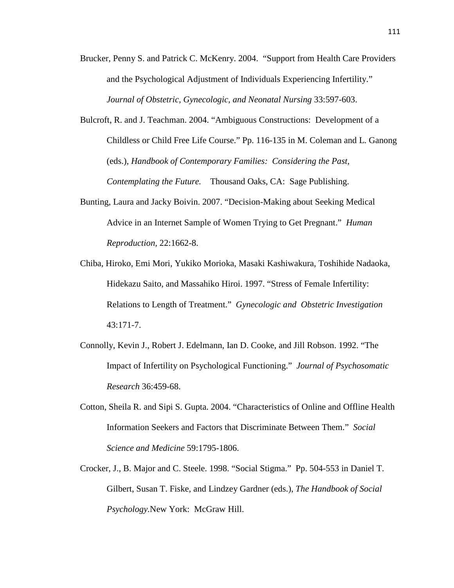- Brucker, Penny S. and Patrick C. McKenry. 2004. "Support from Health Care Providers and the Psychological Adjustment of Individuals Experiencing Infertility." *Journal of Obstetric, Gynecologic, and Neonatal Nursing* 33:597-603.
- Bulcroft, R. and J. Teachman. 2004. "Ambiguous Constructions: Development of a Childless or Child Free Life Course." Pp. 116-135 in M. Coleman and L. Ganong (eds.), *Handbook of Contemporary Families: Considering the Past, Contemplating the Future.* Thousand Oaks, CA: Sage Publishing.
- Bunting, Laura and Jacky Boivin. 2007. "Decision-Making about Seeking Medical Advice in an Internet Sample of Women Trying to Get Pregnant." *Human Reproduction,* 22:1662-8.
- Chiba, Hiroko, Emi Mori, Yukiko Morioka, Masaki Kashiwakura, Toshihide Nadaoka, Hidekazu Saito, and Massahiko Hiroi. 1997. "Stress of Female Infertility: Relations to Length of Treatment." *Gynecologic and Obstetric Investigation*  43:171-7.
- Connolly, Kevin J., Robert J. Edelmann, Ian D. Cooke, and Jill Robson. 1992. "The Impact of Infertility on Psychological Functioning." *Journal of Psychosomatic Research* 36:459-68.
- Cotton, Sheila R. and Sipi S. Gupta. 2004. "Characteristics of Online and Offline Health Information Seekers and Factors that Discriminate Between Them." *Social Science and Medicine* 59:1795-1806.
- Crocker, J., B. Major and C. Steele. 1998. "Social Stigma." Pp. 504-553 in Daniel T. Gilbert, Susan T. Fiske, and Lindzey Gardner (eds.), *The Handbook of Social Psychology.*New York: McGraw Hill.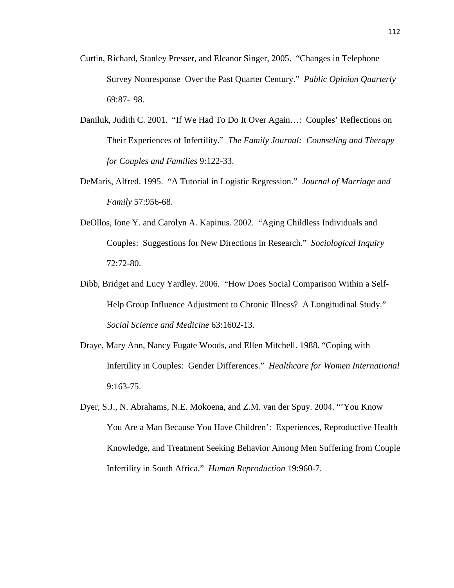- Curtin, Richard, Stanley Presser, and Eleanor Singer, 2005. "Changes in Telephone Survey Nonresponse Over the Past Quarter Century." *Public Opinion Quarterly*  69:87- 98.
- Daniluk, Judith C. 2001. "If We Had To Do It Over Again…: Couples' Reflections on Their Experiences of Infertility." *The Family Journal: Counseling and Therapy for Couples and Families* 9:122-33.
- DeMaris, Alfred. 1995. "A Tutorial in Logistic Regression." *Journal of Marriage and Family* 57:956-68.
- DeOllos, Ione Y. and Carolyn A. Kapinus. 2002. "Aging Childless Individuals and Couples: Suggestions for New Directions in Research." *Sociological Inquiry*  72:72-80.
- Dibb, Bridget and Lucy Yardley. 2006. "How Does Social Comparison Within a Self-Help Group Influence Adjustment to Chronic Illness? A Longitudinal Study." *Social Science and Medicine* 63:1602-13.
- Draye, Mary Ann, Nancy Fugate Woods, and Ellen Mitchell. 1988. "Coping with Infertility in Couples: Gender Differences." *Healthcare for Women International*  9:163-75.
- Dyer, S.J., N. Abrahams, N.E. Mokoena, and Z.M. van der Spuy. 2004. "'You Know You Are a Man Because You Have Children': Experiences, Reproductive Health Knowledge, and Treatment Seeking Behavior Among Men Suffering from Couple Infertility in South Africa." *Human Reproduction* 19:960-7.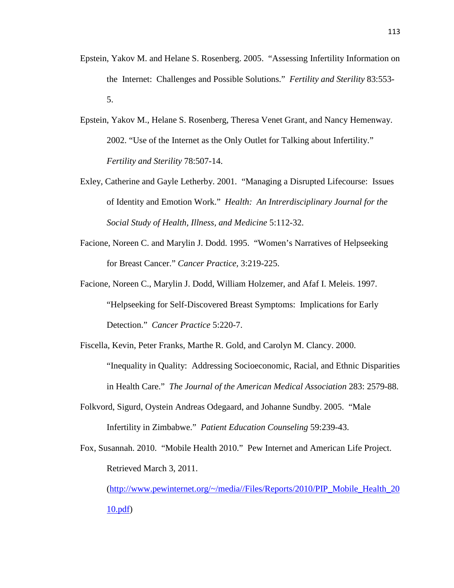- Epstein, Yakov M. and Helane S. Rosenberg. 2005. "Assessing Infertility Information on the Internet: Challenges and Possible Solutions." *Fertility and Sterility* 83:553- 5.
- Epstein, Yakov M., Helane S. Rosenberg, Theresa Venet Grant, and Nancy Hemenway. 2002. "Use of the Internet as the Only Outlet for Talking about Infertility." *Fertility and Sterility* 78:507-14.
- Exley, Catherine and Gayle Letherby. 2001. "Managing a Disrupted Lifecourse: Issues of Identity and Emotion Work." *Health: An Intrerdisciplinary Journal for the Social Study of Health, Illness, and Medicine* 5:112-32.
- Facione, Noreen C. and Marylin J. Dodd. 1995. "Women's Narratives of Helpseeking for Breast Cancer." *Cancer Practice,* 3:219-225.
- Facione, Noreen C., Marylin J. Dodd, William Holzemer, and Afaf I. Meleis. 1997. "Helpseeking for Self-Discovered Breast Symptoms: Implications for Early Detection." *Cancer Practice* 5:220-7.
- Fiscella, Kevin, Peter Franks, Marthe R. Gold, and Carolyn M. Clancy. 2000. "Inequality in Quality: Addressing Socioeconomic, Racial, and Ethnic Disparities in Health Care." *The Journal of the American Medical Association* 283: 2579-88.
- Folkvord, Sigurd, Oystein Andreas Odegaard, and Johanne Sundby. 2005. "Male Infertility in Zimbabwe." *Patient Education Counseling* 59:239-43.
- Fox, Susannah. 2010. "Mobile Health 2010." Pew Internet and American Life Project. Retrieved March 3, 2011.

(http://www.pewinternet.org/~/media//Files/Reports/2010/PIP\_Mobile\_Health\_20 10.pdf)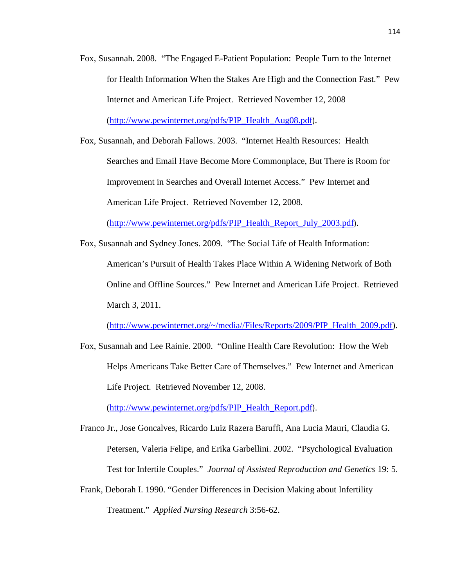- Fox, Susannah. 2008. "The Engaged E-Patient Population: People Turn to the Internet for Health Information When the Stakes Are High and the Connection Fast." Pew Internet and American Life Project. Retrieved November 12, 2008 (http://www.pewinternet.org/pdfs/PIP\_Health\_Aug08.pdf).
- Fox, Susannah, and Deborah Fallows. 2003. "Internet Health Resources: Health Searches and Email Have Become More Commonplace, But There is Room for Improvement in Searches and Overall Internet Access." Pew Internet and American Life Project. Retrieved November 12, 2008.

(http://www.pewinternet.org/pdfs/PIP\_Health\_Report\_July\_2003.pdf).

Fox, Susannah and Sydney Jones. 2009. "The Social Life of Health Information: American's Pursuit of Health Takes Place Within A Widening Network of Both Online and Offline Sources." Pew Internet and American Life Project. Retrieved March 3, 2011.

(http://www.pewinternet.org/~/media//Files/Reports/2009/PIP\_Health\_2009.pdf).

Fox, Susannah and Lee Rainie. 2000. "Online Health Care Revolution: How the Web Helps Americans Take Better Care of Themselves." Pew Internet and American Life Project. Retrieved November 12, 2008.

(http://www.pewinternet.org/pdfs/PIP\_Health\_Report.pdf).

- Franco Jr., Jose Goncalves, Ricardo Luiz Razera Baruffi, Ana Lucia Mauri, Claudia G. Petersen, Valeria Felipe, and Erika Garbellini. 2002. "Psychological Evaluation Test for Infertile Couples." *Journal of Assisted Reproduction and Genetics* 19: 5.
- Frank, Deborah I. 1990. "Gender Differences in Decision Making about Infertility Treatment." *Applied Nursing Research* 3:56-62.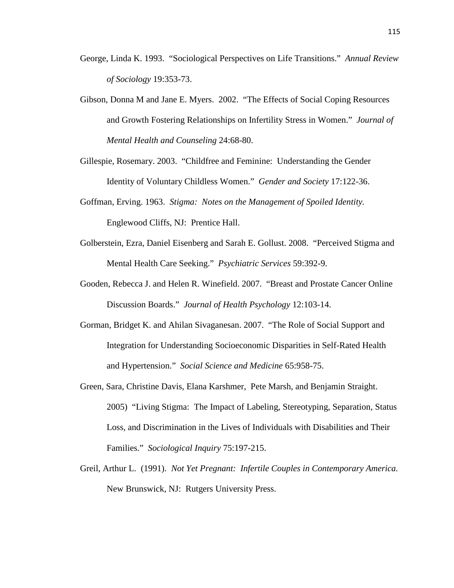- George, Linda K. 1993. "Sociological Perspectives on Life Transitions." *Annual Review of Sociology* 19:353-73.
- Gibson, Donna M and Jane E. Myers. 2002. "The Effects of Social Coping Resources and Growth Fostering Relationships on Infertility Stress in Women." *Journal of Mental Health and Counseling* 24:68-80.

Gillespie, Rosemary. 2003. "Childfree and Feminine: Understanding the Gender Identity of Voluntary Childless Women." *Gender and Society* 17:122-36.

- Goffman, Erving. 1963. *Stigma: Notes on the Management of Spoiled Identity.*  Englewood Cliffs, NJ: Prentice Hall.
- Golberstein, Ezra, Daniel Eisenberg and Sarah E. Gollust. 2008. "Perceived Stigma and Mental Health Care Seeking." *Psychiatric Services* 59:392-9.
- Gooden, Rebecca J. and Helen R. Winefield. 2007. "Breast and Prostate Cancer Online Discussion Boards." *Journal of Health Psychology* 12:103-14.
- Gorman, Bridget K. and Ahilan Sivaganesan. 2007. "The Role of Social Support and Integration for Understanding Socioeconomic Disparities in Self-Rated Health and Hypertension." *Social Science and Medicine* 65:958-75.
- Green, Sara, Christine Davis, Elana Karshmer, Pete Marsh, and Benjamin Straight. 2005) "Living Stigma: The Impact of Labeling, Stereotyping, Separation, Status Loss, and Discrimination in the Lives of Individuals with Disabilities and Their Families." *Sociological Inquiry* 75:197-215.
- Greil, Arthur L. (1991). *Not Yet Pregnant: Infertile Couples in Contemporary America.*  New Brunswick, NJ: Rutgers University Press.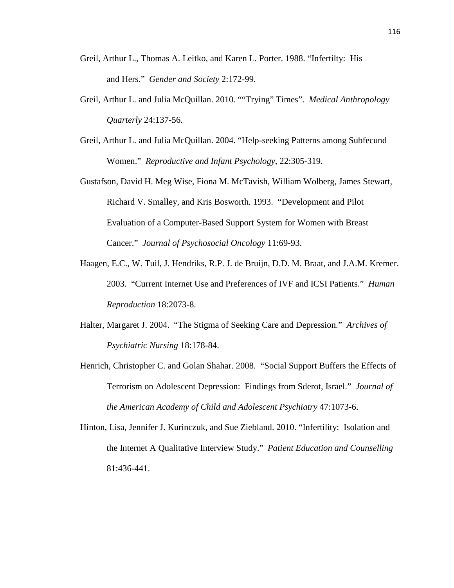- Greil, Arthur L., Thomas A. Leitko, and Karen L. Porter. 1988. "Infertilty: His and Hers." *Gender and Society* 2:172-99.
- Greil, Arthur L. and Julia McQuillan. 2010. ""Trying" Times". *Medical Anthropology Quarterly* 24:137-56.
- Greil, Arthur L. and Julia McQuillan. 2004. "Help-seeking Patterns among Subfecund Women." *Reproductive and Infant Psychology,* 22:305-319.

Gustafson, David H. Meg Wise, Fiona M. McTavish, William Wolberg, James Stewart, Richard V. Smalley, and Kris Bosworth. 1993. "Development and Pilot Evaluation of a Computer-Based Support System for Women with Breast Cancer." *Journal of Psychosocial Oncology* 11:69-93.

- Haagen, E.C., W. Tuil, J. Hendriks, R.P. J. de Bruijn, D.D. M. Braat, and J.A.M. Kremer. 2003. "Current Internet Use and Preferences of IVF and ICSI Patients." *Human Reproduction* 18:2073-8.
- Halter, Margaret J. 2004. "The Stigma of Seeking Care and Depression." *Archives of Psychiatric Nursing* 18:178-84.
- Henrich, Christopher C. and Golan Shahar. 2008. "Social Support Buffers the Effects of Terrorism on Adolescent Depression: Findings from Sderot, Israel." *Journal of the American Academy of Child and Adolescent Psychiatry* 47:1073-6.
- Hinton, Lisa, Jennifer J. Kurinczuk, and Sue Ziebland. 2010. "Infertility: Isolation and the Internet A Qualitative Interview Study." *Patient Education and Counselling*  81:436-441.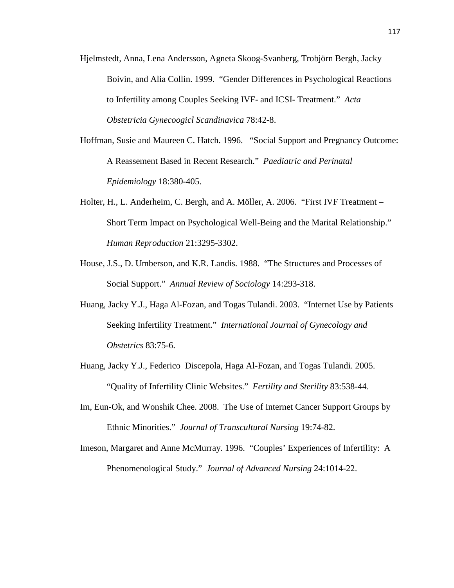- Hjelmstedt, Anna, Lena Andersson, Agneta Skoog-Svanberg, Trobjörn Bergh, Jacky Boivin, and Alia Collin. 1999. "Gender Differences in Psychological Reactions to Infertility among Couples Seeking IVF- and ICSI- Treatment." *Acta Obstetricia Gynecoogicl Scandinavica* 78:42-8.
- Hoffman, Susie and Maureen C. Hatch. 1996. "Social Support and Pregnancy Outcome: A Reassement Based in Recent Research." *Paediatric and Perinatal Epidemiology* 18:380-405.
- Holter, H., L. Anderheim, C. Bergh, and A. Möller, A. 2006. "First IVF Treatment Short Term Impact on Psychological Well-Being and the Marital Relationship." *Human Reproduction* 21:3295-3302.
- House, J.S., D. Umberson, and K.R. Landis. 1988. "The Structures and Processes of Social Support." *Annual Review of Sociology* 14:293-318.
- Huang, Jacky Y.J., Haga Al-Fozan, and Togas Tulandi. 2003. "Internet Use by Patients Seeking Infertility Treatment." *International Journal of Gynecology and Obstetrics* 83:75-6.
- Huang, Jacky Y.J., Federico Discepola, Haga Al-Fozan, and Togas Tulandi. 2005. "Quality of Infertility Clinic Websites." *Fertility and Sterility* 83:538-44.
- Im, Eun-Ok, and Wonshik Chee. 2008. The Use of Internet Cancer Support Groups by Ethnic Minorities." *Journal of Transcultural Nursing* 19:74-82.
- Imeson, Margaret and Anne McMurray. 1996. "Couples' Experiences of Infertility: A Phenomenological Study." *Journal of Advanced Nursing* 24:1014-22.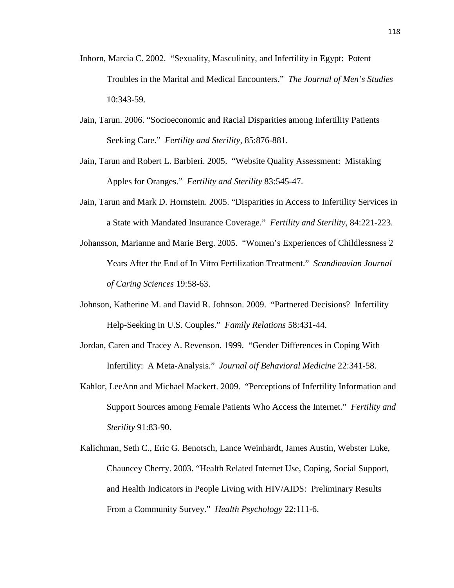- Inhorn, Marcia C. 2002. "Sexuality, Masculinity, and Infertility in Egypt: Potent Troubles in the Marital and Medical Encounters." *The Journal of Men's Studies*  10:343-59.
- Jain, Tarun. 2006. "Socioeconomic and Racial Disparities among Infertility Patients Seeking Care." *Fertility and Sterility,* 85:876-881.
- Jain, Tarun and Robert L. Barbieri. 2005. "Website Quality Assessment: Mistaking Apples for Oranges." *Fertility and Sterility* 83:545-47.
- Jain, Tarun and Mark D. Hornstein. 2005. "Disparities in Access to Infertility Services in a State with Mandated Insurance Coverage." *Fertility and Sterility,* 84:221-223.
- Johansson, Marianne and Marie Berg. 2005. "Women's Experiences of Childlessness 2 Years After the End of In Vitro Fertilization Treatment." *Scandinavian Journal of Caring Sciences* 19:58-63.
- Johnson, Katherine M. and David R. Johnson. 2009. "Partnered Decisions? Infertility Help-Seeking in U.S. Couples." *Family Relations* 58:431-44.
- Jordan, Caren and Tracey A. Revenson. 1999. "Gender Differences in Coping With Infertility: A Meta-Analysis." *Journal oif Behavioral Medicine* 22:341-58.
- Kahlor, LeeAnn and Michael Mackert. 2009. "Perceptions of Infertility Information and Support Sources among Female Patients Who Access the Internet." *Fertility and Sterility* 91:83-90.
- Kalichman, Seth C., Eric G. Benotsch, Lance Weinhardt, James Austin, Webster Luke, Chauncey Cherry. 2003. "Health Related Internet Use, Coping, Social Support, and Health Indicators in People Living with HIV/AIDS: Preliminary Results From a Community Survey." *Health Psychology* 22:111-6.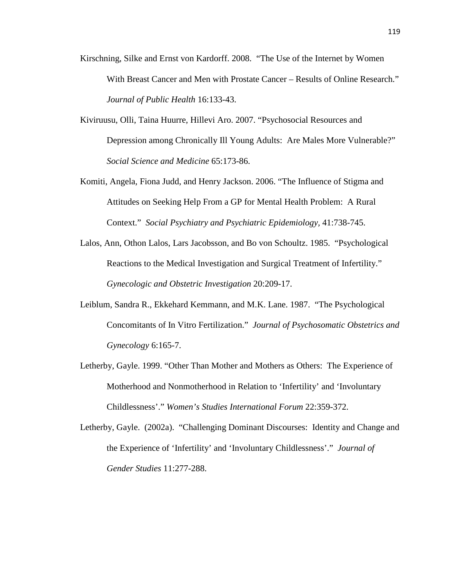- Kirschning, Silke and Ernst von Kardorff. 2008. "The Use of the Internet by Women With Breast Cancer and Men with Prostate Cancer – Results of Online Research." *Journal of Public Health* 16:133-43.
- Kiviruusu, Olli, Taina Huurre, Hillevi Aro. 2007. "Psychosocial Resources and Depression among Chronically Ill Young Adults: Are Males More Vulnerable?" *Social Science and Medicine* 65:173-86.
- Komiti, Angela, Fiona Judd, and Henry Jackson. 2006. "The Influence of Stigma and Attitudes on Seeking Help From a GP for Mental Health Problem: A Rural Context." *Social Psychiatry and Psychiatric Epidemiology,* 41:738-745.
- Lalos, Ann, Othon Lalos, Lars Jacobsson, and Bo von Schoultz. 1985. "Psychological Reactions to the Medical Investigation and Surgical Treatment of Infertility." *Gynecologic and Obstetric Investigation* 20:209-17.
- Leiblum, Sandra R., Ekkehard Kemmann, and M.K. Lane. 1987. "The Psychological Concomitants of In Vitro Fertilization." *Journal of Psychosomatic Obstetrics and Gynecology* 6:165-7.
- Letherby, Gayle. 1999. "Other Than Mother and Mothers as Others: The Experience of Motherhood and Nonmotherhood in Relation to 'Infertility' and 'Involuntary Childlessness'." *Women's Studies International Forum* 22:359-372.
- Letherby, Gayle. (2002a). "Challenging Dominant Discourses: Identity and Change and the Experience of 'Infertility' and 'Involuntary Childlessness'." *Journal of Gender Studies* 11:277-288.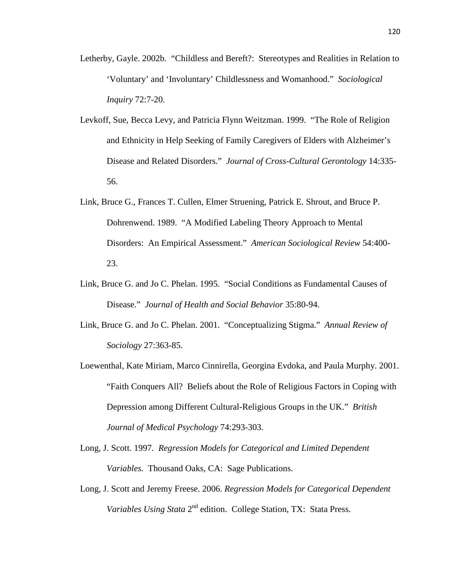- Letherby, Gayle. 2002b. "Childless and Bereft?: Stereotypes and Realities in Relation to 'Voluntary' and 'Involuntary' Childlessness and Womanhood." *Sociological Inquiry* 72:7-20.
- Levkoff, Sue, Becca Levy, and Patricia Flynn Weitzman. 1999. "The Role of Religion and Ethnicity in Help Seeking of Family Caregivers of Elders with Alzheimer's Disease and Related Disorders." *Journal of Cross-Cultural Gerontology* 14:335- 56.
- Link, Bruce G., Frances T. Cullen, Elmer Struening, Patrick E. Shrout, and Bruce P. Dohrenwend. 1989. "A Modified Labeling Theory Approach to Mental Disorders: An Empirical Assessment." *American Sociological Review* 54:400- 23.
- Link, Bruce G. and Jo C. Phelan. 1995. "Social Conditions as Fundamental Causes of Disease." *Journal of Health and Social Behavior* 35:80-94.
- Link, Bruce G. and Jo C. Phelan. 2001. "Conceptualizing Stigma." *Annual Review of Sociology* 27:363-85.
- Loewenthal, Kate Miriam, Marco Cinnirella, Georgina Evdoka, and Paula Murphy. 2001. "Faith Conquers All? Beliefs about the Role of Religious Factors in Coping with Depression among Different Cultural-Religious Groups in the UK." *British Journal of Medical Psychology* 74:293-303.
- Long, J. Scott. 1997. *Regression Models for Categorical and Limited Dependent Variables.* Thousand Oaks, CA: Sage Publications.
- Long, J. Scott and Jeremy Freese. 2006. *Regression Models for Categorical Dependent*  Variables Using Stata 2<sup>nd</sup> edition. College Station, TX: Stata Press.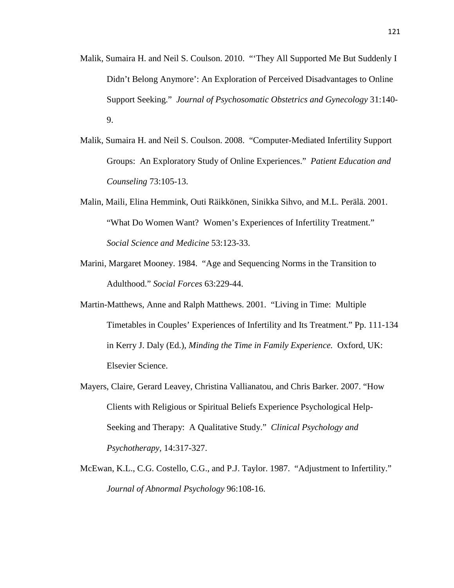- Malik, Sumaira H. and Neil S. Coulson. 2010. "'They All Supported Me But Suddenly I Didn't Belong Anymore': An Exploration of Perceived Disadvantages to Online Support Seeking." *Journal of Psychosomatic Obstetrics and Gynecology* 31:140- 9.
- Malik, Sumaira H. and Neil S. Coulson. 2008. "Computer-Mediated Infertility Support Groups: An Exploratory Study of Online Experiences." *Patient Education and Counseling* 73:105-13.
- Malin, Maili, Elina Hemmink, Outi Räikkönen, Sinikka Sihvo, and M.L. Perälä. 2001. "What Do Women Want? Women's Experiences of Infertility Treatment." *Social Science and Medicine* 53:123-33.
- Marini, Margaret Mooney. 1984. "Age and Sequencing Norms in the Transition to Adulthood." *Social Forces* 63:229-44.
- Martin-Matthews, Anne and Ralph Matthews. 2001. "Living in Time: Multiple Timetables in Couples' Experiences of Infertility and Its Treatment." Pp. 111-134 in Kerry J. Daly (Ed.), *Minding the Time in Family Experience.* Oxford, UK: Elsevier Science.
- Mayers, Claire, Gerard Leavey, Christina Vallianatou, and Chris Barker. 2007. "How Clients with Religious or Spiritual Beliefs Experience Psychological Help-Seeking and Therapy: A Qualitative Study." *Clinical Psychology and Psychotherapy,* 14:317-327.
- McEwan, K.L., C.G. Costello, C.G., and P.J. Taylor. 1987. "Adjustment to Infertility." *Journal of Abnormal Psychology* 96:108-16.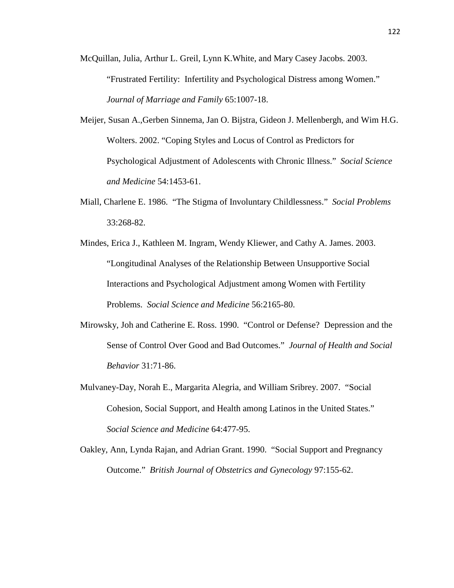- McQuillan, Julia, Arthur L. Greil, Lynn K.White, and Mary Casey Jacobs. 2003. "Frustrated Fertility: Infertility and Psychological Distress among Women." *Journal of Marriage and Family* 65:1007-18.
- Meijer, Susan A.,Gerben Sinnema, Jan O. Bijstra, Gideon J. Mellenbergh, and Wim H.G. Wolters. 2002. "Coping Styles and Locus of Control as Predictors for Psychological Adjustment of Adolescents with Chronic Illness." *Social Science and Medicine* 54:1453-61.
- Miall, Charlene E. 1986. "The Stigma of Involuntary Childlessness." *Social Problems*  33:268-82.
- Mindes, Erica J., Kathleen M. Ingram, Wendy Kliewer, and Cathy A. James. 2003. "Longitudinal Analyses of the Relationship Between Unsupportive Social Interactions and Psychological Adjustment among Women with Fertility Problems. *Social Science and Medicine* 56:2165-80.
- Mirowsky, Joh and Catherine E. Ross. 1990. "Control or Defense? Depression and the Sense of Control Over Good and Bad Outcomes." *Journal of Health and Social Behavior* 31:71-86.
- Mulvaney-Day, Norah E., Margarita Alegria, and William Sribrey. 2007. "Social Cohesion, Social Support, and Health among Latinos in the United States." *Social Science and Medicine* 64:477-95.
- Oakley, Ann, Lynda Rajan, and Adrian Grant. 1990. "Social Support and Pregnancy Outcome." *British Journal of Obstetrics and Gynecology* 97:155-62.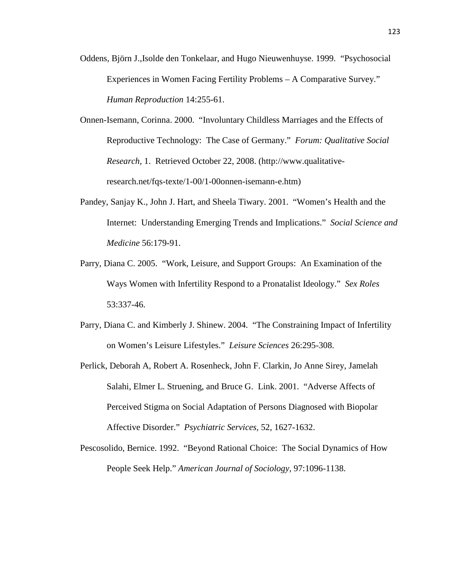- Oddens, Björn J.,Isolde den Tonkelaar, and Hugo Nieuwenhuyse. 1999. "Psychosocial Experiences in Women Facing Fertility Problems – A Comparative Survey." *Human Reproduction* 14:255-61.
- Onnen-Isemann, Corinna. 2000. "Involuntary Childless Marriages and the Effects of Reproductive Technology: The Case of Germany." *Forum: Qualitative Social Research,* 1. Retrieved October 22, 2008. (http://www.qualitativeresearch.net/fqs-texte/1-00/1-00onnen-isemann-e.htm)
- Pandey, Sanjay K., John J. Hart, and Sheela Tiwary. 2001. "Women's Health and the Internet: Understanding Emerging Trends and Implications." *Social Science and Medicine* 56:179-91.
- Parry, Diana C. 2005. "Work, Leisure, and Support Groups: An Examination of the Ways Women with Infertility Respond to a Pronatalist Ideology." *Sex Roles*  53:337-46.
- Parry, Diana C. and Kimberly J. Shinew. 2004. "The Constraining Impact of Infertility on Women's Leisure Lifestyles." *Leisure Sciences* 26:295-308.
- Perlick, Deborah A, Robert A. Rosenheck, John F. Clarkin, Jo Anne Sirey, Jamelah Salahi, Elmer L. Struening, and Bruce G. Link. 2001. "Adverse Affects of Perceived Stigma on Social Adaptation of Persons Diagnosed with Biopolar Affective Disorder." *Psychiatric Services,* 52, 1627-1632.
- Pescosolido, Bernice. 1992. "Beyond Rational Choice: The Social Dynamics of How People Seek Help." *American Journal of Sociology,* 97:1096-1138.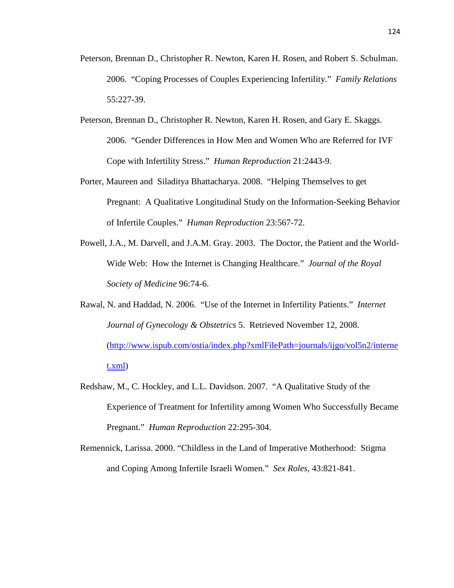- Peterson, Brennan D., Christopher R. Newton, Karen H. Rosen, and Robert S. Schulman. 2006. "Coping Processes of Couples Experiencing Infertility." *Family Relations*  55:227-39.
- Peterson, Brennan D., Christopher R. Newton, Karen H. Rosen, and Gary E. Skaggs. 2006. "Gender Differences in How Men and Women Who are Referred for IVF Cope with Infertility Stress." *Human Reproduction* 21:2443-9.
- Porter, Maureen and Siladitya Bhattacharya. 2008. "Helping Themselves to get Pregnant: A Qualitative Longitudinal Study on the Information-Seeking Behavior of Infertile Couples." *Human Reproduction* 23:567-72.
- Powell, J.A., M. Darvell, and J.A.M. Gray. 2003. The Doctor, the Patient and the World-Wide Web: How the Internet is Changing Healthcare." *Journal of the Royal Society of Medicine* 96:74-6.
- Rawal, N. and Haddad, N. 2006. "Use of the Internet in Infertility Patients." *Internet Journal of Gynecology & Obstetrics* 5. Retrieved November 12, 2008. (http://www.ispub.com/ostia/index.php?xmlFilePath=journals/ijgo/vol5n2/interne t.xml)
- Redshaw, M., C. Hockley, and L.L. Davidson. 2007. "A Qualitative Study of the Experience of Treatment for Infertility among Women Who Successfully Became Pregnant." *Human Reproduction* 22:295-304.
- Remennick, Larissa. 2000. "Childless in the Land of Imperative Motherhood: Stigma and Coping Among Infertile Israeli Women." *Sex Roles,* 43:821-841.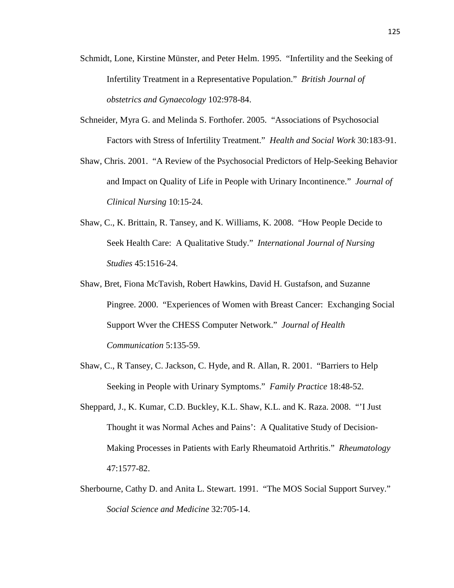- Schmidt, Lone, Kirstine Münster, and Peter Helm. 1995. "Infertility and the Seeking of Infertility Treatment in a Representative Population." *British Journal of obstetrics and Gynaecology* 102:978-84.
- Schneider, Myra G. and Melinda S. Forthofer. 2005. "Associations of Psychosocial Factors with Stress of Infertility Treatment." *Health and Social Work* 30:183-91.
- Shaw, Chris. 2001. "A Review of the Psychosocial Predictors of Help-Seeking Behavior and Impact on Quality of Life in People with Urinary Incontinence." *Journal of Clinical Nursing* 10:15-24.
- Shaw, C., K. Brittain, R. Tansey, and K. Williams, K. 2008. "How People Decide to Seek Health Care: A Qualitative Study." *International Journal of Nursing Studies* 45:1516-24.
- Shaw, Bret, Fiona McTavish, Robert Hawkins, David H. Gustafson, and Suzanne Pingree. 2000. "Experiences of Women with Breast Cancer: Exchanging Social Support Wver the CHESS Computer Network." *Journal of Health Communication* 5:135-59.
- Shaw, C., R Tansey, C. Jackson, C. Hyde, and R. Allan, R. 2001. "Barriers to Help Seeking in People with Urinary Symptoms." *Family Practice* 18:48-52.
- Sheppard, J., K. Kumar, C.D. Buckley, K.L. Shaw, K.L. and K. Raza. 2008. "'I Just Thought it was Normal Aches and Pains': A Qualitative Study of Decision-Making Processes in Patients with Early Rheumatoid Arthritis." *Rheumatology*  47:1577-82.
- Sherbourne, Cathy D. and Anita L. Stewart. 1991. "The MOS Social Support Survey." *Social Science and Medicine* 32:705-14.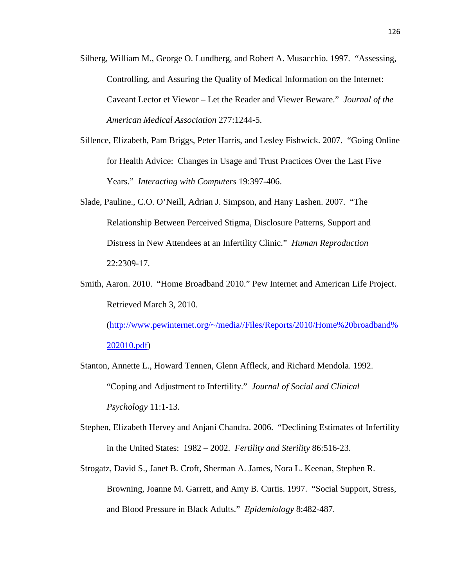- Silberg, William M., George O. Lundberg, and Robert A. Musacchio. 1997. "Assessing, Controlling, and Assuring the Quality of Medical Information on the Internet: Caveant Lector et Viewor – Let the Reader and Viewer Beware." *Journal of the American Medical Association* 277:1244-5.
- Sillence, Elizabeth, Pam Briggs, Peter Harris, and Lesley Fishwick. 2007. "Going Online for Health Advice: Changes in Usage and Trust Practices Over the Last Five Years." *Interacting with Computers* 19:397-406.
- Slade, Pauline., C.O. O'Neill, Adrian J. Simpson, and Hany Lashen. 2007. "The Relationship Between Perceived Stigma, Disclosure Patterns, Support and Distress in New Attendees at an Infertility Clinic." *Human Reproduction*  22:2309-17.
- Smith, Aaron. 2010. "Home Broadband 2010." Pew Internet and American Life Project. Retrieved March 3, 2010.

(http://www.pewinternet.org/~/media//Files/Reports/2010/Home%20broadband% 202010.pdf)

- Stanton, Annette L., Howard Tennen, Glenn Affleck, and Richard Mendola. 1992. "Coping and Adjustment to Infertility." *Journal of Social and Clinical Psychology* 11:1-13.
- Stephen, Elizabeth Hervey and Anjani Chandra. 2006. "Declining Estimates of Infertility in the United States: 1982 – 2002. *Fertility and Sterility* 86:516-23.
- Strogatz, David S., Janet B. Croft, Sherman A. James, Nora L. Keenan, Stephen R. Browning, Joanne M. Garrett, and Amy B. Curtis. 1997. "Social Support, Stress, and Blood Pressure in Black Adults." *Epidemiology* 8:482-487.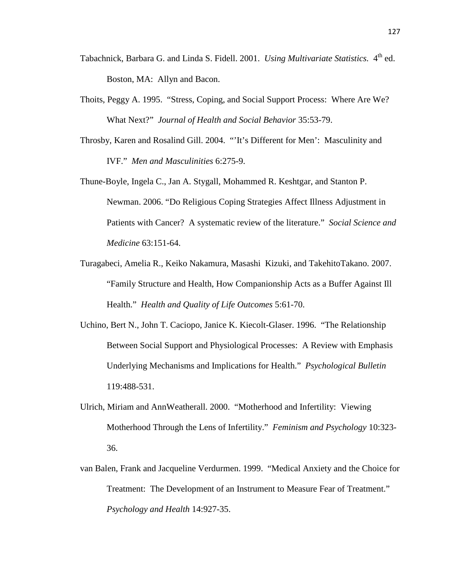- Tabachnick, Barbara G. and Linda S. Fidell. 2001. *Using Multivariate Statistics*. 4<sup>th</sup> ed. Boston, MA: Allyn and Bacon.
- Thoits, Peggy A. 1995. "Stress, Coping, and Social Support Process: Where Are We? What Next?" *Journal of Health and Social Behavior* 35:53-79.
- Throsby, Karen and Rosalind Gill. 2004. "'It's Different for Men': Masculinity and IVF." *Men and Masculinities* 6:275-9.
- Thune-Boyle, Ingela C., Jan A. Stygall, Mohammed R. Keshtgar, and Stanton P. Newman. 2006. "Do Religious Coping Strategies Affect Illness Adjustment in Patients with Cancer? A systematic review of the literature." *Social Science and Medicine* 63:151-64.
- Turagabeci, Amelia R., Keiko Nakamura, Masashi Kizuki, and TakehitoTakano. 2007. "Family Structure and Health, How Companionship Acts as a Buffer Against Ill Health." *Health and Quality of Life Outcomes* 5:61-70.
- Uchino, Bert N., John T. Caciopo, Janice K. Kiecolt-Glaser. 1996. "The Relationship Between Social Support and Physiological Processes: A Review with Emphasis Underlying Mechanisms and Implications for Health." *Psychological Bulletin*  119:488-531.
- Ulrich, Miriam and AnnWeatherall. 2000. "Motherhood and Infertility: Viewing Motherhood Through the Lens of Infertility." *Feminism and Psychology* 10:323- 36.
- van Balen, Frank and Jacqueline Verdurmen. 1999. "Medical Anxiety and the Choice for Treatment: The Development of an Instrument to Measure Fear of Treatment." *Psychology and Health* 14:927-35.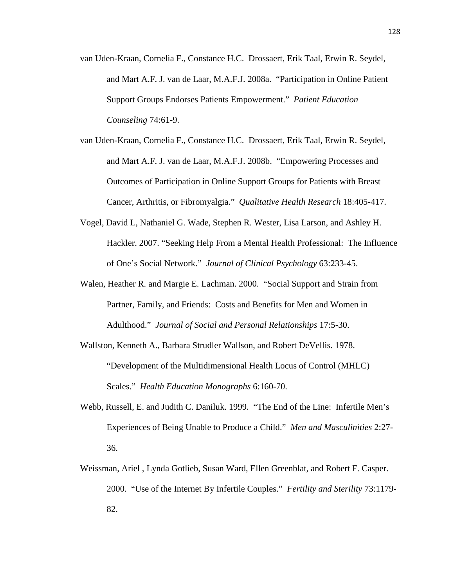- van Uden-Kraan, Cornelia F., Constance H.C. Drossaert, Erik Taal, Erwin R. Seydel, and Mart A.F. J. van de Laar, M.A.F.J. 2008a. "Participation in Online Patient Support Groups Endorses Patients Empowerment." *Patient Education Counseling* 74:61-9.
- van Uden-Kraan, Cornelia F., Constance H.C. Drossaert, Erik Taal, Erwin R. Seydel, and Mart A.F. J. van de Laar, M.A.F.J. 2008b. "Empowering Processes and Outcomes of Participation in Online Support Groups for Patients with Breast Cancer, Arthritis, or Fibromyalgia." *Qualitative Health Research* 18:405-417.
- Vogel, David L, Nathaniel G. Wade, Stephen R. Wester, Lisa Larson, and Ashley H. Hackler. 2007. "Seeking Help From a Mental Health Professional: The Influence of One's Social Network." *Journal of Clinical Psychology* 63:233-45.
- Walen, Heather R. and Margie E. Lachman. 2000. "Social Support and Strain from Partner, Family, and Friends: Costs and Benefits for Men and Women in Adulthood." *Journal of Social and Personal Relationships* 17:5-30.
- Wallston, Kenneth A., Barbara Strudler Wallson, and Robert DeVellis. 1978. "Development of the Multidimensional Health Locus of Control (MHLC) Scales." *Health Education Monographs* 6:160-70.
- Webb, Russell, E. and Judith C. Daniluk. 1999. "The End of the Line: Infertile Men's Experiences of Being Unable to Produce a Child." *Men and Masculinities* 2:27- 36.
- Weissman, Ariel , Lynda Gotlieb, Susan Ward, Ellen Greenblat, and Robert F. Casper. 2000. "Use of the Internet By Infertile Couples." *Fertility and Sterility* 73:1179- 82.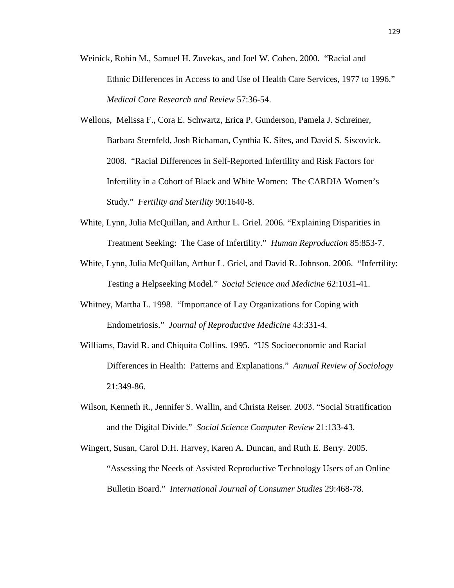- Weinick, Robin M., Samuel H. Zuvekas, and Joel W. Cohen. 2000. "Racial and Ethnic Differences in Access to and Use of Health Care Services, 1977 to 1996." *Medical Care Research and Review* 57:36-54.
- Wellons, Melissa F., Cora E. Schwartz, Erica P. Gunderson, Pamela J. Schreiner, Barbara Sternfeld, Josh Richaman, Cynthia K. Sites, and David S. Siscovick. 2008. "Racial Differences in Self-Reported Infertility and Risk Factors for Infertility in a Cohort of Black and White Women: The CARDIA Women's Study." *Fertility and Sterility* 90:1640-8.
- White, Lynn, Julia McQuillan, and Arthur L. Griel. 2006. "Explaining Disparities in Treatment Seeking: The Case of Infertility." *Human Reproduction* 85:853-7.
- White, Lynn, Julia McQuillan, Arthur L. Griel, and David R. Johnson. 2006. "Infertility: Testing a Helpseeking Model." *Social Science and Medicine* 62:1031-41.
- Whitney, Martha L. 1998. "Importance of Lay Organizations for Coping with Endometriosis." *Journal of Reproductive Medicine* 43:331-4.
- Williams, David R. and Chiquita Collins. 1995. "US Socioeconomic and Racial Differences in Health: Patterns and Explanations." *Annual Review of Sociology*  21:349-86.
- Wilson, Kenneth R., Jennifer S. Wallin, and Christa Reiser. 2003. "Social Stratification and the Digital Divide." *Social Science Computer Review* 21:133-43.
- Wingert, Susan, Carol D.H. Harvey, Karen A. Duncan, and Ruth E. Berry. 2005. "Assessing the Needs of Assisted Reproductive Technology Users of an Online Bulletin Board." *International Journal of Consumer Studies* 29:468-78.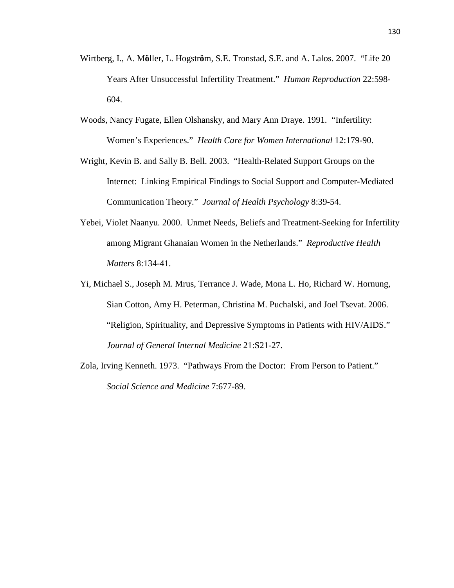- Wirtberg, I., A. M**ö**ller, L. Hogstr**ö**m, S.E. Tronstad, S.E. and A. Lalos. 2007. "Life 20 Years After Unsuccessful Infertility Treatment." *Human Reproduction* 22:598- 604.
- Woods, Nancy Fugate, Ellen Olshansky, and Mary Ann Draye. 1991. "Infertility: Women's Experiences." *Health Care for Women International* 12:179-90.
- Wright, Kevin B. and Sally B. Bell. 2003. "Health-Related Support Groups on the Internet: Linking Empirical Findings to Social Support and Computer-Mediated Communication Theory." *Journal of Health Psychology* 8:39-54.
- Yebei, Violet Naanyu. 2000. Unmet Needs, Beliefs and Treatment-Seeking for Infertility among Migrant Ghanaian Women in the Netherlands." *Reproductive Health Matters* 8:134-41.
- Yi, Michael S., Joseph M. Mrus, Terrance J. Wade, Mona L. Ho, Richard W. Hornung, Sian Cotton, Amy H. Peterman, Christina M. Puchalski, and Joel Tsevat. 2006. "Religion, Spirituality, and Depressive Symptoms in Patients with HIV/AIDS." *Journal of General Internal Medicine* 21:S21-27.
- Zola, Irving Kenneth. 1973. "Pathways From the Doctor: From Person to Patient." *Social Science and Medicine* 7:677-89.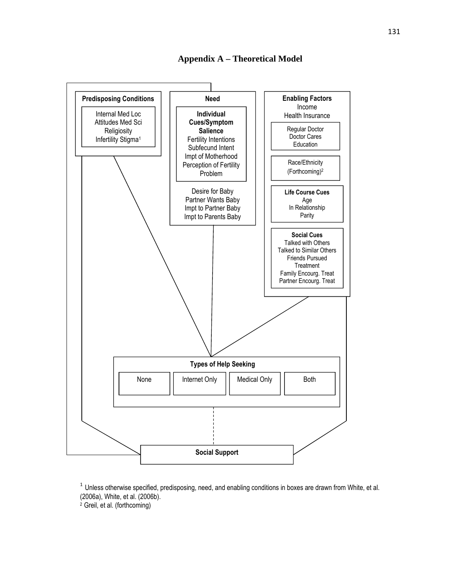



 $1$  Unless otherwise specified, predisposing, need, and enabling conditions in boxes are drawn from White, et al. (2006a), White, et al. (2006b).

<sup>2</sup> Greil, et al. (forthcoming)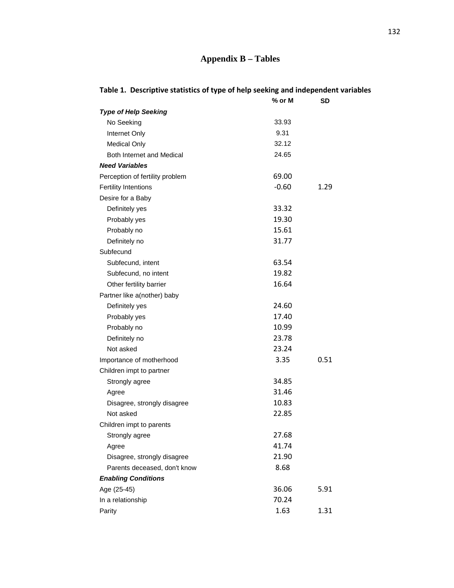## **Appendix B – Tables**

|                                 | % or M  | SD   |
|---------------------------------|---------|------|
| <b>Type of Help Seeking</b>     |         |      |
| No Seeking                      | 33.93   |      |
| Internet Only                   | 9.31    |      |
| <b>Medical Only</b>             | 32.12   |      |
| Both Internet and Medical       | 24.65   |      |
| <b>Need Variables</b>           |         |      |
| Perception of fertility problem | 69.00   |      |
| <b>Fertility Intentions</b>     | $-0.60$ | 1.29 |
| Desire for a Baby               |         |      |
| Definitely yes                  | 33.32   |      |
| Probably yes                    | 19.30   |      |
| Probably no                     | 15.61   |      |
| Definitely no                   | 31.77   |      |
| Subfecund                       |         |      |
| Subfecund, intent               | 63.54   |      |
| Subfecund, no intent            | 19.82   |      |
| Other fertility barrier         | 16.64   |      |
| Partner like a(nother) baby     |         |      |
| Definitely yes                  | 24.60   |      |
| Probably yes                    | 17.40   |      |
| Probably no                     | 10.99   |      |
| Definitely no                   | 23.78   |      |
| Not asked                       | 23.24   |      |
| Importance of motherhood        | 3.35    | 0.51 |
| Children impt to partner        |         |      |
| Strongly agree                  | 34.85   |      |
| Agree                           | 31.46   |      |
| Disagree, strongly disagree     | 10.83   |      |
| Not asked                       | 22.85   |      |
| Children impt to parents        |         |      |
| Strongly agree                  | 27.68   |      |
| Agree                           | 41.74   |      |
| Disagree, strongly disagree     | 21.90   |      |
| Parents deceased, don't know    | 8.68    |      |
| <b>Enabling Conditions</b>      |         |      |
| Age (25-45)                     | 36.06   | 5.91 |
| In a relationship               | 70.24   |      |
| Parity                          | 1.63    | 1.31 |

## **Table 1. Descriptive statistics of type of help seeking and independent variables**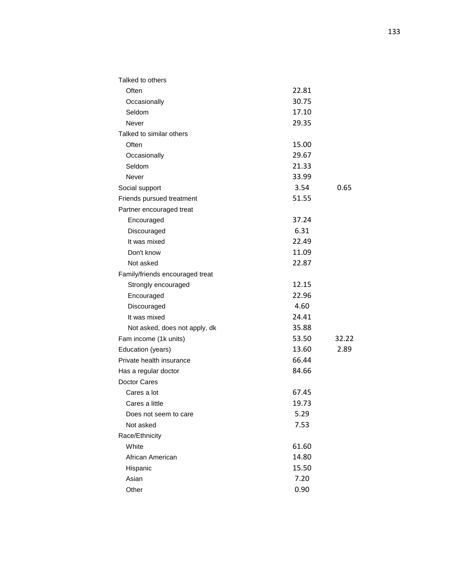| Talked to others                |       |       |
|---------------------------------|-------|-------|
| Often                           | 22.81 |       |
| Occasionally                    | 30.75 |       |
| Seldom                          | 17.10 |       |
| Never                           | 29.35 |       |
| Talked to similar others        |       |       |
| Often                           | 15.00 |       |
| Occasionally                    | 29.67 |       |
| Seldom                          | 21.33 |       |
| Never                           | 33.99 |       |
| Social support                  | 3.54  | 0.65  |
| Friends pursued treatment       | 51.55 |       |
| Partner encouraged treat        |       |       |
| Encouraged                      | 37.24 |       |
| Discouraged                     | 6.31  |       |
| It was mixed                    | 22.49 |       |
| Don't know                      | 11.09 |       |
| Not asked                       | 22.87 |       |
| Family/friends encouraged treat |       |       |
| Strongly encouraged             | 12.15 |       |
| Encouraged                      | 22.96 |       |
| Discouraged                     | 4.60  |       |
| It was mixed                    | 24.41 |       |
| Not asked, does not apply, dk   | 35.88 |       |
| Fam income (1k units)           | 53.50 | 32.22 |
| Education (years)               | 13.60 | 2.89  |
| Private health insurance        | 66.44 |       |
| Has a regular doctor            | 84.66 |       |
| Doctor Cares                    |       |       |
| Cares a lot                     | 67.45 |       |
| Cares a little                  | 19.73 |       |
| Does not seem to care           | 5.29  |       |
| Not asked                       | 7.53  |       |
| Race/Ethnicity                  |       |       |
| White                           | 61.60 |       |
| African American                | 14.80 |       |
| Hispanic                        | 15.50 |       |
| Asian                           | 7.20  |       |
| Other                           | 0.90  |       |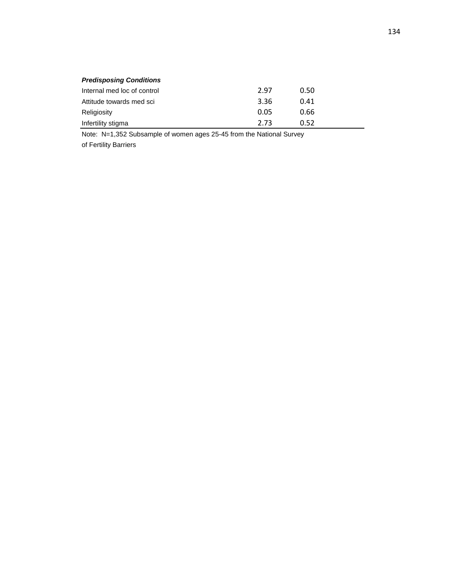| <b>Predisposing Conditions</b> |      |      |  |
|--------------------------------|------|------|--|
| Internal med loc of control    | 2.97 | 0.50 |  |
| Attitude towards med sci       | 3.36 | 0.41 |  |
| Religiosity                    | 0.05 | 0.66 |  |
| Infertility stigma             | 2.73 | 0.52 |  |

Note: N=1,352 Subsample of women ages 25-45 from the National Survey

of Fertility Barriers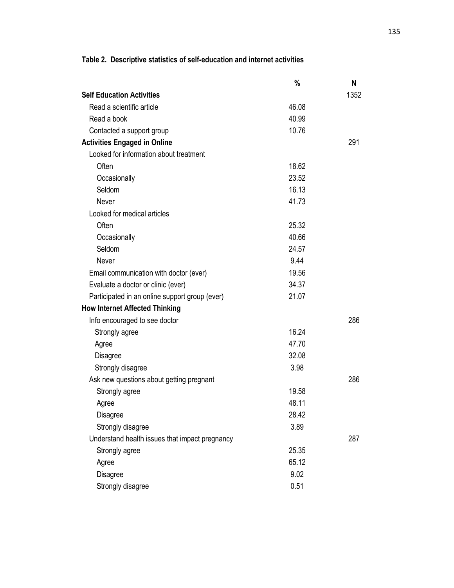|                                                | %     | N    |
|------------------------------------------------|-------|------|
| <b>Self Education Activities</b>               |       | 1352 |
| Read a scientific article                      | 46.08 |      |
| Read a book                                    | 40.99 |      |
| Contacted a support group                      | 10.76 |      |
| <b>Activities Engaged in Online</b>            |       | 291  |
| Looked for information about treatment         |       |      |
| Often                                          | 18.62 |      |
| Occasionally                                   | 23.52 |      |
| Seldom                                         | 16.13 |      |
| Never                                          | 41.73 |      |
| Looked for medical articles                    |       |      |
| Often                                          | 25.32 |      |
| Occasionally                                   | 40.66 |      |
| Seldom                                         | 24.57 |      |
| Never                                          | 9.44  |      |
| Email communication with doctor (ever)         | 19.56 |      |
| Evaluate a doctor or clinic (ever)             | 34.37 |      |
| Participated in an online support group (ever) | 21.07 |      |
| <b>How Internet Affected Thinking</b>          |       |      |
| Info encouraged to see doctor                  |       | 286  |
| Strongly agree                                 | 16.24 |      |
| Agree                                          | 47.70 |      |
| Disagree                                       | 32.08 |      |
| Strongly disagree                              | 3.98  |      |
| Ask new questions about getting pregnant       |       | 286  |
| Strongly agree                                 | 19.58 |      |
| Agree                                          | 48.11 |      |
| Disagree                                       | 28.42 |      |
| Strongly disagree                              | 3.89  |      |
| Understand health issues that impact pregnancy |       | 287  |
| Strongly agree                                 | 25.35 |      |
| Agree                                          | 65.12 |      |
| <b>Disagree</b>                                | 9.02  |      |
| Strongly disagree                              | 0.51  |      |

**Table 2. Descriptive statistics of self-education and internet activities**

135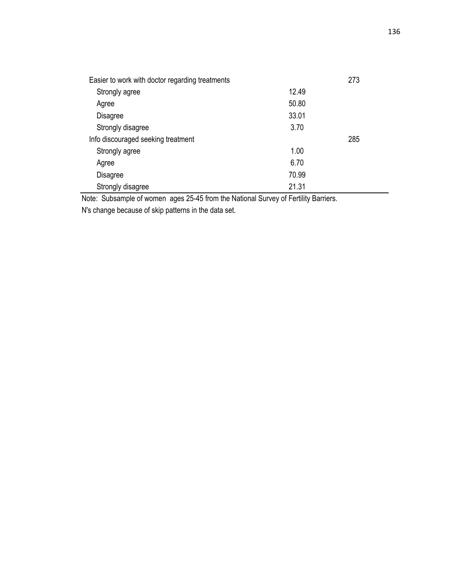| Easier to work with doctor regarding treatments |       | 273 |
|-------------------------------------------------|-------|-----|
| Strongly agree                                  | 12.49 |     |
| Agree                                           | 50.80 |     |
| <b>Disagree</b>                                 | 33.01 |     |
| Strongly disagree                               | 3.70  |     |
| Info discouraged seeking treatment              |       | 285 |
| Strongly agree                                  | 1.00  |     |
| Agree                                           | 6.70  |     |
| Disagree                                        | 70.99 |     |
| Strongly disagree                               | 21.31 |     |

Note: Subsample of women ages 25-45 from the National Survey of Fertility Barriers.

N's change because of skip patterns in the data set.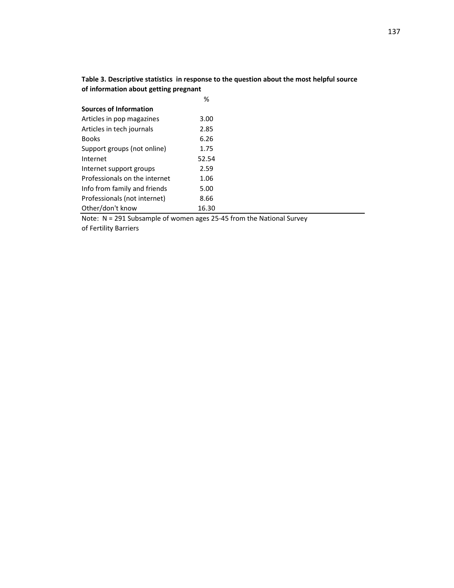|                                       | Table 3. Descriptive statistics in response to the question about the most helpful source |
|---------------------------------------|-------------------------------------------------------------------------------------------|
| of information about getting pregnant |                                                                                           |

|                               | %     |
|-------------------------------|-------|
| Sources of Information        |       |
| Articles in pop magazines     | 3.00  |
| Articles in tech journals     | 2.85  |
| <b>Books</b>                  | 6.26  |
| Support groups (not online)   | 1.75  |
| Internet                      | 52.54 |
| Internet support groups       | 2.59  |
| Professionals on the internet | 1.06  |
| Info from family and friends  | 5.00  |
| Professionals (not internet)  | 8.66  |
| Other/don't know              | 16.30 |

Note: N = 291 Subsample of women ages 25-45 from the National Survey

of Fertility Barriers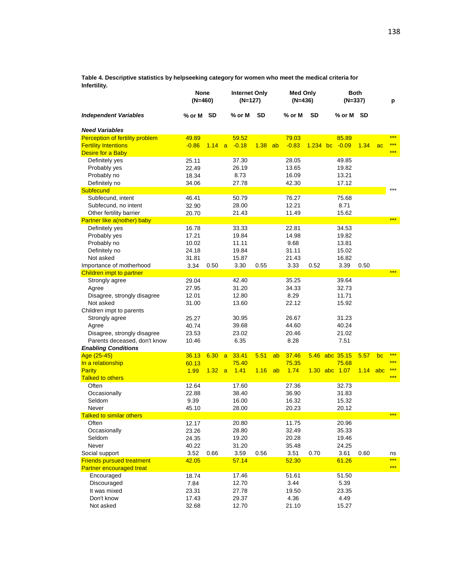**Table 4. Descriptive statistics by helpseeking category for women who meet the medical criteria for Infertility.** 

|                                               | None<br>(N=460) |      |                | <b>Internet Only</b><br>(N=127) |           |    | <b>Med Only</b><br>(N=436) |            |                | Both<br>(N=337) |     | p         |
|-----------------------------------------------|-----------------|------|----------------|---------------------------------|-----------|----|----------------------------|------------|----------------|-----------------|-----|-----------|
| <b>Independent Variables</b>                  | % or M SD       |      |                | % or M                          | <b>SD</b> |    | % or M                     | <b>SD</b>  | % or M SD      |                 |     |           |
| <b>Need Variables</b>                         |                 |      |                |                                 |           |    |                            |            |                |                 |     |           |
| Perception of fertility problem               | 49.89           |      |                | 59.52                           |           |    | 79.03                      |            | 85.89          |                 |     | ***       |
| <b>Fertility Intentions</b>                   | $-0.86$         | 1.14 | $\overline{a}$ | $-0.18$                         | 1.38      | ab | $-0.83$                    | $1.234$ bc | $-0.09$        | 1.34            | ac  | ***       |
| Desire for a Baby                             |                 |      |                |                                 |           |    |                            |            |                |                 |     | ***       |
| Definitely yes                                | 25.11           |      |                | 37.30                           |           |    | 28.05                      |            | 49.85          |                 |     |           |
| Probably yes                                  | 22.49           |      |                | 26.19                           |           |    | 13.65                      |            | 19.82          |                 |     |           |
| Probably no                                   | 18.34           |      |                | 8.73                            |           |    | 16.09                      |            | 13.21          |                 |     |           |
| Definitely no                                 | 34.06           |      |                | 27.78                           |           |    | 42.30                      |            | 17.12          |                 |     |           |
| <b>Subfecund</b>                              |                 |      |                |                                 |           |    |                            |            |                |                 |     | ***       |
| Subfecund, intent                             | 46.41           |      |                | 50.79                           |           |    | 76.27                      |            | 75.68          |                 |     |           |
| Subfecund, no intent                          | 32.90           |      |                | 28.00                           |           |    | 12.21                      |            | 8.71           |                 |     |           |
| Other fertility barrier                       | 20.70           |      |                | 21.43                           |           |    | 11.49                      |            | 15.62          |                 |     |           |
| Partner like a(nother) baby                   |                 |      |                |                                 |           |    |                            |            |                |                 |     | ***       |
| Definitely yes                                | 16.78           |      |                | 33.33                           |           |    | 22.81                      |            | 34.53          |                 |     |           |
| Probably yes                                  | 17.21           |      |                | 19.84                           |           |    | 14.98                      |            | 19.82          |                 |     |           |
| Probably no                                   | 10.02           |      |                | 11.11                           |           |    | 9.68                       |            | 13.81          |                 |     |           |
| Definitely no                                 | 24.18           |      |                | 19.84                           |           |    | 31.11                      |            | 15.02          |                 |     |           |
| Not asked                                     | 31.81           |      |                | 15.87                           |           |    | 21.43                      |            | 16.82          |                 |     |           |
| Importance of motherhood                      | 3.34            | 0.50 |                | 3.30                            | 0.55      |    | 3.33                       | 0.52       | 3.39           | 0.50            |     | ***       |
| Children impt to partner                      |                 |      |                | 42.40                           |           |    | 35.25                      |            | 39.64          |                 |     |           |
| Strongly agree<br>Agree                       | 29.04<br>27.95  |      |                | 31.20                           |           |    | 34.33                      |            | 32.73          |                 |     |           |
| Disagree, strongly disagree                   | 12.01           |      |                | 12.80                           |           |    | 8.29                       |            | 11.71          |                 |     |           |
| Not asked                                     | 31.00           |      |                | 13.60                           |           |    | 22.12                      |            | 15.92          |                 |     |           |
| Children impt to parents                      |                 |      |                |                                 |           |    |                            |            |                |                 |     |           |
| Strongly agree                                | 25.27           |      |                | 30.95                           |           |    | 26.67                      |            | 31.23          |                 |     |           |
| Agree                                         | 40.74           |      |                | 39.68                           |           |    | 44.60                      |            | 40.24          |                 |     |           |
| Disagree, strongly disagree                   | 23.53           |      |                | 23.02                           |           |    | 20.46                      |            | 21.02          |                 |     |           |
| Parents deceased, don't know                  | 10.46           |      |                | 6.35                            |           |    | 8.28                       |            | 7.51           |                 |     |           |
| <b>Enabling Conditions</b>                    |                 |      |                |                                 |           |    |                            |            |                |                 |     |           |
| Age (25-45)                                   | 36.13           | 6.30 | a              | 33.41                           | 5.51      | ab | 37.46                      |            | 5.46 abc 35.15 | 5.57            | bc  | ***       |
| In a relationship                             | 60.13           |      |                | 75.40                           |           |    | 75.35                      |            | 75.68          |                 |     | ***       |
| Parity                                        | 1.99            | 1.32 | $\overline{a}$ | 1.41                            | 1.16      | ab | 1.74                       |            | 1.30 abc 1.07  | 1.14            | abc | ***       |
| <b>Talked to others</b>                       |                 |      |                |                                 |           |    |                            |            |                |                 |     | ***       |
| Often                                         | 12.64           |      |                | 17.60                           |           |    | 27.36                      |            | 32.73          |                 |     |           |
| Occasionally                                  | 22.88           |      |                | 38.40                           |           |    | 36.90                      |            | 31.83          |                 |     |           |
| Seldom                                        | 9.39            |      |                | 16.00                           |           |    | 16.32                      |            | 15.32          |                 |     |           |
| Never                                         | 45.10           |      |                | 28.00                           |           |    | 20.23                      |            | 20.12          |                 |     |           |
| <b>Talked to similar others</b>               |                 |      |                |                                 |           |    |                            |            |                |                 |     | ***       |
| Often                                         | 12.17           |      |                | 20.80                           |           |    | 11.75                      |            | 20.96          |                 |     |           |
| Occasionally                                  | 23.26           |      |                | 28.80                           |           |    | 32.49                      |            | 35.33          |                 |     |           |
| Seldom                                        | 24.35           |      |                | 19.20                           |           |    | 20.28                      |            | 19.46          |                 |     |           |
| Never                                         | 40.22           |      |                | 31.20                           |           |    | 35.48                      |            | 24.25          |                 |     |           |
| Social support                                | 3.52            | 0.66 |                | 3.59                            | 0.56      |    | 3.51                       | 0.70       | 3.61           | 0.60            |     | ns<br>*** |
| <b>Friends pursued treatment</b>              | 42.05           |      |                | 57.14                           |           |    | 52.30                      |            | 61.26          |                 |     | $***$     |
| <b>Partner encouraged treat</b><br>Encouraged | 18.74           |      |                | 17.46                           |           |    | 51.61                      |            | 51.50          |                 |     |           |
| Discouraged                                   | 7.84            |      |                | 12.70                           |           |    | 3.44                       |            | 5.39           |                 |     |           |
| It was mixed                                  | 23.31           |      |                | 27.78                           |           |    | 19.50                      |            | 23.35          |                 |     |           |
| Don't know                                    | 17.43           |      |                | 29.37                           |           |    | 4.36                       |            | 4.49           |                 |     |           |
| Not asked                                     | 32.68           |      |                | 12.70                           |           |    | 21.10                      |            | 15.27          |                 |     |           |
|                                               |                 |      |                |                                 |           |    |                            |            |                |                 |     |           |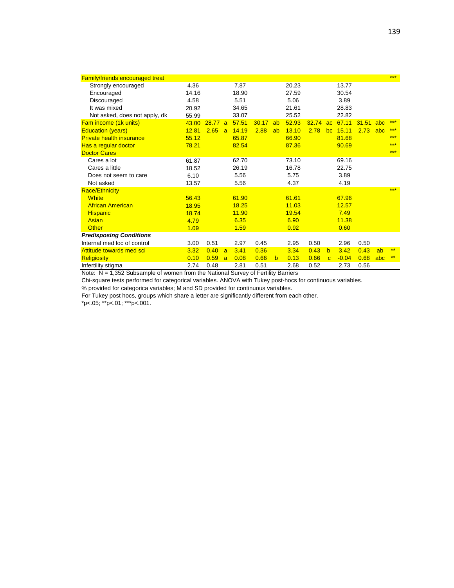| <b>Family/friends encouraged treat</b> |       |       |   |       |       |    |       |       |              |         |       |     | *** |
|----------------------------------------|-------|-------|---|-------|-------|----|-------|-------|--------------|---------|-------|-----|-----|
| Strongly encouraged                    | 4.36  |       |   | 7.87  |       |    | 20.23 |       |              | 13.77   |       |     |     |
| Encouraged                             | 14.16 |       |   | 18.90 |       |    | 27.59 |       |              | 30.54   |       |     |     |
| Discouraged                            | 4.58  |       |   | 5.51  |       |    | 5.06  |       |              | 3.89    |       |     |     |
| It was mixed                           | 20.92 |       |   | 34.65 |       |    | 21.61 |       |              | 28.83   |       |     |     |
| Not asked, does not apply, dk          | 55.99 |       |   | 33.07 |       |    | 25.52 |       |              | 22.82   |       |     |     |
| Fam income (1k units)                  | 43.00 | 28.77 | a | 57.51 | 30.17 | ab | 52.93 | 32.74 | ac           | 67.11   | 31.51 | abc | *** |
| <b>Education (years)</b>               | 12.81 | 2.65  | a | 14.19 | 2.88  | ab | 13.10 | 2.78  | bc           | 15.11   | 2.73  | abc | *** |
| <b>Private health insurance</b>        | 55.12 |       |   | 65.87 |       |    | 66.90 |       |              | 81.68   |       |     | *** |
| Has a regular doctor                   | 78.21 |       |   | 82.54 |       |    | 87.36 |       |              | 90.69   |       |     | *** |
| <b>Doctor Cares</b>                    |       |       |   |       |       |    |       |       |              |         |       |     | *** |
| Cares a lot                            | 61.87 |       |   | 62.70 |       |    | 73.10 |       |              | 69.16   |       |     |     |
| Cares a little                         | 18.52 |       |   | 26.19 |       |    | 16.78 |       |              | 22.75   |       |     |     |
| Does not seem to care                  | 6.10  |       |   | 5.56  |       |    | 5.75  |       |              | 3.89    |       |     |     |
| Not asked                              | 13.57 |       |   | 5.56  |       |    | 4.37  |       |              | 4.19    |       |     |     |
| <b>Race/Ethnicity</b>                  |       |       |   |       |       |    |       |       |              |         |       |     | *** |
| <b>White</b>                           | 56.43 |       |   | 61.90 |       |    | 61.61 |       |              | 67.96   |       |     |     |
| <b>African American</b>                | 18.95 |       |   | 18.25 |       |    | 11.03 |       |              | 12.57   |       |     |     |
| <b>Hispanic</b>                        | 18.74 |       |   | 11.90 |       |    | 19.54 |       |              | 7.49    |       |     |     |
| Asian                                  | 4.79  |       |   | 6.35  |       |    | 6.90  |       |              | 11.38   |       |     |     |
| <b>Other</b>                           | 1.09  |       |   | 1.59  |       |    | 0.92  |       |              | 0.60    |       |     |     |
| <b>Predisposing Conditions</b>         |       |       |   |       |       |    |       |       |              |         |       |     |     |
| Internal med loc of control            | 3.00  | 0.51  |   | 2.97  | 0.45  |    | 2.95  | 0.50  |              | 2.96    | 0.50  |     |     |
| Attitude towards med sci               | 3.32  | 0.40  | a | 3.41  | 0.36  |    | 3.34  | 0.43  | $\mathbf b$  | 3.42    | 0.43  | ab  | **  |
| <b>Religiosity</b>                     | 0.10  | 0.59  | a | 0.08  | 0.66  | b  | 0.13  | 0.66  | $\mathbf{C}$ | $-0.04$ | 0.68  | abc | **  |
| Infertility stigma                     | 2.74  | 0.48  |   | 2.81  | 0.51  |    | 2.68  | 0.52  |              | 2.73    | 0.56  |     |     |

Note: N = 1,352 Subsample of women from the National Survey of Fertility Barriers

Chi-square tests performed for categorical variables. ANOVA with Tukey post-hocs for continuous variables.

% provided for categorica variables; M and SD provided for continuous variables.

For Tukey post hocs, groups which share a letter are significantly different from each other.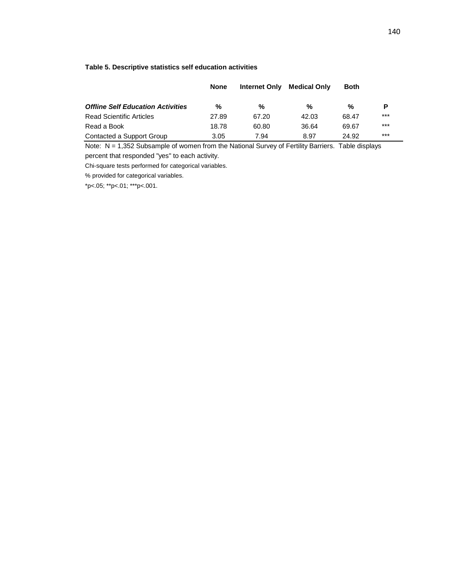#### **Table 5. Descriptive statistics self education activities**

|                                          | None  | <b>Internet Only</b> | <b>Medical Only</b> | <b>Both</b> |       |
|------------------------------------------|-------|----------------------|---------------------|-------------|-------|
| <b>Offline Self Education Activities</b> | %     | %                    | %                   | %           | P     |
| <b>Read Scientific Articles</b>          | 27.89 | 67.20                | 42.03               | 68.47       | $***$ |
| Read a Book                              | 18.78 | 60.80                | 36.64               | 69.67       | $***$ |
| Contacted a Support Group                | 3.05  | 7.94                 | 8.97                | 24.92       | ***   |

Note: N = 1,352 Subsample of women from the National Survey of Fertility Barriers. Table displays percent that responded "yes" to each activity.

Chi-square tests performed for categorical variables.

% provided for categorical variables.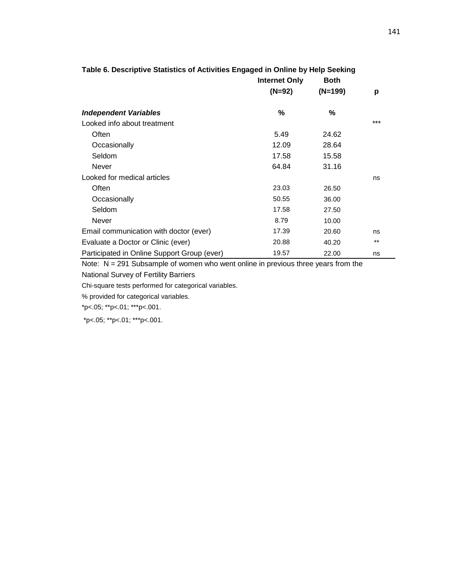|                                             | <b>Internet Only</b><br>$(N=92)$ | <b>Both</b><br>$(N=199)$ | p     |
|---------------------------------------------|----------------------------------|--------------------------|-------|
| <b>Independent Variables</b>                | %                                | %                        |       |
| Looked info about treatment                 |                                  |                          | ***   |
| Often                                       | 5.49                             | 24.62                    |       |
| Occasionally                                | 12.09                            | 28.64                    |       |
| Seldom                                      | 17.58                            | 15.58                    |       |
| Never                                       | 64.84                            | 31.16                    |       |
| Looked for medical articles                 |                                  |                          | ns    |
| Often                                       | 23.03                            | 26.50                    |       |
| Occasionally                                | 50.55                            | 36.00                    |       |
| Seldom                                      | 17.58                            | 27.50                    |       |
| Never                                       | 8.79                             | 10.00                    |       |
| Email communication with doctor (ever)      | 17.39                            | 20.60                    | ns    |
| Evaluate a Doctor or Clinic (ever)          | 20.88                            | 40.20                    | $***$ |
| Participated in Online Support Group (ever) | 19.57                            | 22.00                    | ns    |

# **Table 6. Descriptive Statistics of Activities Engaged in Online by Help Seeking**

Note: N = 291 Subsample of women who went online in previous three years from the

National Survey of Fertility Barriers

Chi-square tests performed for categorical variables.

% provided for categorical variables.

\*p<.05; \*\*p<.01; \*\*\*p<.001.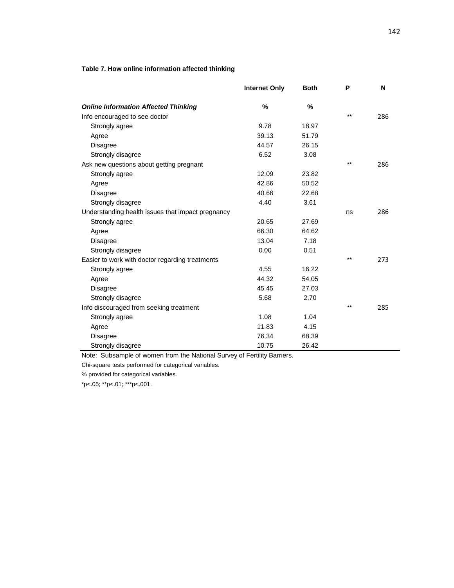### **Table 7. How online information affected thinking**

|                                                   | <b>Internet Only</b> | <b>Both</b>   | P     | N   |
|---------------------------------------------------|----------------------|---------------|-------|-----|
| <b>Online Information Affected Thinking</b>       | $\frac{0}{0}$        | $\frac{9}{6}$ |       |     |
| Info encouraged to see doctor                     |                      |               | $***$ | 286 |
| Strongly agree                                    | 9.78                 | 18.97         |       |     |
| Agree                                             | 39.13                | 51.79         |       |     |
| Disagree                                          | 44.57                | 26.15         |       |     |
| Strongly disagree                                 | 6.52                 | 3.08          |       |     |
| Ask new questions about getting pregnant          |                      |               | $***$ | 286 |
| Strongly agree                                    | 12.09                | 23.82         |       |     |
| Agree                                             | 42.86                | 50.52         |       |     |
| Disagree                                          | 40.66                | 22.68         |       |     |
| Strongly disagree                                 | 4.40                 | 3.61          |       |     |
| Understanding health issues that impact pregnancy |                      |               | ns    | 286 |
| Strongly agree                                    | 20.65                | 27.69         |       |     |
| Agree                                             | 66.30                | 64.62         |       |     |
| Disagree                                          | 13.04                | 7.18          |       |     |
| Strongly disagree                                 | 0.00                 | 0.51          |       |     |
| Easier to work with doctor regarding treatments   |                      |               | $***$ | 273 |
| Strongly agree                                    | 4.55                 | 16.22         |       |     |
| Agree                                             | 44.32                | 54.05         |       |     |
| Disagree                                          | 45.45                | 27.03         |       |     |
| Strongly disagree                                 | 5.68                 | 2.70          |       |     |
| Info discouraged from seeking treatment           |                      |               | $***$ | 285 |
| Strongly agree                                    | 1.08                 | 1.04          |       |     |
| Agree                                             | 11.83                | 4.15          |       |     |
| <b>Disagree</b>                                   | 76.34                | 68.39         |       |     |
| Strongly disagree                                 | 10.75                | 26.42         |       |     |

Note: Subsample of women from the National Survey of Fertility Barriers.

Chi-square tests performed for categorical variables.

% provided for categorical variables.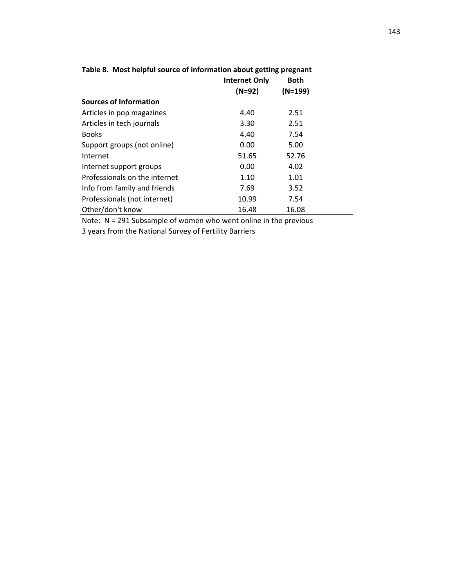|                               | <b>Internet Only</b> | <b>Both</b> |  |
|-------------------------------|----------------------|-------------|--|
|                               | $(N=92)$             | $(N=199)$   |  |
| Sources of Information        |                      |             |  |
| Articles in pop magazines     | 4.40                 | 2.51        |  |
| Articles in tech journals     | 3.30                 | 2.51        |  |
| <b>Books</b>                  | 4.40                 | 7.54        |  |
| Support groups (not online)   | 0.00                 | 5.00        |  |
| Internet                      | 51.65                | 52.76       |  |
| Internet support groups       | 0.00                 | 4.02        |  |
| Professionals on the internet | 1.10                 | 1.01        |  |
| Info from family and friends  | 7.69                 | 3.52        |  |
| Professionals (not internet)  | 10.99                | 7.54        |  |
| Other/don't know              | 16.48                | 16.08       |  |

## **Table 8. Most helpful source of information about getting pregnant**

Note: N = 291 Subsample of women who went online in the previous

3 years from the National Survey of Fertility Barriers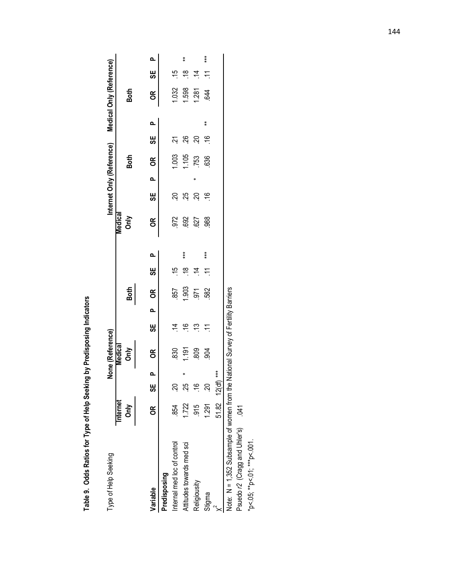| .<br>גוויס                            |  |
|---------------------------------------|--|
| $\frac{1}{\epsilon}$<br>,<br><b>.</b> |  |
| ∧ of Help λ<br>Ì                      |  |
| .<br>(                                |  |
| `<br>؟<br>.<br>.<br>٦                 |  |

| Type of Help Seeking                                                  |                  |               |       | None (Reference)                      |                       |    |       |               |       |                 |               |          |             |               |        | Internet Only (Reference) Medical Only (Reference) |                       |       |
|-----------------------------------------------------------------------|------------------|---------------|-------|---------------------------------------|-----------------------|----|-------|---------------|-------|-----------------|---------------|----------|-------------|---------------|--------|----------------------------------------------------|-----------------------|-------|
|                                                                       | Internet<br>δnly |               |       | Nedical<br>$\sum_{i=1}^{n}$           |                       |    | Both  |               |       | Medical<br>Only |               |          | <b>Both</b> |               |        | <b>Both</b>                                        |                       |       |
| Variable                                                              | g                | မ္တ           | Q.    | $\epsilon$                            | မ္တ                   | Q, | 6     | မ္တ           | Q,    | $\epsilon$      | မ္တ           | <b>a</b> | <b>OR</b>   | မ္တ           | o.     | õ                                                  | မ္တ                   | Q,    |
| Predisposing                                                          |                  |               |       |                                       |                       |    |       |               |       |                 |               |          |             |               |        |                                                    |                       |       |
| Internal med loc of control                                           | 854              | S.            |       | 830                                   | ヸ                     |    | 857   | ې             |       | 972             | នុ            |          | 1.003       | بخ            |        | 1.032                                              | $\tilde{\mathcal{L}}$ |       |
| Attitudes towards med sci                                             | 1.722            | 25            |       | 191                                   | $\frac{6}{1}$         |    | 1.903 | $\frac{8}{1}$ | ***   | 692             | 25            |          | 1.105       | 8ġ            |        | 1.598                                              | ₽                     | ŧ     |
| Religiousity                                                          | 915              | $\frac{6}{1}$ |       | 809                                   | చ                     |    | .971  | $\dot{=}$     |       | 527             | $\mathcal{S}$ |          | 753         | $\mathcal{S}$ |        | 1.281                                              | $\dot{z}$             |       |
| Stigma                                                                | 1.291            | S.            |       | $-904$                                | $\tilde{\mathcal{L}}$ |    | 582   |               | $***$ | 988             | ې             |          | 636         | ې             | $\ast$ | 644                                                |                       | $***$ |
|                                                                       | $51.82$ $12(d)$  |               | $***$ |                                       |                       |    |       |               |       |                 |               |          |             |               |        |                                                    |                       |       |
| Note: $N = 1,352$ Subsample of women from the                         |                  |               |       | National Survey of Fertility Barriers |                       |    |       |               |       |                 |               |          |             |               |        |                                                    |                       |       |
| Psuedo r2 (Cragg and Uhler's) 041                                     |                  |               |       |                                       |                       |    |       |               |       |                 |               |          |             |               |        |                                                    |                       |       |
| $*_{\mathsf{p}}$ < 05; $*_{\mathsf{p}}$ < 01; $*_{\mathsf{p}}$ < 001. |                  |               |       |                                       |                       |    |       |               |       |                 |               |          |             |               |        |                                                    |                       |       |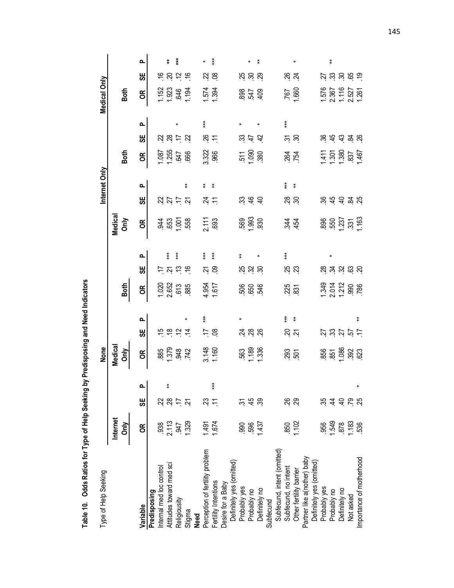Table 10. Odds Ratios for Type of Help Seeking by Predisposing and Need Indicators **Table 10. Odds Ratios for Type of Help Seeking by Predisposing and Need Indicators**

| Type of Help Seeking                                |                                   |                |          | None                       |                                                                         |            |                                        |                                                         |        |                    |                                                             | Internet Only |                                                             |                              |       | Medical Only                                                             |                             |            |
|-----------------------------------------------------|-----------------------------------|----------------|----------|----------------------------|-------------------------------------------------------------------------|------------|----------------------------------------|---------------------------------------------------------|--------|--------------------|-------------------------------------------------------------|---------------|-------------------------------------------------------------|------------------------------|-------|--------------------------------------------------------------------------|-----------------------------|------------|
|                                                     | Internet<br>$rac{\geq 1}{\leq 1}$ |                |          | Medical<br><b>Only</b>     |                                                                         |            | Both                                   |                                                         |        | Medical<br>Only    |                                                             |               | Both                                                        |                              |       | Both                                                                     |                             |            |
| Variable                                            | g                                 | မ္ဟ            | <u>م</u> | бR                         | မ္ဟ                                                                     | ௨          | бR                                     | မ္ဟ                                                     | ௳      | бR                 | မ္ဟ                                                         | ௳             | бR                                                          | မ္ဟ                          | Q,    | бR                                                                       | မ္ဟ                         | ൨          |
| Predisposing                                        |                                   |                |          |                            |                                                                         |            |                                        |                                                         |        |                    |                                                             |               |                                                             |                              |       |                                                                          |                             |            |
| Internal med loc control                            |                                   | 22             |          |                            |                                                                         |            |                                        | H                                                       |        |                    |                                                             |               |                                                             |                              |       |                                                                          |                             |            |
| Attitudes toward med sci                            | $\frac{338}{2.13}$                | $^{28}$        | ŧ        |                            |                                                                         |            |                                        |                                                         | $***$  |                    |                                                             |               |                                                             |                              |       |                                                                          | $\frac{6}{5}$ $\frac{8}{5}$ |            |
| Religiousity                                        |                                   | $\overline{1}$ |          |                            | $\ddot{\text{e}}$ $\ddot{\text{e}}$ $\ddot{\text{e}}$ $\ddot{\text{e}}$ |            | $1.020$<br>$2.652$<br>$5.85$<br>$5.85$ | $\frac{1}{2}$ $\frac{1}{2}$ $\frac{1}{2}$ $\frac{1}{2}$ | $***$  |                    | 33555                                                       |               |                                                             | 2852                         |       |                                                                          | $\frac{5}{2}$               | $\ddot{x}$ |
| Stigma<br><b>Need</b>                               | 1.329                             | بح<br>أ        |          | 885<br>0.379<br>942<br>142 |                                                                         |            |                                        |                                                         |        | $480 - 88$         |                                                             | ŧ             | 1.255<br>1255<br>1366                                       |                              |       | 1.152<br>1.923<br>1.194                                                  |                             |            |
|                                                     |                                   |                |          |                            |                                                                         | $***$      |                                        |                                                         | $***$  |                    |                                                             |               |                                                             |                              | $***$ |                                                                          |                             |            |
| Perception of fertility problem                     | 1.491                             | S3             |          |                            |                                                                         |            |                                        |                                                         |        |                    |                                                             |               |                                                             |                              |       |                                                                          |                             |            |
| Fertility Intentions                                | 1.674                             |                | $*$      | 3.148                      | $\approx$ $\approx$                                                     |            | 4.954<br>1.617                         | S.                                                      | $***$  | 2.111              | ゴビ                                                          | 类             | 3.322                                                       | $\frac{26}{11}$              |       | 1.574<br>1.394                                                           | $\frac{2}{3}$               | $***$      |
| Desire for a Baby                                   |                                   |                |          |                            |                                                                         |            |                                        |                                                         |        |                    |                                                             |               |                                                             |                              |       |                                                                          |                             |            |
| Definitely yes (omitted)                            |                                   |                |          |                            |                                                                         |            |                                        |                                                         |        |                    |                                                             |               |                                                             |                              |       |                                                                          |                             |            |
| Probably yes                                        | .990                              | یع             |          |                            |                                                                         |            |                                        |                                                         | $\ast$ |                    |                                                             |               |                                                             |                              |       |                                                                          |                             |            |
| Probably no                                         | 596                               | 45             |          |                            | ಸ್ತ ಜ್ರ ಜ್ರ                                                             |            | 56546                                  | ង ង ន                                                   |        | 569<br>1993<br>930 | 2.66                                                        |               | $\frac{25}{10}$ $\frac{80}{10}$                             | $\frac{25}{2}$ $\frac{4}{3}$ |       | 89549                                                                    | ង ន ន                       |            |
| Definitely no                                       | 1.437                             | ္လာ            |          | 563<br>1.189<br>1.336      |                                                                         |            |                                        |                                                         |        |                    |                                                             |               |                                                             |                              |       |                                                                          |                             | $\ast$     |
| Subfecund                                           |                                   |                |          |                            |                                                                         |            |                                        |                                                         |        |                    |                                                             |               |                                                             |                              |       |                                                                          |                             |            |
| Subfecund, intent (omitted)<br>Subfecund, no intent |                                   |                |          |                            |                                                                         |            |                                        |                                                         |        |                    |                                                             |               |                                                             |                              |       |                                                                          |                             |            |
|                                                     | .850                              | 26             |          |                            |                                                                         | $***$      |                                        | <b>25</b><br>23                                         | $***$  |                    | ಜ್ಜ ಜ                                                       | $***$         |                                                             |                              | $***$ |                                                                          | <u>ష</u> শ্র                |            |
| Other fertility barrier                             | 1.102                             | $\mathbb{S}^2$ |          | 293<br>501                 |                                                                         | $\ddagger$ | 23 23                                  |                                                         |        | <u>v</u> i 42      |                                                             | $\ddot{*}$    | 84<br>84                                                    | <u>ង  ន</u>                  |       | 767<br>1.660                                                             |                             | ×          |
| Partner like a(nother) baby                         |                                   |                |          |                            |                                                                         |            |                                        |                                                         |        |                    |                                                             |               |                                                             |                              |       |                                                                          |                             |            |
| Definitely yes (omitted)                            |                                   |                |          |                            |                                                                         |            |                                        |                                                         |        |                    |                                                             |               |                                                             |                              |       |                                                                          |                             |            |
| Probably yes                                        | .956                              |                |          |                            |                                                                         |            |                                        |                                                         |        |                    |                                                             |               |                                                             |                              |       |                                                                          |                             |            |
| Probably no                                         | 1.549                             | $\dot{4}$      |          |                            |                                                                         |            |                                        |                                                         |        |                    |                                                             |               |                                                             |                              |       |                                                                          |                             | $\ast$     |
| Definitely no                                       | 878                               |                |          |                            |                                                                         |            |                                        |                                                         |        |                    |                                                             |               |                                                             |                              |       |                                                                          |                             |            |
| Not asked                                           | 1.183                             | $rac{4}{5}$    |          | 857 88 923<br>850 923      | ひぬびぴけ                                                                   |            | 1.349<br>2.014<br>1.212<br>1.986       | នុ ង នុ ន ន                                             |        |                    | $%$ $\frac{4}{3}$ $\frac{4}{9}$ $\frac{8}{9}$ $\frac{8}{9}$ |               | $\frac{411}{300}$<br>$\frac{300}{300}$<br>$\frac{307}{307}$ | 8, 4, 4, 2, 8                |       | $\begin{array}{c} 1.576 \\ 2.367 \\ 1.116 \\ 2.527 \\ 1.261 \end{array}$ | <u>ដ្ឋ ង ម ត ត</u>          |            |
| Importance of motherhood                            | 536                               | 25             |          |                            |                                                                         | ŧ          |                                        |                                                         |        |                    |                                                             |               |                                                             |                              |       |                                                                          |                             |            |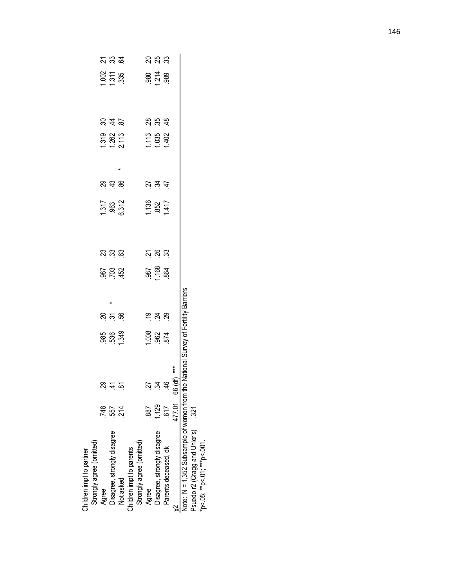| Strongly agree (omitted)<br>Children impt to partner |                |                                                                                                                 |                                              |                                           |                                                                                                      |               |                       |                                  |                              |       |                                                         |           |
|------------------------------------------------------|----------------|-----------------------------------------------------------------------------------------------------------------|----------------------------------------------|-------------------------------------------|------------------------------------------------------------------------------------------------------|---------------|-----------------------|----------------------------------|------------------------------|-------|---------------------------------------------------------|-----------|
| Agree                                                | 748            |                                                                                                                 |                                              |                                           |                                                                                                      |               |                       |                                  |                              |       |                                                         |           |
|                                                      | 557<br>214     | <u>ಜ = ಜ</u>                                                                                                    | 85.349                                       |                                           | 8<br>2<br>2<br>2<br>2<br>2<br>2<br>2<br>2<br>2<br>2<br>2<br>2<br>2<br>2<br>2<br>1<br>2<br>2<br>2<br> | <u>ន</u> ្ត ន | 1.317<br>963<br>2.312 | 81 <del>21</del> 89              | 1.3182<br>1.262<br>2.113     | 848   | $\frac{1}{2}$ $\frac{1}{2}$ $\frac{1}{3}$ $\frac{3}{2}$ | ಸ್ತ್ರ ಜ್ಞ |
| Disagree, strongly disagree<br>Not asked             |                |                                                                                                                 |                                              |                                           |                                                                                                      |               |                       |                                  |                              |       |                                                         |           |
| Children impt to parents                             |                |                                                                                                                 |                                              |                                           |                                                                                                      |               |                       |                                  |                              |       |                                                         |           |
| Strongly agree (omitted)                             |                |                                                                                                                 |                                              |                                           |                                                                                                      |               |                       |                                  |                              |       |                                                         |           |
| Agree                                                | 887            |                                                                                                                 |                                              |                                           |                                                                                                      |               |                       |                                  |                              |       |                                                         |           |
| Disagree, strongly disagree                          | $1.129$<br>517 | ದ ಸ <del>4</del> ಕ್ಷ<br>ದ ಸ 4 ಕ್ಷ                                                                               | $\frac{8}{36}$ $\frac{8}{36}$ $\frac{7}{36}$ | $\frac{5}{2}$ $\frac{4}{2}$ $\frac{8}{2}$ | 987<br>1.168<br>1.864                                                                                |               | $\frac{136}{0.852}$   | $\frac{1}{2} \times \frac{4}{5}$ | $1.13$<br>$1.035$<br>$1.402$ | 28.58 | $80\frac{1}{2}8$                                        | ನ ಸೆ ಜ    |
| Parents deceased, dk                                 |                |                                                                                                                 |                                              |                                           |                                                                                                      |               |                       |                                  |                              |       |                                                         |           |
| $\frac{2}{171.01}$                                   |                | ***                                                                                                             |                                              |                                           |                                                                                                      |               |                       |                                  |                              |       |                                                         |           |
|                                                      |                | $\mathbf{u} = \mathbf{u} + \mathbf{v} + \mathbf{v}$ and $\mathbf{v} = \mathbf{v}$ and $\mathbf{v} = \mathbf{v}$ |                                              |                                           |                                                                                                      |               |                       |                                  |                              |       |                                                         |           |

 $\ddot{\tilde{z}}$   $\ddot{\tilde{z}}$   $\ddot{\tilde{z}}$ 

<u>ន</u>ុង ន

Note: N = 1,352 Subsample of women from the National Survey of Fertility Barriers<br>Psuedo r2 (Cragg and Uhler's) .321<br>\*p<.05; \*\*p<.01; \*\*\*p<.001. Note: N = 1,352 Subsample of women from the National Survey of Fertility Barriers

Psuedo r2 (Cragg and Uhler's) .321 \*p<.05; \*\*p<.01; \*\*\*p<.001.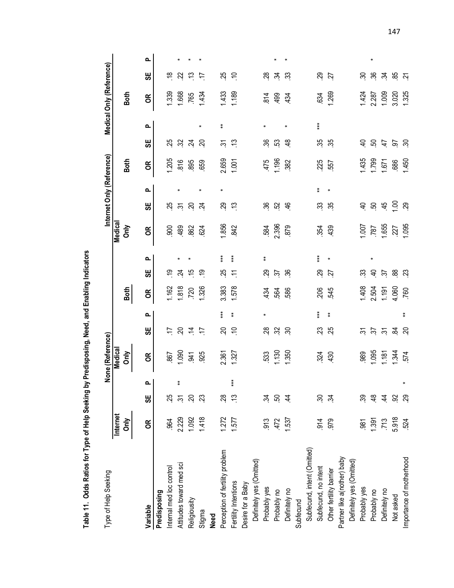Table 11. Odds Ratios for Type of Help Seeking by Predisposing, Need, and Enabling Indicators **Table 11. Odds Ratios for Type of Help Seeking by Predisposing, Need, and Enabling Indicators** 

| Type of Help Seeking            |                  |                       |       | None (Reference)            |                           |        |       |                       |            |                      |                        |   | Internet Only (Reference) |                       |               | Medical Only (Reference) |                       |        |
|---------------------------------|------------------|-----------------------|-------|-----------------------------|---------------------------|--------|-------|-----------------------|------------|----------------------|------------------------|---|---------------------------|-----------------------|---------------|--------------------------|-----------------------|--------|
|                                 | Internet<br>ðnly |                       |       | Medical<br>$\sum_{i=1}^{n}$ |                           |        | Both  |                       |            | <b>Medical</b><br>ðm |                        |   | Both                      |                       |               | <b>Both</b>              |                       |        |
| Variable                        | g                | မ္ဟ                   |       | g                           | မ္ဟ                       | ൨      | g     | မ္ဟ                   | ൨          | g                    | မ္ဟ                    | ൨ | g                         | မ္ဟ                   | ௳             | g                        | မ္ဟ                   | ൨      |
| Predisposing                    |                  |                       |       |                             |                           |        |       |                       |            |                      |                        |   |                           |                       |               |                          |                       |        |
| Internal med loc control        | .964             | 25                    |       | 867                         | Ë                         |        | 1,162 | ల్ల                   |            | $-900$               | 25                     |   | 1.205                     | 25                    |               | 1.339                    | $\frac{8}{1}$         |        |
| Attitudes toward med sci        | 2.229            | $\tilde{\bm{\omega}}$ |       | 1.090                       | <u>នុ</u>                 |        | 1.818 | 24                    |            | 489                  | $\tilde{\mathfrak{S}}$ |   | 816                       | 32                    |               | 1.668                    | 22                    |        |
| Religiousity                    | 1.092            | $\overline{5}$        |       | .941                        | $\dot{=}$                 |        | .720  | $\frac{5}{1}$         |            | 862                  | βġ                     |   | .895                      | $\overline{24}$       |               | .765                     | $\tilde{\mathcal{L}}$ |        |
| Stigma                          | 1.418            | 23                    |       | 925                         | $\overline{1}$            |        | 1.326 | <u>ငှ</u>             |            | 624                  | $\overline{2}$         |   | 659                       | $\Omega$              | $\star$       | 1.434                    | $\overline{1}$        |        |
| <b>Need</b>                     |                  |                       |       |                             |                           |        |       |                       |            |                      |                        |   |                           |                       |               |                          |                       |        |
| Perception of fertility problem | 1.272            | 28                    |       | 2.361                       | S.                        | $***$  | 3.383 | 25                    | $***$      | 1.856                | $\overline{c}$         |   | 2.659                     | ᢌ                     | $\ddot{\ast}$ | 1.433                    | 25                    |        |
| Fertility Intentions            | 1.577            |                       | $***$ | 1.327                       | $\tilde{=}$               | ŧ      | 578   | $\widetilde{\cdot}$   | $***$      | 842                  | $\tilde{\mathcal{L}}$  |   | 1.001                     | $\tilde{\mathcal{L}}$ |               | 1.189                    | $\cong$               |        |
| Desire for a Baby               |                  |                       |       |                             |                           |        |       |                       |            |                      |                        |   |                           |                       |               |                          |                       |        |
| Definitely yes (Omitted)        |                  |                       |       |                             |                           |        |       |                       |            |                      |                        |   |                           |                       |               |                          |                       |        |
| Probably yes                    | 913              | 34                    |       | 533                         | $\frac{8}{3}$             | $\ast$ | 434   | 8                     | $\ddagger$ | 584                  | 36                     |   | 475                       | 36                    | $\ast$        | $\frac{4}{8}$            | 28                    |        |
| Probably no                     | 472              | SO.                   |       | 1.130                       | 32                        |        | 564   | $\dot{z}$             |            | 2.396                | 52                     |   | 1.196                     | င္မွာ                 |               | 499                      | ż                     |        |
| Definitely no                   | 1.537            | 4                     |       | 1.350                       | δő                        |        | 586   | $\mathcal{S}$         |            | 879                  | $\frac{4}{5}$          |   | 382                       | $\frac{8}{3}$         | $\ast$        | 434                      | $\mathfrak{Z}$        |        |
| Subfecund                       |                  |                       |       |                             |                           |        |       |                       |            |                      |                        |   |                           |                       |               |                          |                       |        |
| Subfecund, intent (Omitted)     |                  |                       |       |                             |                           |        |       |                       |            |                      |                        |   |                           |                       |               |                          |                       |        |
| Subfecund, no intent            | $\frac{914}{ }$  | βó                    |       | 324                         | 23                        | $***$  | 206   | 29                    | $***$      | 354                  | 33                     | ŧ | 225                       | 35                    | $***$         | 634                      | 29                    |        |
| Other fertility barrier         | 979              | 24                    |       | 430                         | 25                        | ŧ      | 545   | 27                    | $\ast$     | 439                  | 35                     |   | 557                       | 35                    |               | 1.269                    | 27                    |        |
| Partner like a(nother) baby     |                  |                       |       |                             |                           |        |       |                       |            |                      |                        |   |                           |                       |               |                          |                       |        |
| Definitely yes (Omitted)        |                  |                       |       |                             |                           |        |       |                       |            |                      |                        |   |                           |                       |               |                          |                       |        |
| Probably yes                    | $-98$            | 39                    |       | 989                         | $\approx$                 |        | 1.408 | ౢ                     |            | $-00$                | $\overline{4}$         |   | 1.435                     | $\overline{a}$        |               | 1.424                    | వి                    |        |
| Probably no                     | 1.391            | $\frac{8}{4}$         |       | 1.095                       | $\mathfrak{L}$            |        | 2.504 | $\varphi$             | $\star$    | 787                  | βġ                     |   | 1.799                     | 50                    |               | 2.287                    | 36                    | $\ast$ |
| Definitely no                   | .713             | र्च.                  |       | 1.187                       | $\widetilde{\mathcal{C}}$ |        | 197   | $\tilde{\mathcal{E}}$ |            | 1.655                | 45                     |   | 1.671                     | $\ddot{t}$            |               | 1.009                    | ż                     |        |
| Not asked                       | 5.918            | $\overline{5}$        |       | 1.344                       | ž,                        |        | 4.060 | æ                     |            | 227                  | $\mathcal{S}$          |   | 686                       | $\tilde{g}$           |               | 3.020                    | 85                    |        |
| Importance of motherhood        | 524              | 29                    |       | 574                         | SÓ.                       | ¥      | .760  | $\tilde{\mathcal{E}}$ |            | 1.095                | 29                     |   | 1.450                     | $\mathcal{S}$         |               | 1.325                    | $\tilde{\bm{c}}$      |        |
|                                 |                  |                       |       |                             |                           |        |       |                       |            |                      |                        |   |                           |                       |               |                          |                       |        |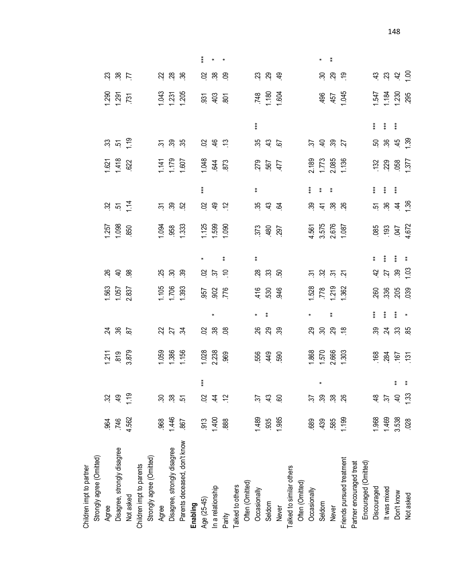| Strongly agree (Omitted)     |       |                    |       |                                  |                                                     |                                                |                                |                                                                       |               |                                 |                                                                                                               |               |                                   |                    |       |                                           |          |               |
|------------------------------|-------|--------------------|-------|----------------------------------|-----------------------------------------------------|------------------------------------------------|--------------------------------|-----------------------------------------------------------------------|---------------|---------------------------------|---------------------------------------------------------------------------------------------------------------|---------------|-----------------------------------|--------------------|-------|-------------------------------------------|----------|---------------|
| Agree                        | .964  | $\mathfrak{Z}$     |       |                                  |                                                     |                                                |                                |                                                                       |               |                                 |                                                                                                               |               |                                   |                    |       |                                           |          |               |
| Disagree, strongly disagree  | .746  | $\frac{9}{4}$      |       | $1.211$<br>$819$<br>$3.879$      | <u>ನ್ನ ಜಿ</u> ಜ                                     |                                                | 1.563<br>1.057<br>2.837        | $%$ $\frac{9}{4}$ $\frac{8}{9}$                                       |               | $1.257$<br>$-0.86$<br>$-0.57$   | $\frac{1}{2}$ ភ្ន                                                                                             |               | 1.621<br>1.418<br>022             | $\frac{1}{2}$ ភូមិ |       |                                           | 23.87    |               |
| Not asked                    | 4.562 | $\frac{6}{1}$      |       |                                  |                                                     |                                                |                                |                                                                       |               |                                 |                                                                                                               |               |                                   |                    |       | $1290$<br>$1291$<br>$731$                 |          |               |
| Children impt to parents     |       |                    |       |                                  |                                                     |                                                |                                |                                                                       |               |                                 |                                                                                                               |               |                                   |                    |       |                                           |          |               |
| Strongly agree (Omitted)     |       |                    |       |                                  |                                                     |                                                |                                |                                                                       |               |                                 |                                                                                                               |               |                                   |                    |       |                                           |          |               |
| Agree                        | 968   | 30                 |       |                                  |                                                     |                                                |                                |                                                                       |               |                                 | ភ ន ដ                                                                                                         |               |                                   | 288                |       |                                           | 22 23 39 |               |
| Disagree, strongly disagree  | 1.446 | 38                 |       |                                  | 23.57                                               |                                                |                                | <b>¤ິ</b> ສິ                                                          |               |                                 |                                                                                                               |               |                                   |                    |       |                                           |          |               |
| Parents deceased, don't know | 867   | 5                  |       | 1.059<br>1.386<br>1.156          |                                                     |                                                | $1.706$<br>$-1.393$            |                                                                       |               | 1.958<br>1.353<br>1.353         |                                                                                                               |               | 1.141<br>1.179<br>1.607           |                    |       | 1.231<br>1.231<br>1.205                   |          |               |
| Enabling                     |       |                    |       |                                  |                                                     |                                                |                                |                                                                       |               |                                 |                                                                                                               |               |                                   |                    |       |                                           |          |               |
| Age (25-45)                  | 913   | $\mathcal{S}$      | $***$ |                                  |                                                     |                                                |                                |                                                                       |               |                                 |                                                                                                               | $***$         |                                   |                    |       |                                           |          | $***$         |
| In a relationship            | 1.400 | $\overline{4}$     |       | $1.028$<br>$2.238$<br>$969$      | 8,88                                                |                                                | 957<br>902<br>776              | 9255                                                                  |               | $1.125$<br>$-1.599$<br>$-1.090$ | 992                                                                                                           |               | 1.048<br>644<br>873               | 8, 4, 5            |       | $\frac{5}{3}$ $\frac{3}{4}$ $\frac{5}{8}$ | 5, 8, 8  |               |
| Parity                       | 888   | $\tilde{c}$        |       |                                  |                                                     |                                                |                                |                                                                       | ŧ             |                                 |                                                                                                               |               |                                   |                    |       |                                           |          |               |
| Talked to others             |       |                    |       |                                  |                                                     |                                                |                                |                                                                       |               |                                 |                                                                                                               |               |                                   |                    |       |                                           |          |               |
| Often (Omitted)              |       |                    |       |                                  |                                                     |                                                |                                |                                                                       |               |                                 |                                                                                                               |               |                                   |                    |       |                                           |          |               |
| Occasionally                 | 1.489 | 55                 |       |                                  |                                                     |                                                |                                |                                                                       | $\pmb{\ast}$  |                                 |                                                                                                               | $\pmb{\ast}$  |                                   |                    | $***$ |                                           |          |               |
| Seldom                       | 935   | $\frac{3}{4}$      |       | 556<br>449<br>500                | ಇ ಇ ಇ                                               | ŧ                                              | 4.596                          | $\frac{2}{3}$ $\frac{2}{3}$ $\frac{2}{3}$                             |               | 373<br>480<br>497               | 222                                                                                                           |               | 279<br>567<br>477                 | 22.6               |       | 748<br>1.180<br>1.604                     | 23.99    |               |
| Never                        | 1.985 | 60                 |       |                                  |                                                     |                                                |                                |                                                                       |               |                                 |                                                                                                               |               |                                   |                    |       |                                           |          |               |
| Talked to similar others     |       |                    |       |                                  |                                                     |                                                |                                |                                                                       |               |                                 |                                                                                                               |               |                                   |                    |       |                                           |          |               |
| Often (Omitted)              |       |                    |       |                                  |                                                     |                                                |                                |                                                                       |               |                                 |                                                                                                               |               |                                   |                    |       |                                           |          |               |
| Occasionally                 | 689   | 75                 |       |                                  |                                                     |                                                |                                |                                                                       |               |                                 |                                                                                                               | $***$         |                                   |                    |       |                                           |          |               |
| Seldom                       | 439   | వి                 |       | 1.868<br>1.570<br>2.666<br>1.303 | $\mathbb{R}$ $\mathbb{R}$ $\mathbb{R}$ $\mathbb{R}$ |                                                |                                | ਨ ਲੇ ਲ ਲ                                                              |               |                                 | $\begin{array}{ccc} \mathbb{S} & \mathbb{S} & \mathbb{S} \\ \mathbb{S} & \mathbb{S} & \mathbb{S} \end{array}$ | $\pmb{\ast}$  |                                   | 222                |       |                                           |          |               |
| <b>Never</b>                 | 585   | 38                 |       |                                  |                                                     | $\pmb{\ast}$                                   |                                |                                                                       |               |                                 |                                                                                                               | $\ddot{\ast}$ |                                   |                    |       | 496<br>1457<br>1.045                      | 889      | $\ddot{\ast}$ |
| Friends pursued treatment    | 1.199 |                    |       |                                  |                                                     |                                                | 1.528<br>778<br>1.219<br>1.362 |                                                                       |               | 4.561<br>3.575<br>1.087         |                                                                                                               |               | 2.189<br>1.773<br>2.085<br>1.136  |                    |       |                                           |          |               |
| Partner encouraged treat     |       |                    |       |                                  |                                                     |                                                |                                |                                                                       |               |                                 |                                                                                                               |               |                                   |                    |       |                                           |          |               |
| Encouraged (Omitted)         |       |                    |       |                                  |                                                     |                                                |                                |                                                                       |               |                                 |                                                                                                               |               |                                   |                    |       |                                           |          |               |
| Discouraged                  | 1.968 | $\frac{8}{4}$      |       |                                  |                                                     | $* *$                                          |                                |                                                                       | $\ddot{\ast}$ |                                 |                                                                                                               |               |                                   |                    |       |                                           |          |               |
| It was mixed                 | 1.469 | $\tilde{\epsilon}$ |       |                                  |                                                     | $\begin{array}{cc} * & * \\ * & * \end{array}$ |                                |                                                                       | *<br>*<br>*   |                                 |                                                                                                               |               |                                   |                    |       |                                           |          |               |
| Don't know                   | 3.538 | $\overline{4}$     | * *   | $168$<br>$284$<br>$167$<br>$75$  | ಜ್ಗಿ ಸ್ಪಜ್ಜ                                         |                                                | 88800                          | $\frac{1}{3}$ $\frac{1}{2}$ $\frac{1}{3}$ $\frac{1}{2}$ $\frac{1}{3}$ |               | 085<br>193<br>047<br>1672       |                                                                                                               |               | $132$<br>$229$<br>$058$<br>$1377$ | <b>8</b> 8 4 5 6   |       | 1.547<br>1.184<br>1.230                   | 4 2 4 5  |               |
| Not asked                    | .028  | 133                |       |                                  |                                                     | $\ddot{\phantom{1}}$                           |                                |                                                                       | $\ddot{\ast}$ |                                 |                                                                                                               |               |                                   |                    |       |                                           |          |               |

Children impt to partner

Children impt to partner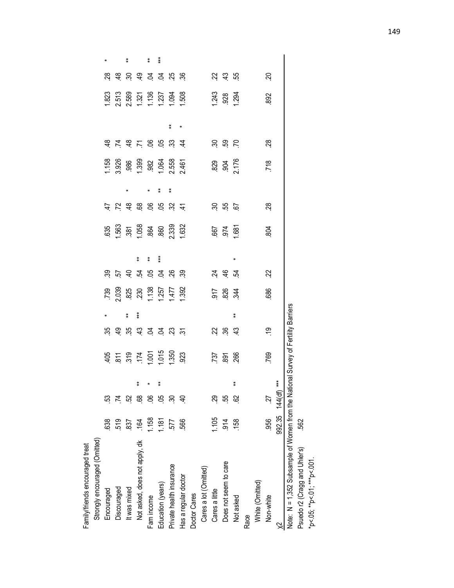| Family/friends encouraged treat                                                   |                 |     |                   |                                                                   |           |            |                                                                                         |                             |              |                                         |               |            |                                                    |                                                                                                                 |            |                                                    |                        |              |
|-----------------------------------------------------------------------------------|-----------------|-----|-------------------|-------------------------------------------------------------------|-----------|------------|-----------------------------------------------------------------------------------------|-----------------------------|--------------|-----------------------------------------|---------------|------------|----------------------------------------------------|-----------------------------------------------------------------------------------------------------------------|------------|----------------------------------------------------|------------------------|--------------|
| Strongly encouraged (Omitted)                                                     |                 |     |                   |                                                                   |           |            |                                                                                         |                             |              |                                         |               |            |                                                    |                                                                                                                 |            |                                                    |                        |              |
| Encouraged                                                                        | 638             | ន   |                   |                                                                   |           |            |                                                                                         |                             |              |                                         |               |            |                                                    |                                                                                                                 |            |                                                    |                        |              |
| Discouraged                                                                       | 519             | 74  |                   |                                                                   |           |            |                                                                                         |                             |              |                                         |               |            |                                                    |                                                                                                                 |            |                                                    |                        |              |
| It was mixed                                                                      | 837             |     |                   |                                                                   |           | ŧ          |                                                                                         |                             |              |                                         |               |            |                                                    |                                                                                                                 |            |                                                    |                        | $\pmb{\ast}$ |
| Not asked, does not apply, dk                                                     | $\overline{64}$ | 89  |                   | $405$<br>$811$<br>$519$<br>$124$<br>$1.001$<br>$1.350$<br>$1.350$ |           | $***$      | $\begin{array}{c}\n 739 \\ 2.039 \\ 825 \\ 1.39 \\ 1.47 \\ 1.47 \\ 1.392\n \end{array}$ | 8 5 5 7 8 9 9 8 9           | ŧ            | 635<br>1.563<br>1.058<br>1.632<br>1.632 | 4.78869884    |            | 1.158<br>3.926<br>9.399<br>1.392<br>1.558<br>2.461 | $\frac{4}{3}$ $\frac{1}{4}$ $\frac{4}{3}$ $\frac{1}{5}$ $\frac{6}{3}$ $\frac{6}{3}$ $\frac{6}{3}$ $\frac{3}{4}$ |            |                                                    | <u>g g g g g g g g</u> |              |
| Fam income                                                                        | .158            | ၶ   | $\ddot{x}$ $\ast$ |                                                                   |           |            |                                                                                         |                             | $\pmb{\ast}$ |                                         |               |            |                                                    |                                                                                                                 |            |                                                    |                        | ¥            |
| Education (years)                                                                 | 1,181           | မိ  |                   |                                                                   |           |            |                                                                                         |                             | $***$        |                                         |               | ≵          |                                                    |                                                                                                                 |            |                                                    |                        | $***$        |
| Private health insurance                                                          | 577             | ్ల  |                   |                                                                   |           |            |                                                                                         |                             |              |                                         |               | $\ddot{*}$ |                                                    |                                                                                                                 | $\ddagger$ |                                                    |                        |              |
| Has a regular doctor                                                              | 566             |     |                   |                                                                   |           |            |                                                                                         |                             |              |                                         |               |            |                                                    |                                                                                                                 | $\ast$     | 1.823<br>2.513<br>2.589<br>1.321<br>1.508<br>1.508 |                        |              |
| Doctor Cares                                                                      |                 |     |                   |                                                                   |           |            |                                                                                         |                             |              |                                         |               |            |                                                    |                                                                                                                 |            |                                                    |                        |              |
| Cares a lot (Omitted)                                                             |                 |     |                   |                                                                   |           |            |                                                                                         |                             |              |                                         |               |            |                                                    |                                                                                                                 |            |                                                    |                        |              |
| Cares a little                                                                    | 1.105           | 29  |                   |                                                                   |           |            |                                                                                         |                             |              | 1.681<br>1.681                          |               |            |                                                    |                                                                                                                 |            | 1,243<br>928<br>1,294                              |                        |              |
| Does not seem to care                                                             | 914             | ယ္ပ |                   | 737<br>891<br>266                                                 | 23.89     |            | $\frac{2}{3}$ $\frac{8}{3}$ $\frac{4}{3}$                                               | $\frac{4}{9}$ $\frac{6}{9}$ |              |                                         | 35 15 16      |            | 829<br>904<br>2.176                                | នុ ឌុ ៩                                                                                                         |            |                                                    | 23, 42, 45             |              |
| Not asked                                                                         | 158             | 8   |                   |                                                                   |           | $\ddagger$ |                                                                                         |                             | ×            |                                         |               |            |                                                    |                                                                                                                 |            |                                                    |                        |              |
| Race                                                                              |                 |     |                   |                                                                   |           |            |                                                                                         |                             |              |                                         |               |            |                                                    |                                                                                                                 |            |                                                    |                        |              |
| White (Omitted)                                                                   |                 |     |                   |                                                                   |           |            |                                                                                         |                             |              |                                         |               |            |                                                    |                                                                                                                 |            |                                                    |                        |              |
| Non-white                                                                         | 956             | 27  |                   | 769                                                               | <u>င်</u> |            | 686                                                                                     | $\mathcal{Z}$               |              | 804                                     | $\frac{8}{3}$ |            | 718                                                | $\frac{8}{3}$                                                                                                   |            | 892                                                | S.                     |              |
| $\approx$                                                                         | 992.35 144(df)  |     |                   |                                                                   |           |            |                                                                                         |                             |              |                                         |               |            |                                                    |                                                                                                                 |            |                                                    |                        |              |
| Note: N = 1,352 Subsample of Women from the National Survey of Fertility Barriers |                 |     |                   |                                                                   |           |            |                                                                                         |                             |              |                                         |               |            |                                                    |                                                                                                                 |            |                                                    |                        |              |
| Psuedo r2 (Cragg and Uhler's)                                                     | 562             |     |                   |                                                                   |           |            |                                                                                         |                             |              |                                         |               |            |                                                    |                                                                                                                 |            |                                                    |                        |              |
| *p< 05; **p< 01; ***p< 001                                                        |                 |     |                   |                                                                   |           |            |                                                                                         |                             |              |                                         |               |            |                                                    |                                                                                                                 |            |                                                    |                        |              |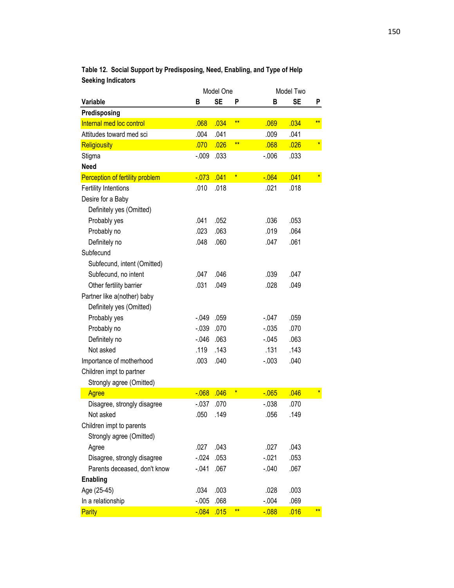|                                 |          | Model One |              |          | Model Two |         |
|---------------------------------|----------|-----------|--------------|----------|-----------|---------|
| Variable                        | в        | <b>SE</b> | P            | в        | SE        | P       |
| Predisposing                    |          |           |              |          |           |         |
| Internal med loc control        | .068     | .034      | $**$         | .069     | .034      | $***$   |
| Attitudes toward med sci        | .004     | .041      |              | .009     | .041      |         |
| Religiousity                    | .070     | .026      | $**$         | .068     | .026      | $\star$ |
| Stigma                          | $-.009$  | .033      |              | $-0.06$  | .033      |         |
| <b>Need</b>                     |          |           |              |          |           |         |
| Perception of fertility problem | $-073$   | .041      | $\pmb{\ast}$ | $-064$   | .041      | $\star$ |
| <b>Fertility Intentions</b>     | .010     | .018      |              | .021     | .018      |         |
| Desire for a Baby               |          |           |              |          |           |         |
| Definitely yes (Omitted)        |          |           |              |          |           |         |
| Probably yes                    | .041     | .052      |              | .036     | .053      |         |
| Probably no                     | .023     | .063      |              | .019     | .064      |         |
| Definitely no                   | .048     | .060      |              | .047     | .061      |         |
| Subfecund                       |          |           |              |          |           |         |
| Subfecund, intent (Omitted)     |          |           |              |          |           |         |
| Subfecund, no intent            | .047     | .046      |              | .039     | .047      |         |
| Other fertility barrier         | .031     | .049      |              | .028     | .049      |         |
| Partner like a(nother) baby     |          |           |              |          |           |         |
| Definitely yes (Omitted)        |          |           |              |          |           |         |
| Probably yes                    | $-0.049$ | .059      |              | $-0.047$ | .059      |         |
| Probably no                     | $-0.39$  | .070      |              | $-0.035$ | .070      |         |
| Definitely no                   | $-0.046$ | .063      |              | $-0.045$ | .063      |         |
| Not asked                       | .119     | .143      |              | .131     | .143      |         |
| Importance of motherhood        | .003     | .040      |              | $-0.003$ | .040      |         |
| Children impt to partner        |          |           |              |          |           |         |
| Strongly agree (Omitted)        |          |           |              |          |           |         |
| <b>Agree</b>                    | $-068$   | .046      | $\pmb{\ast}$ | $-065$   | .046      | $\ast$  |
| Disagree, strongly disagree     | $-0.037$ | .070      |              | $-0.38$  | .070      |         |
| Not asked                       | .050     | .149      |              | .056     | .149      |         |
| Children impt to parents        |          |           |              |          |           |         |
| Strongly agree (Omitted)        |          |           |              |          |           |         |
| Agree                           | .027     | .043      |              | .027     | .043      |         |
| Disagree, strongly disagree     | $-0.024$ | .053      |              | $-021$   | .053      |         |
| Parents deceased, don't know    | $-0.041$ | .067      |              | $-0.040$ | .067      |         |
| <b>Enabling</b>                 |          |           |              |          |           |         |
| Age (25-45)                     | .034     | .003      |              | .028     | .003      |         |
| In a relationship               | $-.005$  | .068      |              | $-0.04$  | .069      |         |
| Parity                          | $-0.084$ | .015      | $**$         | $-0.088$ | .016      | $***$   |

**Table 12. Social Support by Predisposing, Need, Enabling, and Type of Help Seeking Indicators**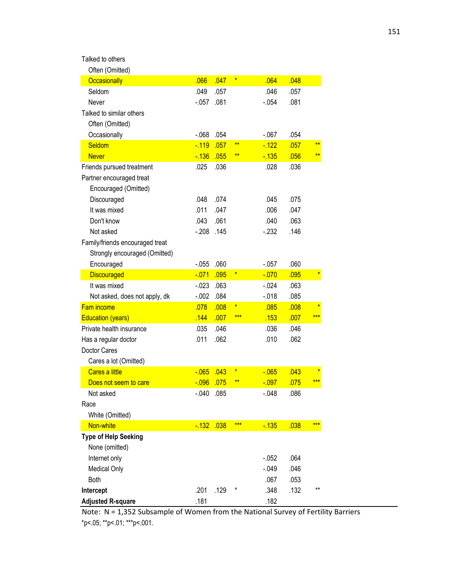| Talked to others |  |
|------------------|--|
|------------------|--|

| Often (Omitted)                 |          |      |         |          |      |         |
|---------------------------------|----------|------|---------|----------|------|---------|
| Occasionally                    | .066     | .047 | $\ast$  | .064     | .048 |         |
| Seldom                          | .049     | .057 |         | .046     | .057 |         |
| Never                           | $-0.057$ | .081 |         | $-0.54$  | .081 |         |
| Talked to similar others        |          |      |         |          |      |         |
| Often (Omitted)                 |          |      |         |          |      |         |
| Occasionally                    | $-068$   | .054 |         | $-067$   | .054 |         |
| Seldom                          | $-119$   | .057 | $**$    | $-122$   | .057 | $**$    |
| <b>Never</b>                    | $-136$   | .055 | $***$   | $-135$   | .056 | $**$    |
| Friends pursued treatment       | .025     | .036 |         | .028     | .036 |         |
| Partner encouraged treat        |          |      |         |          |      |         |
| Encouraged (Omitted)            |          |      |         |          |      |         |
| Discouraged                     | .048     | .074 |         | .045     | .075 |         |
| It was mixed                    | .011     | .047 |         | .006     | .047 |         |
| Don't know                      | .043     | .061 |         | .040     | .063 |         |
| Not asked                       | $-208$   | .145 |         | $-232$   | .146 |         |
| Family/friends encouraged treat |          |      |         |          |      |         |
| Strongly encouraged (Omitted)   |          |      |         |          |      |         |
| Encouraged                      | $-0.055$ | .060 |         | $-.057$  | .060 |         |
| <b>Discouraged</b>              | $-071$   | .095 | $\star$ | $-0.070$ | .095 | $\ast$  |
| It was mixed                    | $-0.023$ | .063 |         | $-0.24$  | .063 |         |
| Not asked, does not apply, dk   | $-0.002$ | .084 |         | $-018$   | .085 |         |
| <b>Fam income</b>               | .078     | .008 | $\star$ | .085     | .008 | $\ast$  |
| <b>Education (years)</b>        | .144     | .007 | ***     | .153     | .007 | ***     |
| Private health insurance        | .035     | .046 |         | .036     | .046 |         |
| Has a regular doctor            | .011     | .062 |         | .010     | .062 |         |
| Doctor Cares                    |          |      |         |          |      |         |
| Cares a lot (Omitted)           |          |      |         |          |      |         |
| <b>Cares a little</b>           | $-0.065$ | .043 | $\star$ | $-065$   | .043 | $\star$ |
| Does not seem to care           | $-0.96$  | .075 | $**$    | $-0.097$ | .075 | ***     |
| Not asked                       | $-.040$  | .085 |         | $-.048$  | .086 |         |
| Race                            |          |      |         |          |      |         |
| White (Omitted)                 |          |      |         |          |      |         |
| Non-white                       | $-132$   | .038 | ***     | $-135$   | .038 | ***     |
| <b>Type of Help Seeking</b>     |          |      |         |          |      |         |
| None (omitted)                  |          |      |         |          |      |         |
| Internet only                   |          |      |         | $-0.052$ | .064 |         |
| <b>Medical Only</b>             |          |      |         | $-0.049$ | .046 |         |
| <b>Both</b>                     |          |      |         | .067     | .053 |         |
| Intercept                       | .201     | .129 |         | .348     | .132 | **      |
| <b>Adjusted R-square</b>        | .181     |      |         | .182     |      |         |

Note: N = 1,352 Subsample of Women from the National Survey of Fertility Barriers \*p<.05; \*\*p<.01; \*\*\*p<.001.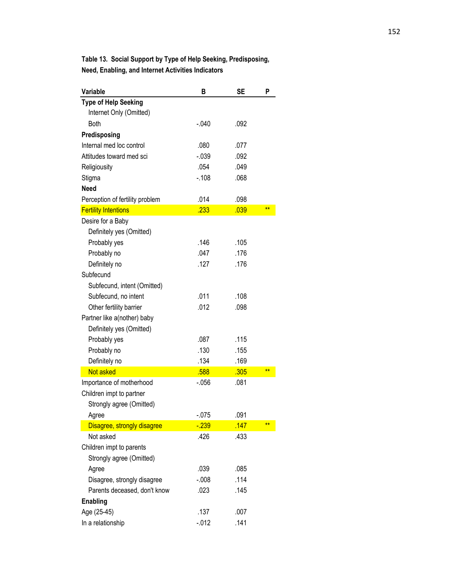**Table 13. Social Support by Type of Help Seeking, Predisposing, Need, Enabling, and Internet Activities Indicators**

| <b>Variable</b>                 | в        | SE   | P     |
|---------------------------------|----------|------|-------|
| <b>Type of Help Seeking</b>     |          |      |       |
| Internet Only (Omitted)         |          |      |       |
| <b>Both</b>                     | $-0.040$ | .092 |       |
| Predisposing                    |          |      |       |
| Internal med loc control        | .080     | .077 |       |
| Attitudes toward med sci        | $-0.39$  | .092 |       |
| Religiousity                    | .054     | .049 |       |
| Stigma                          | $-.108$  | .068 |       |
| <b>Need</b>                     |          |      |       |
| Perception of fertility problem | .014     | .098 |       |
| <b>Fertility Intentions</b>     | .233     | .039 | $***$ |
| Desire for a Baby               |          |      |       |
| Definitely yes (Omitted)        |          |      |       |
| Probably yes                    | .146     | .105 |       |
| Probably no                     | .047     | .176 |       |
| Definitely no                   | .127     | .176 |       |
| Subfecund                       |          |      |       |
| Subfecund, intent (Omitted)     |          |      |       |
| Subfecund, no intent            | .011     | .108 |       |
| Other fertility barrier         | .012     | .098 |       |
| Partner like a(nother) baby     |          |      |       |
| Definitely yes (Omitted)        |          |      |       |
| Probably yes                    | .087     | .115 |       |
| Probably no                     | .130     | .155 |       |
| Definitely no                   | .134     | .169 |       |
| Not asked                       | .588     | .305 | $***$ |
| Importance of motherhood        | $-0.056$ | .081 |       |
| Children impt to partner        |          |      |       |
| Strongly agree (Omitted)        |          |      |       |
| Agree                           | $-075$   | .091 |       |
| Disagree, strongly disagree     | $-239$   | .147 | **    |
| Not asked                       | .426     | .433 |       |
| Children impt to parents        |          |      |       |
| Strongly agree (Omitted)        |          |      |       |
| Agree                           | .039     | .085 |       |
| Disagree, strongly disagree     | $-0.08$  | .114 |       |
| Parents deceased, don't know    | .023     | .145 |       |
| <b>Enabling</b>                 |          |      |       |
| Age (25-45)                     | .137     | .007 |       |
| In a relationship               | $-0.012$ | .141 |       |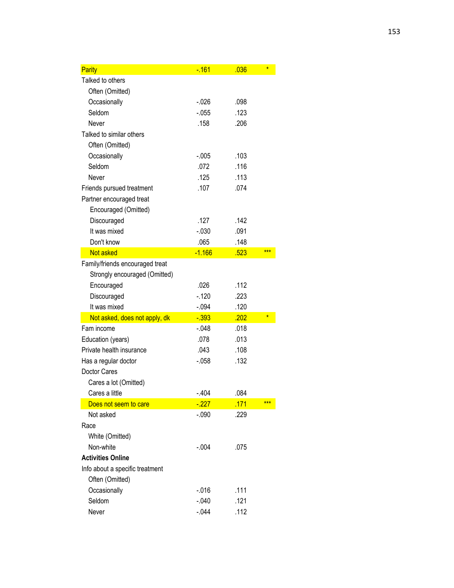| Parity                          | $-161$   | .036 | $\star$ |
|---------------------------------|----------|------|---------|
| Talked to others                |          |      |         |
| Often (Omitted)                 |          |      |         |
| Occasionally                    | $-0.026$ | .098 |         |
| Seldom                          | $-0.055$ | .123 |         |
| Never                           | .158     | .206 |         |
| Talked to similar others        |          |      |         |
| Often (Omitted)                 |          |      |         |
| Occasionally                    | $-0.005$ | .103 |         |
| Seldom                          | .072     | .116 |         |
| Never                           | .125     | .113 |         |
| Friends pursued treatment       | .107     | .074 |         |
| Partner encouraged treat        |          |      |         |
| Encouraged (Omitted)            |          |      |         |
| Discouraged                     | .127     | .142 |         |
| It was mixed                    | $-0.30$  | .091 |         |
| Don't know                      | .065     | .148 |         |
| Not asked                       | $-1.166$ | .523 | ***     |
| Family/friends encouraged treat |          |      |         |
| Strongly encouraged (Omitted)   |          |      |         |
| Encouraged                      | .026     | .112 |         |
| Discouraged                     | $-.120$  | .223 |         |
| It was mixed                    | -.094    | .120 |         |
| Not asked, does not apply, dk   | $-393$   | .202 | $\ast$  |
| Fam income                      | $-.048$  | .018 |         |
| Education (years)               | .078     | .013 |         |
| Private health insurance        | .043     | .108 |         |
| Has a regular doctor            | $-058$   | .132 |         |
| Doctor Cares                    |          |      |         |
| Cares a lot (Omitted)           |          |      |         |
| Cares a little                  | $-.404$  | .084 |         |
| Does not seem to care           | $-227$   | .171 | ***     |
| Not asked                       | $-.090$  | .229 |         |
| Race                            |          |      |         |
| White (Omitted)                 |          |      |         |
| Non-white                       | $-.004$  | .075 |         |
| <b>Activities Online</b>        |          |      |         |
| Info about a specific treatment |          |      |         |
| Often (Omitted)                 |          |      |         |
| Occasionally                    | $-0.016$ | .111 |         |
| Seldom                          | $-0.040$ | .121 |         |
| Never                           | $-0.044$ | .112 |         |